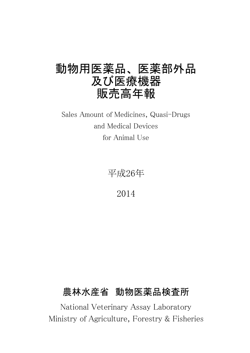# 動物用医薬品、医薬部外品 及び医療機器 販売高年報

Sales Amount of Medicines, Quasi-Drugs and Medical Devices for Animal Use

平成26年

2014

# 農林水産省 動物医薬品検査所

National Veterinary Assay Laboratory Ministry of Agriculture, Forestry & Fisheries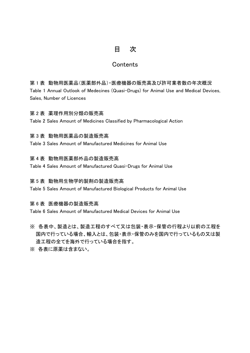## 目 次

## **Contents**

第 1 表 動物用医薬品(医薬部外品)・医療機器の販売高及び許可業者数の年次概況 Table 1 Annual Outlook of Medecines (Quasi-Drugs) for Animal Use and Medical Devices, Sales, Number of Licences

### 第 2 表 薬理作用別分類の販売高

Table 2 Sales Amount of Medicines Classified by Pharmacological Action

### 第 3 表 動物用医薬品の製造販売高

Table 3 Sales Amount of Manufactured Medicines for Animal Use

### 第 4 表 動物用医薬部外品の製造販売高

Table 4 Sales Amount of Manufactured Quasi-Drugs for Animal Use

### 第 5 表 動物用生物学的製剤の製造販売高

Table 5 Sales Amount of Manufactured Biological Products for Animal Use

#### 第 6 表 医療機器の製造販売高

Table 6 Sales Amount of Manufactured Medical Devices for Animal Use

- ※ 各表中、製造とは、製造工程のすべて又は包装・表示・保管の行程より以前の工程を 国内で行っている場合、輸入とは、包装・表示・保管のみを国内で行っているもの又は製 造工程の全てを海外で行っている場合を指す。
- ※ 各表に原薬は含まない。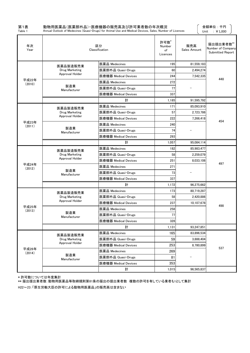| 第1表<br>Table 1  |                                   | 動物用医薬品(医薬部外品)・医療機器の販売高及び許可業者数の年次概況<br>Annual Outlook of Medecines (Quasi-Drugs) for Animal Use and Medical Devices, Sales, Number of Licences |                                  |                     | 金額単位:千円<br>Unit: $\angle 41,000$                   |
|-----------------|-----------------------------------|-----------------------------------------------------------------------------------------------------------------------------------------------|----------------------------------|---------------------|----------------------------------------------------|
| 年次<br>Year      |                                   | 区分<br>Classification                                                                                                                          | 許可数*<br>Number<br>of<br>Licences | 販売高<br>Sales Amount | 届出提出業者数**<br>Number of Company<br>Submitted Report |
|                 | 医薬品製造販売業                          | 医薬品 Medecines                                                                                                                                 | 195                              | 81,559,183          |                                                    |
|                 | Drug Marketing                    | 医薬部外品 Quasi-Drugs                                                                                                                             | 60                               | 2,494,274           |                                                    |
|                 | Approval Holder                   | 医療機器 Medical Devices                                                                                                                          | 244                              | 7.542.335           |                                                    |
| 平成22年<br>(2010) |                                   | 医薬品 Medecines                                                                                                                                 | 272                              |                     | 448                                                |
|                 | 製造業<br>Manufacturer               | 医薬部外品 Quasi-Drugs                                                                                                                             | 77                               |                     |                                                    |
|                 |                                   | 医療機器 Medical Devices                                                                                                                          | 337                              |                     |                                                    |
|                 |                                   | 計                                                                                                                                             | 1,185                            | 91,595,792          |                                                    |
|                 | 医薬品製造販売業                          | 医薬品 Medecines                                                                                                                                 | 171                              | 85,093,910          |                                                    |
|                 | Drug Marketing                    | 医薬部外品 Quasi-Drugs                                                                                                                             | 57                               | 2,723,786           |                                                    |
|                 | Approval Holder                   | 医療機器 Medical Devices                                                                                                                          | 222                              | 7,266,418           | 454                                                |
| 平成23年<br>(2011) |                                   | 医薬品 Medecines                                                                                                                                 | 240                              |                     |                                                    |
|                 | 製造業<br>Manufacturer               | 医薬部外品 Quasi-Drugs                                                                                                                             | 74                               |                     |                                                    |
|                 |                                   | 医療機器 Medical Devices                                                                                                                          | 293                              |                     |                                                    |
|                 |                                   | 計                                                                                                                                             | 1,057                            | 95,084,114          |                                                    |
|                 | 医薬品製造販売業                          | 医薬品 Medecines                                                                                                                                 | 182                              | 85,983,477          |                                                    |
|                 | Drug Marketing                    | 医薬部外品 Quasi-Drugs                                                                                                                             | 58                               | 2,259,079           |                                                    |
|                 | Approval Holder                   | 医療機器 Medical Devices                                                                                                                          | 251                              | 8,033,106           | 497                                                |
| 平成24年<br>(2012) |                                   | 医薬品 Medecines                                                                                                                                 | 271                              |                     |                                                    |
|                 | 製造業<br>Manufacturer               | 医薬部外品 Quasi-Drugs                                                                                                                             | 73                               |                     |                                                    |
|                 |                                   | 医療機器 Medical Devices                                                                                                                          | 337                              |                     |                                                    |
|                 |                                   | 計                                                                                                                                             | 1,172                            | 96,275,662          |                                                    |
|                 | 医薬品製造販売業                          | 医薬品 Medecines                                                                                                                                 | 173                              | 80,719,287          |                                                    |
|                 | Drug Marketing<br>Approval Holder | 医薬部外品 Quasi-Drugs                                                                                                                             | 58                               | 2,420,886           |                                                    |
| 平成25年           |                                   | 医療機器 Medical Devices                                                                                                                          | 237                              | 10.107.678          | 498                                                |
| (2013)          | 製造業                               | 医薬品 Medecines                                                                                                                                 | 258                              |                     |                                                    |
|                 | Manufacturer                      | 医薬部外品 Quasi-Drugs                                                                                                                             | 77                               |                     |                                                    |
|                 |                                   | 医療機器 Medical Devices                                                                                                                          | 328                              |                     |                                                    |
|                 |                                   | 計                                                                                                                                             | 1,131                            | 93,247,851          |                                                    |
|                 | 医薬品製造販売業                          | 医薬品 Medecines                                                                                                                                 | 165                              | 83,896,534          |                                                    |
|                 | Drug Marketing                    | 医薬部外品 Quasi-Drugs                                                                                                                             | 59                               | 3,888,404           |                                                    |
|                 | Approval Holder                   | 医療機器 Medical Devices                                                                                                                          | 253                              | 8,780,899           | 537                                                |
| 平成26年<br>(2014) | 製造業                               | 医薬品 Medecines                                                                                                                                 | 269                              |                     |                                                    |
|                 | Manufacturer                      | 医薬部外品 Quasi-Drugs                                                                                                                             | 81                               |                     |                                                    |
|                 |                                   | 医療機器 Medical Devices                                                                                                                          | 353                              |                     |                                                    |
|                 |                                   | 計                                                                                                                                             | 1,015                            | 96,565,837          |                                                    |

\* 許可数については年度集計

\*\* 届出提出業者数:動物用医薬品等取締規則第81条の届出の提出業者数 複数の許可を有している業者も1として集計 H22~23:「厚生労働大臣の許可による動物用医薬品」の販売高は含まない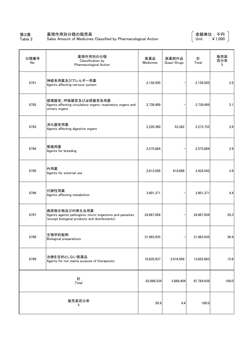#### 第2表 薬理作用別分類の販売高

Table 2 Sales Amount of Medicines Classified by Pharmacological Action 金額単位 : 千円 Unit : ¥1,000

| 分類番号<br>No. | 薬理作用別の分類<br>Classification by<br>Pharmacological Action                                                                    | 医薬品<br>Medicines | 医薬部外品<br>Quasi-Drugs | 計<br>Total | 販売高<br>百分率<br>% |
|-------------|----------------------------------------------------------------------------------------------------------------------------|------------------|----------------------|------------|-----------------|
| 8791        | 神経系用薬及びアレルギー用薬<br>Agents affecting nervous system                                                                          | 2,159,505        |                      | 2,159,505  | 2.5             |
| 8792        | 循環器官、呼吸器官及び泌尿器官系用薬<br>Agents affecting circulatory organs, respiratory organs and<br>urinary organs                        | 2,738,499        |                      | 2,738,499  | 3.1             |
| 8793        | 消化器官用薬<br>Agents affecting digestive organs                                                                                | 2,220,390        | 53,362               | 2,273,752  | 2.6             |
| 8794        | 繁殖用薬<br>Agents for breeding                                                                                                | 2,575,884        |                      | 2,575,884  | 2.9             |
| 8795        | 外用薬<br>Agents for external use                                                                                             | 2,613,956        | 818,086              | 3,432,042  | 3.9             |
| 8796        | 代謝性用薬<br>Agents affecting metabolism                                                                                       | 3,901,371        |                      | 3,901,371  | 4.4             |
| 8797        | 病原微生物及び内寄生虫用薬<br>Agents against pathogenic micro-organisms and parasites<br>(except biological products and disinfectants) | 24,867,058       |                      | 24,867,058 | 28.3            |
| 8798        | 生物学的製剤<br>Biological preparations                                                                                          | 31,983,935       |                      | 31,983,935 | 36.4            |
| 8799        | 治療を目的としない医薬品<br>Agents for not mainly purpose of therapeutic                                                               | 10,835,937       | 3,016,956            | 13,852,893 | 15.8            |
|             | 計<br>Total                                                                                                                 | 83,896,534       | 3,888,404            | 87,784,938 | 100.0           |
|             | 販売高百分率<br>%                                                                                                                | 95.6             | 4.4                  | 100.0      |                 |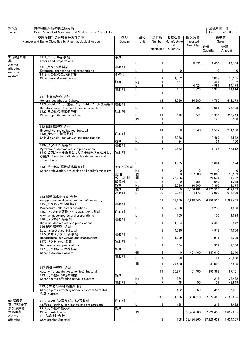第3表 動物用医薬品の製造販売高

Sales Amount of Manufactured Medicines for Animal Use

金額単位 : 千円 Unit : ¥1,000

| Table 3              | Sales Amount of Manufactured Medicines for Animal Use                             |              |                               |                     |                  |                      |                       | Unit : $\angle 1,000$ |
|----------------------|-----------------------------------------------------------------------------------|--------------|-------------------------------|---------------------|------------------|----------------------|-----------------------|-----------------------|
|                      | 薬理作用別の分類番号及び名称                                                                    | 剤型           | 単位                            | 品目数                 | 製造数量             | 輸入数量                 |                       | 販売高                   |
|                      | Number and Name Classified by Pharmacological Action                              | Dosage       | Unit                          | Number<br>of        | Manufacture<br>d | Imported<br>Quantity |                       | Sales                 |
|                      |                                                                                   |              |                               | Medicines           | Quantity         |                      | 数量<br>Quantity        | 金額<br>Amount          |
| 91_神経系用              | 9111 エーテル系製剤                                                                      | 液剤           |                               |                     |                  |                      |                       |                       |
| 薬                    | Ethers and preparations                                                           |              |                               |                     |                  |                      |                       |                       |
| Agents               | 9113 ケタミン系製剤                                                                      | 注射剤          |                               |                     |                  | 8,033                | 6,420                 | 184,164               |
| affecting<br>nervous | Ketamine, derivatives and preparations                                            |              |                               |                     | 0                |                      | 0                     | 0                     |
| system               | 9119 その他の全身麻酔剤<br>Other general anesthetics                                       | その他          |                               | 1                   | 1,002            |                      | 1,002                 | 18,585                |
|                      |                                                                                   | 液剤           | kg                            | $\mathbf{1}$        | 567              |                      | 467                   | 10,732                |
|                      |                                                                                   |              |                               | $\overline{2}$      |                  | 4,424                | 4,991                 | 94,178                |
|                      |                                                                                   | 注射剤          |                               | 5<br>$\mathbf{1}$   | 167              | 1,923                | 1.905                 | 104,614               |
|                      | 911 全身麻酔剤 合計                                                                      |              |                               |                     |                  |                      |                       |                       |
|                      | General anesthetics Subtotal                                                      |              |                               | 12                  | 1,736            | 14,380               | 14,785                | 412,273               |
|                      | 9121 バルビツール酸系, チオバルビツール酸系製剤 注射剤<br>Barbituric acids, thiobarbituric acids soluble |              |                               | 1                   |                  | 1,093                | 1,054                 | 35,408                |
|                      | 9129 その他の催眠鎮静剤                                                                    | 注射剤          |                               |                     |                  |                      |                       |                       |
|                      | Other hypnotis and sedatibes                                                      |              |                               | 11                  | 588              | 547                  | 1,310                 | 235,443               |
|                      |                                                                                   |              | 個<br>$\overline{\phantom{0}}$ |                     |                  |                      | 143                   | 358                   |
|                      | 912 催眠鎮静剤 合計                                                                      |              |                               |                     |                  |                      |                       |                       |
|                      | Hyponotics and sadatives Subtotal                                                 |              |                               | 14                  | 588              | 1,640                | 2,507                 | 271,208               |
|                      | 9131 サリチル酸系製剤 <br>Salicylic acids, derivatives and preparations                   | 注射剤          |                               | 5                   | 6,988            |                      | 7,469                 | 17,552                |
|                      |                                                                                   | 粒剤           | kg                            | $\overline{2}$      | 24               |                      | 24                    | 760                   |
|                      | 9132 ビラゾロン系製剤                                                                     | 注射剤          |                               |                     |                  |                      |                       |                       |
|                      | Pyrazolone, derivatives and preparation<br>9135 ビラビタール系及びサリチル酸系を主成分とす             | 注射剤          |                               | 3                   | 9,882            |                      | 9,198                 | 48,812                |
|                      | る製剤 Pyrabital, salicylic acids derivatives and                                    |              |                               |                     |                  |                      |                       |                       |
|                      | prepatations                                                                      |              |                               | $\mathbf{1}$        | 1,735            |                      | 1,684                 | 3,924                 |
|                      | 9139 その他の解熱鎮痛消炎剤                                                                  | チュアブル剤       |                               |                     |                  |                      |                       |                       |
|                      | Other antipyretics, analgesics and antiinflammatory                               |              | kg                            | 3                   | 0                | 0                    | 0                     | $\mathbf{0}$          |
|                      |                                                                                   | (空白)         | 個<br>個                        | 3<br>$\mathbf{1}$   | 0<br>26.706      | 637,500              | 522,060               | 38,239<br>14.382      |
|                      |                                                                                   | ペースト剤<br>懸濁剤 |                               | 3                   | 0                | 765                  | 26,634<br>649         | 71,355                |
|                      |                                                                                   | 散剤           | kg                            | 3                   | 3,780            | 10,000               | 7,360                 | 12,275                |
|                      |                                                                                   | 錠剤           | 個                             | 17<br>20            | 0                | 5,166,102            | 6,270,506             | 417,609               |
|                      | 913 解熱鎮痛消炎剤 合計                                                                    | 注射剤          |                               |                     | 9,054            | 4,173                | 10,920                | 674,499               |
|                      | Antipyretics, analgesics and antiinflammatory                                     |              |                               | 61                  | 58,169           | 5,818,540            | 6,856,505             | 1,299,407             |
|                      | 9153 マグネシウム塩製剤                                                                    | 注射剤          |                               |                     |                  |                      |                       |                       |
|                      | Magnesium salts and preparations<br>9162_アミノ安息香酸アルキルエステル製剤                        | 注射剤          |                               | 1                   | 2,636            |                      | 2,270                 | 4,086                 |
|                      | Alkyl aminobenzoates and preparations                                             |              |                               |                     | 150              |                      | 150                   | 1,028                 |
|                      | 9163_ジブカイン系製剤                                                                     | 注射剤          |                               |                     |                  |                      |                       |                       |
|                      | Dibcaine, derivatives and preparations<br>916 局所麻酔剤 合計                            |              |                               | 1                   | 1,924            |                      | 2,498                 | 8,942                 |
|                      | Local anesthetics Subtotal                                                        |              |                               | 3                   | 4,710            |                      | 4,918                 | 14,056                |
|                      | 9172 ネオスチグミン系製剤                                                                   | 注射剤          |                               |                     |                  |                      |                       |                       |
|                      | Neostigmine, derivatives and preparations<br> 9175 ベタネコール製剤                       | 注射剤          |                               | $\overline{2}$      | 1.009            |                      | 911                   | 5,309                 |
|                      | Bethanecol and preparations                                                       |              |                               | 1                   | 334              |                      | 351                   | 2,106                 |
|                      | 9179 その他の自律神経剤                                                                    | 錠剤           | 個                             |                     |                  |                      |                       |                       |
|                      | Other autonomic agents                                                            | 注射剤          |                               | 6                   | 0                | 401,400              | 347,010               | 18,240                |
|                      |                                                                                   |              |                               | $\mathbf{1}$        | 98               |                      | 91                    | 46,000                |
|                      | 917 自律神経剤 合計                                                                      |              | 個                             | $\mathbf{1}$        | 24,430           |                      | 47,000                | 15.505                |
|                      | Autonomic agents (Autonomics) Subtotal                                            |              |                               | 11                  | 25,871           | 401,400              | 395,363               | 87,161                |
|                      | 9190 その他の神経系用薬                                                                    | 錠剤           |                               |                     |                  |                      |                       |                       |
|                      | Other agents affecting nervous system                                             | 注射剤          | kg                            | 2<br>$\overline{7}$ | 384<br>48        | 50                   | 215<br>139            | 25,452<br>49.949      |
|                      | 919 その他の神経系用薬 合計                                                                  |              |                               |                     |                  |                      |                       |                       |
|                      | Other agents affecting nervous system Subtotal                                    |              |                               | 9                   | 432              | 50                   | 355                   | 75,401                |
|                      | 合計 Subtotal                                                                       |              |                               | 110                 | 91,505           | 6,236,010            | 7,274,432             | 2,159,505             |
| 92 循環器               | 9212 カフェイン系及びプリン系製剤                                                               | 注射剤          |                               |                     |                  |                      |                       |                       |
| 官, 呼吸器官              | Caffeine, purine, derivatives and preparations                                    |              |                               | $\overline{2}$      | 168              |                      | 212                   | 1,482                 |
| 及び泌尿器<br>官系用薬        | 9219 その他の強心剤<br>Other cardiotonics                                                | 錠剤           | 個                             | 6                   |                  | 38,484,860           | 37,226,410            | 1,622,885             |
| Agents               | 921_強心剤 合計                                                                        |              |                               |                     |                  |                      |                       |                       |
| affecting            | Cardiotonics Subtotal                                                             |              |                               | 8                   | 168              |                      | 38,484,860 37,226,622 | 1,624,367             |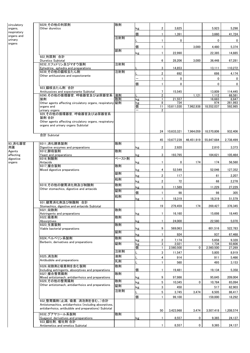| circulatory | 9229 その他の利尿剤                                                         | 散剤    |                          |                         |              |            |            |                   |
|-------------|----------------------------------------------------------------------|-------|--------------------------|-------------------------|--------------|------------|------------|-------------------|
| organs,     | Other diuretics                                                      |       | kg                       | 2                       | 3,825        |            | 5,923      | 5,298             |
| respiratory |                                                                      |       |                          |                         |              |            |            |                   |
| organs and  |                                                                      |       | 個                        | 1                       | 1,391        |            | 3,660      | 41,724            |
| urinary     |                                                                      | 注射剤   |                          | 1                       | $\mathbf{0}$ |            | 0          | $\overline{0}$    |
| organs      |                                                                      |       |                          |                         |              |            |            |                   |
|             |                                                                      | 舐剤    | 個                        |                         |              | 3.000      | 4,480      | 5,374             |
|             |                                                                      |       | kg                       | 1                       | 22,990       |            | 22,385     | 14,885            |
|             | 922_利尿剤 合計                                                           |       |                          |                         |              |            |            |                   |
|             | Diuretics Subtotal                                                   |       |                          | 6                       | 28,206       | 3,000      | 36,448     | 67,281            |
|             | 9232 エフェドリン及びマオウ製剤                                                   | 注射剤   |                          |                         |              |            |            |                   |
|             | Ephedrine, ephedra and preparations                                  |       |                          | 3                       | 14,853       |            | 13,111     | 110,272           |
|             | 9239_その他の鎮咳去たん剤                                                      | 注射剤   |                          | $\overline{2}$          | 692          |            | 698        | 4,174             |
|             | Other antitussives and expectorante                                  |       |                          | $\mathbf{1}$            | $\mathbf{0}$ |            | 0          | $\mathbf{0}$      |
|             |                                                                      |       |                          |                         |              |            |            |                   |
|             |                                                                      |       | 個                        | $\mathbf{1}$            | $\mathbf{0}$ |            | 0          | 0                 |
|             | 923 鎮咳去たん剤 合計                                                        |       |                          | 7                       | 15,545       |            | 13,809     |                   |
|             | Antitussives and expectorante Subtotal<br>9290 その他の循環器官, 呼吸器官及び泌尿器官系 | 液剤    |                          | $\overline{2}$          |              | 1,121      | 1,112      | 114,445<br>68,581 |
|             | 製剤                                                                   | 散剤    | kg                       | $\mathbf{1}$            | 21,557       |            | 16,683     | 8,847             |
|             | Other agents affecting circulatory organs, respiratory 錠剤            |       | kg                       | 8                       | 734          |            | 974        | 261,993           |
|             | organs and                                                           |       | 個                        | 11                      | 10,611,030   | 7.962.938  | 18,552,037 | 592,985           |
|             | urinary organs                                                       |       | $\overline{\phantom{0}}$ | $\overline{2}$          |              |            |            |                   |
|             | 929 その他の循環器官, 呼吸器官及び泌尿器官系                                            |       |                          |                         |              |            |            |                   |
|             | 製剤 合計                                                                |       |                          |                         |              |            |            |                   |
|             | Other agents affecting circulatory organs, respiratory               |       |                          |                         |              |            |            |                   |
|             | organs and urinary organs Subtotal                                   |       |                          |                         |              |            |            |                   |
|             |                                                                      |       |                          | 24                      | 10,633,321   | 7,964,059  | 18,570,806 | 932.406           |
|             | 合計 Subtotal                                                          |       |                          |                         |              |            |            |                   |
|             |                                                                      |       |                          | 45                      | 10,677,239   | 46,451,919 | 55,847,684 | 2,738,499         |
| 93_消化器官     | 9311 消化酵素製剤                                                          | 散剤    |                          |                         |              |            |            |                   |
| 用薬          | Digestive enzymes and preparations                                   |       | kg                       | 2                       | 2,920        |            | 2,810      | 3,373             |
| Agents      | 9312 酵母製剤                                                            | 散剤    |                          |                         |              |            |            |                   |
| affecting   | Yeast and preparations                                               |       | kg                       | 3                       | 193,795      |            | 184,621    | 105,464           |
| digestive   | 9316 制酸剤                                                             | ペースト剤 |                          |                         |              |            |            |                   |
| organs      | Antacids<br>9317 複合製剤                                                | 散剤    | kg                       | $\mathbf{1}$            | 0            | 174        | 174        | 56,560            |
|             | Mixed digestive preparations                                         |       | kg                       | 4                       | 52,549       |            | 52,046     | 127,352           |
|             |                                                                      | 錠剤    |                          |                         |              |            |            |                   |
|             |                                                                      |       | kg                       | $\overline{2}$          | 117          |            | 61         | 2,207             |
|             |                                                                      | 粒剤    | kg                       | $\overline{\mathbf{2}}$ | 72           |            | 68         | 2,278             |
|             | 9319 その他の健胃消化剤及び制酸剤                                                  | 散剤    |                          |                         |              |            |            |                   |
|             | Other stomachics, digestive and antacids                             | 錠剤    | kg                       | 3                       | 11,589       |            | 11,229     | 27,229            |
|             |                                                                      |       | 個                        | 1                       | 98           |            | 98         | 305               |
|             |                                                                      | 粒剤    | kg                       | $\mathbf{1}$            | 18,319       |            | 18,319     | 51,579            |
|             | 931 健胃消化剤及び制酸剤 合計                                                    |       |                          |                         |              |            |            |                   |
|             | Stomachics, digestive and antacids Subtotal                          |       |                          | 19                      | 279,459      | 174        | 269,427    | 376,345           |
|             | 9321 収斂剤                                                             | 散剤    |                          |                         |              |            |            |                   |
|             | Astringents and preparations                                         |       | kg                       | $\mathbf{1}$            | 16,160       |            | 15.698     | 18,445            |
|             | 9322 吸着剤                                                             | 散剤    |                          |                         |              |            |            |                   |
|             | Absorptives                                                          |       | kg                       |                         | 24,000       |            | 22,580     | 5,070             |
|             | 9323 生菌製剤                                                            | 散剤    |                          |                         |              |            |            |                   |
|             | Viable bacterial preparations                                        |       | kg                       | 9                       | 569,063      |            | 601,516    | 522,783           |
|             |                                                                      | 錠剤    | kg                       | 1                       | 924          |            | 937        | 67,468            |
|             | 9324 ベルベリン系製剤                                                        | 散剤    |                          | 2                       | 7,174        |            | 5,658      | 9,328             |
|             | Berberin, derivatives and preparations                               | 錠剤    | kg<br>kg                 | 3                       | 2,021        |            | 1,734      | 93,606            |
|             |                                                                      |       | 個                        | $\mathbf{1}$            | 2,560,500    | 0          | 2,560,500  | 27.269            |
|             |                                                                      | 注射剤   |                          | 3                       | 11,547       |            | 5,805      | 8,919             |
|             | 9325 消泡剤                                                             | 液剤    |                          |                         |              |            |            |                   |
|             | Antibubble and preparations                                          | 乳剤    |                          | $\overline{4}$          | 914          |            | 911        | 5,466             |
|             |                                                                      |       |                          | $\mathbf{1}$            | 560          |            | 495        | 3,153             |
|             | 9326_収斂剤と吸着剤を含む製剤                                                    | 散剤    | 個                        | 1                       |              |            |            |                   |
|             | Including astringents, absorptives and preparations<br>9327 複合整胃腸剤   | 散剤    |                          |                         | 19,481       |            | 19,134     | 5,358             |
|             | Mixed antistomach, antidiarrhoics and preparations                   |       | kg                       | 9                       | 97,986       |            | 95,645     | 209,004           |
|             | 9329 その他の整胃腸剤                                                        | 散剤    |                          |                         |              |            |            |                   |
|             | Other antistomach, antidiarrhoics and preparations                   | 錠剤    | kg                       | 5                       | 10,345       | 0          | 10,784     | 65,094            |
|             |                                                                      |       | kg                       | 3                       | 450          |            | 517        | 62,903            |
|             |                                                                      | 注射剤   |                          | 5                       | 3,745        | 3,474      | 6,505      | 86,417            |
|             |                                                                      |       | 個                        | $\mathbf{1}$            | 99,100       |            | 159,000    | 18,292            |
|             | 932_整胃腸剤(止瀉, 吸着, 消泡剤を含む。)合計                                          |       |                          |                         |              |            |            |                   |
|             | Antistomachics, antidiarrhoics (including absorptives,               |       |                          |                         |              |            |            |                   |
|             | antidiarrhoics, antibubble and preparations) Subtotal                |       |                          | 50                      | 3,423,968    | 3,474      | 3,507,418  | 1,208,574         |
|             | 9332 グアヤコール系製剤                                                       | 散剤    |                          |                         |              |            |            |                   |
|             | Guajacol, derivatives and preparations                               |       | kg                       | 1                       | 8,557        | 0          | 9,365      | 24,137            |
|             | 933_鎮吐剤,催吐剤合計                                                        |       |                          |                         |              |            |            |                   |
|             | Antiemetics and emetics Subtotal                                     |       |                          | $\mathbf{1}$            | 8,557        | 0          | 9,365      | 24,137            |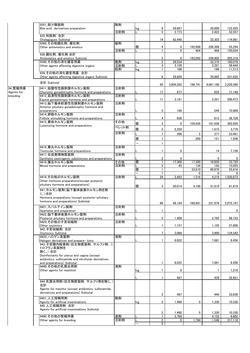|                       | 9351 胆汁酸製剤                                                                                         | 散剤    |    |                                |                |             |                |                 |
|-----------------------|----------------------------------------------------------------------------------------------------|-------|----|--------------------------------|----------------|-------------|----------------|-----------------|
|                       | Bile acid, derivatives preparation                                                                 |       | kg | 9                              | 59,667         |             | 29,880         | 122,425         |
|                       | 935 利胆剤 合計                                                                                         | 注射剤   |    | 5                              | 2,773          |             | 2,423          | 52,557          |
|                       | Cholagogues Subtotal                                                                               |       |    | 14                             | 62,440         |             | 32,303         | 174,981         |
|                       | 9369 その他鎮吐剤, 催吐剤                                                                                   | 錠剤    |    |                                |                |             |                |                 |
|                       | Other antiemetics and emetics                                                                      |       | 個  | 4                              | 0              | 192,688     | 206.308        | 55,294          |
|                       | 936 鎮吐剤, 催吐剤 合計                                                                                    | 注射剤   |    | $\mathbf{1}$                   | $\Omega$       | 404         | 494            | 150,024         |
|                       | Antiemetics and emetics Subtotal                                                                   |       |    | 5                              | 0              | 193,092     | 206,802        | 205,318         |
|                       | 9390 その他の消化器官用薬                                                                                    | 散剤    | kg | $\overline{2}$                 | 26.534         |             | 32,378         | 160,078         |
|                       | Other agents affecting digestive organs                                                            | 注射剤   |    | 3                              | 3,159          |             | 3,321          | 59,444          |
|                       | 939_その他の消化器官用薬 合計                                                                                  | 粒剤    | kg | $\mathbf{1}$                   | 166            |             | 166            | 11,513          |
|                       | Other agents affecting digestive organs Subtotal                                                   |       |    | 6                              | 29,859         |             | 35.865         | 231,035         |
|                       | 合計 Subtotal                                                                                        |       |    |                                |                |             |                |                 |
|                       |                                                                                                    |       |    | 95                             | 3,804,282      | 196,741     | 4,061,180      | 2,220,390       |
| 94 繁殖用薬<br>Agents for | 9411 胎盤性性腺刺激ホルモン製剤<br>Chorionic gonadotrophic hormone and preparations                             | 注射剤   |    | 17                             | 677            |             | 835            | 71,148          |
| breeding              | 9412 血清性性腺刺激ホルモン製剤                                                                                 | 注射剤   |    |                                |                |             |                |                 |
|                       | Equine gonadotropic hormone and preparations                                                       |       |    | 11                             | 3,181          |             | 3,351          | 290,473         |
|                       | 9413 脳下垂体前葉性性腺刺激ホルモン製剤                                                                             | 注射剤   |    |                                |                |             |                |                 |
|                       | Anterior pituitary gonadotrophic hormone and<br>preparations                                       |       |    | 5                              | 189            |             | 244            | 72,009          |
|                       | 9414 卵胞ホルモン製剤                                                                                      | 注射剤   |    |                                |                |             |                |                 |
|                       | Follicle stimulating hormone and preparations                                                      |       |    | 4                              | 638            |             | 612            | 36,729          |
|                       | 9415 黄体ホルモン製剤<br>Luteinizing hormone and preparations                                              | その他   | 個  | 3                              | 0              | 109.926     | 101,036        | 382,050         |
|                       |                                                                                                    | ペレット剤 | 個  | $\overline{2}$                 | 2,250          |             | 1,615          | 3,779           |
|                       |                                                                                                    | 注射剤   | L  | $7\overline{ }$                | 398            | 5           | 377            | 23,461          |
|                       |                                                                                                    |       | 個  | $\mathbf{1}$                   |                | 200         | 121            | 1,936           |
|                       |                                                                                                    |       |    | $\mathbf{1}$                   |                |             |                |                 |
|                       | 9416 睾丸ホルモン製剤                                                                                      | 注射剤   |    |                                |                |             |                |                 |
|                       | Testicular hormone and preparations                                                                |       |    | 1                              | 0              |             | 14             | 7,128           |
|                       | 9417 合成発情物質製剤<br>Synthetic oestrogenic substionces and preparations                                | 注射剤   |    | $\overline{2}$                 |                |             |                | 0               |
|                       | 9418 複合ホルモン製剤                                                                                      | その他   | 個  | 1                              | 17,300         | 17,300      | 16,830         | 33,720          |
|                       | Mixed hormone and preparations                                                                     | 注射剤   |    | $\overline{2}$                 | 45             | 134         | 143            | 15,055          |
|                       |                                                                                                    |       | 個  |                                |                | 33,810<br>0 | 60,970<br>0    | 25,816<br>0     |
|                       | 9419 その他のホルモン製剤                                                                                    | 注射剤   |    | 24                             | 3,493          | 1,516       | 4,219          | 1,030,873       |
|                       | Other hormone preparations (except posterior                                                       |       |    |                                |                |             |                |                 |
|                       | pituitary hormone and preparations)                                                                |       | 個  | 3                              | 20,014         | 4,100       | 31,610         | 81,019          |
|                       | 941 ホルモン製剤(脳下垂体後葉ホルモン剤を除                                                                           |       |    |                                |                |             |                |                 |
|                       | く。)合計                                                                                              |       |    |                                |                |             |                |                 |
|                       | Hormone preparations (except posterior-pituitary<br>hormone and preparations) Subtotal             |       |    |                                |                |             |                |                 |
|                       | 9421_スパルテイン製剤                                                                                      | 注射剤   |    | 86                             | 48,184         | 166,991     | 221,976        | 2,075,197       |
|                       | Sparteine and preparation                                                                          |       |    | 1.                             |                |             |                | $\mathbf{0}$    |
|                       | 9422 脳下垂体後葉ホルモン製剤                                                                                  | 注射剤   |    |                                |                |             |                |                 |
|                       | Posterior pituitary hormone and preparations                                                       |       |    | 5                              | 1,909          |             | 2,795          | 96,733          |
|                       | 9429 その他の子宮収縮剤<br>Other oxytonics                                                                  | 注射剤   |    | $\mathbf{1}$                   | 1,157          |             | 1,105          | 27.809          |
|                       | 942 子宮収縮剤 合計                                                                                       |       |    |                                |                |             |                |                 |
|                       | Oxytocics Subtotal                                                                                 |       |    | $7\overline{ }$                | 3.066          |             | 3.900          | 124,542         |
|                       | 9433 ハロゲン系製剤<br>Halogen derivatives and prepara-tions                                              | 液剤    |    | $\mathbf{1}$                   | 8,022          |             |                | 8,456           |
|                       | 943 子宮膣内殺菌剤(抗生物質製剤, サルファ剤, ニ                                                                       |       |    |                                |                |             | 7,881          |                 |
|                       | トロフラン系製剤を                                                                                          |       |    |                                |                |             |                |                 |
|                       | 除く。) 合計                                                                                            |       |    |                                |                |             |                |                 |
|                       | Disinfectants for uterus and vagina (except<br>antibiotics, sulfonamide and nitrofuran derivatives |       |    |                                |                |             |                |                 |
|                       | and preparations) Subtotal                                                                         |       |    | $\mathbf{1}$                   | 8,022          |             | 7,881          | 8,456           |
|                       | 9449 その他の乳房炎用剤                                                                                     | 液剤    |    |                                |                |             |                |                 |
|                       | Other agents for mastitist                                                                         |       | kg | $\mathbf{1}$                   | 0              |             |                | 1,218           |
|                       |                                                                                                    |       |    | $\mathbf{1}$                   | 497            |             | 439            | 32,421          |
|                       | 944_乳房炎用剤(抗生物質製剤, サルファ剤を除く。)                                                                       |       |    |                                |                |             |                |                 |
|                       | 合計                                                                                                 |       |    |                                |                |             |                |                 |
|                       | Agents for mastitis (except antibiotics, sulfonamide<br>derivatives and preparations) Subtotal     |       |    |                                |                |             |                |                 |
|                       | 9451 人工授精用剤                                                                                        | 散剤    |    | $\overline{2}$                 | 497            |             | 440            | 33,639          |
|                       | Agents for artificial inseminations                                                                |       | kg | $\overline{2}$                 | 1,490          | 0           | 1,330          | 10,330          |
|                       | 945 人工授精用剤 合計                                                                                      |       |    |                                |                |             |                |                 |
|                       | Agents for artificial inseminations Subtotal                                                       |       |    |                                |                |             |                |                 |
|                       | 9490 その他の繁殖用薬                                                                                      | 液剤    |    | $\overline{2}$<br>$\mathbf{1}$ | 1,490<br>3,700 | 0           | 1,330<br>4,152 | 10,330<br>6,602 |
|                       | Other agents for breeding                                                                          | 注射剤   | Г  | $\overline{2}$                 | 0              | 1,784       | 1,548          | 317,118         |
|                       |                                                                                                    |       |    | $\overline{2}$                 |                |             |                |                 |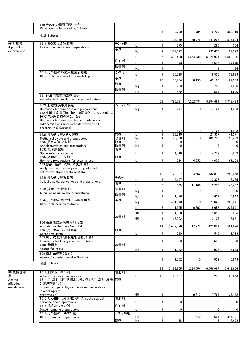|                     | 949 その他の繁殖用薬 合計<br>Other agents for breeding Subtotal                                                    |           |    |                         |                  |           |                   |                   |
|---------------------|----------------------------------------------------------------------------------------------------------|-----------|----|-------------------------|------------------|-----------|-------------------|-------------------|
|                     | 合計 Subtotal                                                                                              |           |    | 5                       | 3,700            | 1,784     | 5,700             | 323,719           |
| 95 外用薬              | 9511_ヨウ素化合物製剤                                                                                            | チンキ剤      |    | 103                     | 64,959           | 168,775   | 241,227           | 2,575,884         |
| Agents for          | lodine compounds and preparations                                                                        | 液剤        |    | $\mathbf{1}$            | 275              |           | 285               | 354               |
| external use        |                                                                                                          |           | kg | $\overline{7}$          | 227,672          |           | 230,606           | 58,277            |
|                     |                                                                                                          |           |    | 35                      | 500,480          | 4,254,236 | 5,079,931         | 1,569,700         |
|                     |                                                                                                          | 注射剤       |    | $\mathbf{1}$            | 8,843            | 0         | 18,635            | 37,270            |
|                     |                                                                                                          | 軟膏剤       | kg | $\mathbf{1}$            |                  |           | 3                 | 34                |
|                     | 9519 その他の外皮用殺菌消毒剤                                                                                        | その他       |    | $\mathbf{1}$            | 20,528           |           | 18,526            | 39,893            |
|                     | Other antimicrobials for dermatologic use                                                                | 液剤        |    | 10                      | 35,934           | 8,195     | 45,188            | 62,283            |
|                     |                                                                                                          | 散剤        |    | $\mathbf{1}$            | 790              |           |                   | 4,026             |
|                     |                                                                                                          | 軟膏剤       | kg |                         |                  |           | 790               |                   |
|                     | 951 外皮用殺菌消毒剤 合計                                                                                          |           | kg | $\mathbf{1}$            | 569              |           | 524               | 1,596             |
|                     | Antimicrobials for dermatologic use Subtotal                                                             |           |    | 58                      | 795,091          | 4,262,431 | 5,394,489         | 1,773,433         |
|                     | 9521 化膿性疾患用製剤                                                                                            | ペースト剤     |    |                         |                  |           |                   |                   |
|                     | Dermatics for purulence and preparations<br>952 化膿性疾患用剤(抗生物質製剤, サルファ剤, ニ                                 |           | kg | 1                       | 3,177            | 0         | 3.127             | 11,023            |
|                     | トロフラン系製剤を除く。)合計                                                                                          |           |    |                         |                  |           |                   |                   |
|                     | Dermatics for purulence (except antibiotics,                                                             |           |    |                         |                  |           |                   |                   |
|                     | sulfonamide and nitroguran derivatives and<br>preparations) Subtotal                                     |           |    |                         |                  |           |                   |                   |
|                     |                                                                                                          |           |    | 1                       | 3,177            | 0         | 3,127             | 11,023            |
|                     | 9531 サリチル酸メチル製剤<br>Methyl salicylate and preparations                                                    | 液剤<br>軟膏剤 | kg | $\mathbf{1}$<br>4       | 20,310<br>98,398 | 0         | 21,357<br>102,700 | 41,271<br>120.459 |
|                     | 9532 抗ヒスタミン製剤                                                                                            | 液剤        |    | $\overline{\mathbf{2}}$ | 0                |           | 0                 | 0                 |
|                     | Anti-histaminics and preparations                                                                        | 軟膏剤       | kg | $\mathbf{1}$            | $\mathbf{0}$     |           | 0                 | $\overline{0}$    |
|                     | 9536 皮ふ刺激剤                                                                                               | 液剤        |    | $\mathbf{1}$            | 4,716            | 0         | 4,707             | 5,059             |
|                     | Stimulants for epidermis<br>9537 外用ホルモン剤                                                                 | 液剤        |    |                         |                  |           |                   |                   |
|                     | Hormone preparations for external use                                                                    |           |    | 4                       | 514              | 4,552     | 4,050             | 91,268            |
|                     | 953 鎮痛, 鎮痒, 収斂, 消炎剤 合計<br>Analgesics, anti-itchings, astringents and<br>antiinflammatory agents Subtotal |           |    | 13                      | 123,937          | 4,552     | 132,813           | 258,058           |
|                     | 9541 サリチル酸系製剤                                                                                            | その他       |    |                         |                  |           |                   |                   |
|                     | Salicylic acids, derivatives and preparations                                                            | 液剤        |    | 1                       | 4,147            |           | 3,307             | 16,365            |
|                     | 9544 硫黄化合物製剤                                                                                             | 懸濁剤       |    | 3                       | 399              | 11,169    | 9,755             | 40,452            |
|                     | Sulfur compounds and preparations                                                                        | 軟膏剤       | kg | $\mathbf{1}$            |                  | 0         | 0                 | 0                 |
|                     | 9549 その他の寄生性皮ふ疾患用剤                                                                                       | 液剤        | kg | $\mathbf{1}$            | 1,436            |           | 1,629             | 6,842             |
|                     | Other anti-dermoinfectives                                                                               |           | kg | 3                       | 1,411,040        | 0         | 1,377,020         | 262,441           |
|                     |                                                                                                          |           | L  | 3                       | 1,325            | 6.602     | 18,658            | 227,991           |
|                     |                                                                                                          |           | 個  | 1                       | 1,530            |           | 1,616             | 905               |
|                     |                                                                                                          | 軟膏剤       | 個  | $\mathbf{1}$            | 13,002           |           | 13,106            | 6,881             |
|                     | 954 寄生性皮ふ疾患用剤 合計                                                                                         |           |    |                         |                  |           |                   |                   |
|                     | Anti-dermoinfectives Subtotal<br>9559 その他の皮ふ軟化剤                                                          | 液剤        |    | 14                      | 1,432,878        | 17,771    | 1,425,091         | 561,876           |
|                     | Other emollients                                                                                         |           |    | 1                       | 390              |           | 545               | 2,723             |
|                     | 955 皮ふ軟化剤(腐食剤を含む。)合計<br>Emollients (including caustics) Subtotal                                         |           |    | $\mathbf{1}$            | 390              |           | 545               | 2,723             |
|                     | 9581 蹄用剤                                                                                                 | 軟膏剤       |    |                         |                  |           |                   |                   |
|                     | Agents for hoots                                                                                         |           | kg | 1                       | 1,052            |           | 922               | 6,843             |
|                     | 958_皮ふ保護剤(合計)<br>Agents for protective skin Subtotal                                                     |           |    |                         |                  |           |                   |                   |
|                     | 合計 Subtotal                                                                                              |           |    | 1                       | 1,052            | 0         | 922               | 6,843             |
|                     |                                                                                                          |           |    | 88                      | 2,356,525        | 4,284,754 | 6,956,987         | 2,613,956         |
| 96 代謝性用             | 9612 副腎ホルモン剤                                                                                             | 注射剤       |    |                         |                  |           |                   |                   |
| 薬                   | Adrenal hormone preparations<br>9614_甲状腺, 副甲状腺ホルモン剤(抗甲状腺ホルモ                                              | 液剤        |    | 13                      | 12,537           |           | 11,202            | 158,653           |
| Agents<br>affecting | ン製剤を除く。)                                                                                                 |           |    |                         |                  |           |                   |                   |
| metabolism          | Thyroid and para-thyroid hormone preparations                                                            |           |    |                         |                  |           |                   |                   |
|                     | (except agents<br>anti-thyroid)                                                                          |           | 個  | $\mathbf{1}$            |                  | 9,612     | 7,764             | 37,152            |
|                     | 9615 たん白同化ホルモン剤 Anabolic steroid                                                                         | 注射剤       |    |                         |                  |           |                   |                   |
|                     | hormone and preparations                                                                                 |           |    | $\mathbf{1}$            | 0                |           | 0                 | $\overline{0}$    |
|                     | 9616 混合ホルモン剤<br>Mixed hormone preparations                                                               | 注射剤       |    | $\mathbf{1}$            | 0                |           | 0                 | $\overline{0}$    |
|                     | 9619 その他のホルモン剤                                                                                           | カプセル剤     |    |                         |                  |           |                   |                   |
|                     | Other hormone preparations                                                                               | 錠剤        | kg | 3<br>$\mathbf{1}$       |                  | 649       | 624               | 345,731           |
|                     |                                                                                                          |           | kg |                         | 18               |           | 18                | 17,693            |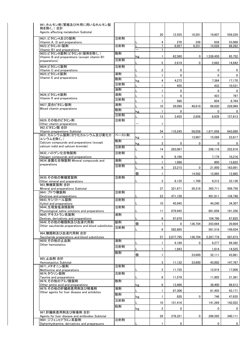| 961 ホルモン剤(繁殖及び外用に用いるホルモン製                                            |       |    |                         |           |         |                     |             |
|----------------------------------------------------------------------|-------|----|-------------------------|-----------|---------|---------------------|-------------|
| 剤を除く。)合計<br>Agents affecting metabolism Subtotal                     |       |    |                         |           |         |                     |             |
| 9621 ビタミンA及びD製剤                                                      | 注射剤   |    | 20                      | 12,555    | 10,261  | 19.607              | 559,229     |
| Vitamin A, D and preparations                                        |       |    | 4                       | 270       | 339     | 638                 | 53,068      |
| 9622 ビタミンB1製剤                                                        | 注射剤   |    | $\overline{7}$          | 6,957     | 8,251   | 15,028              | 86,282      |
| Vitamin B1 and preparations<br>9623_ビタミンB製剤(ビタミンB1製剤を除く。)            | 散剤    |    | $\mathbf{1}$            |           |         |                     |             |
| Vitamin B and preparations (except vitamin B1                        |       | kg | $\mathbf{1}$            | 62,560    | 0       | 1,538,450           | 65,752      |
| preparations)                                                        | 注射剤   |    | 5                       | 2,619     | 0       | 2,662               | 14,842      |
| 9624 ビタミンC製剤                                                         | 注射剤   |    |                         |           |         |                     |             |
| Vitamin C and preparations<br>9625 ビタミンE製剤                           | 液剤    |    | $\overline{\mathbf{c}}$ | 0         |         | $\mathbf 0$         | 0           |
| Vitamin E and preparations                                           | 散剤    |    | $\mathbf{1}$            | 0         |         | $\mathbf 0$         | 0           |
|                                                                      | 注射剤   | kg | 4<br>$\mathbf{1}$       | 4,272     |         | 7,364               | 17.170      |
|                                                                      | 油剤    |    | $\mathbf{1}$            | 455<br>0  |         | 432<br>$\mathbf{0}$ | 10,531<br>0 |
| 9626 ビタミンK製剤                                                         | 液剤    |    | $\mathbf{1}$            | 0         |         | 423                 | 797         |
| Vitamin K and preparations                                           | 注射剤   |    | 1                       | 560       |         | 604                 | 8,764       |
| 9627 混合ビタミン製剤                                                        | 液剤    |    | 10                      | 29,099    | 46,610  | 98,620              | 228,069     |
| Mixed vitamin preparations                                           | 散剤    | kg | $\mathbf{1}$            | 0         |         | $\mathbf 0$         | $\Omega$    |
|                                                                      | 注射剤   |    | 13                      | 3,455     | 2,858   | 6,839               | 157,813     |
| 9629 その他のビタミン剤                                                       | 注射剤   |    |                         |           |         |                     |             |
| Other vitamin preparations                                           |       |    | $\mathbf{1}$            |           |         |                     |             |
| 962 ビタミン類 合計<br>Vitamin preparetions Subtotal                        |       |    | 54                      | 110,245   | 58,058  | 1,671,058           | 643,089     |
| 9631 カルシウム製剤(ヨウ化カルシウム及び臭化カ                                           | ペースト剤 | kg | $\mathbf{1}$            |           | 13,967  | 15,589              | 23,817      |
| ルシウムを除く。)<br>Calcium compounds and preparations (except              | 散剤    |    | 3                       |           |         |                     |             |
| calcium iodid and calcium bromide)                                   | 注射剤   | kg |                         | 0         | 0       | 0                   | 0           |
| 9632 ハロゲン化合物製剤                                                       | 注射剤   |    | 14                      | 283,067   |         | 298,116             | 252,818     |
| Halogen compounds and preparations                                   |       |    | 6                       | 6,166     |         | 7,179               | 10,216      |
| 9634 金属化合物製剤 Mineral compounds and                                   | 液剤    |    | $\mathbf{1}$            | 1,088     |         | 800                 | 13,822      |
| preparations                                                         | 注射剤   |    | 8                       | 23,215    | 0       | 21,950              | 163,091     |
|                                                                      |       | 個  | $\mathbf{1}$            |           | 14,582  | 12,865              | 12,865      |
| 9639 その他の無機質製剤                                                       | 注射剤   |    |                         |           |         |                     |             |
| Other mineral and preparations<br>963 無機質製剤 合計                       |       |    | 3                       | 8,135     | 1,769   | 9,212               | 33,130      |
| Mineral and preparations Subtotal                                    |       |    | 37                      | 321,671   | 30.318  | 365,711             | 509,759     |
| 9641 ブドウ糖製剤<br>Dextrose and preparations                             | 注射剤   |    | 23                      | 471,150   |         | 491,911             | 134,748     |
| 9643 キシリトール製剤                                                        | 注射剤   |    |                         |           |         |                     |             |
| Xylitol and preparations                                             |       |    | 10                      | 45,945    |         | 44.240              | 34,307      |
| 9644_生理食塩液類製剤<br>Physiological saline solutions and preparations     | 注射剤   |    | 11                      | 879,945   |         | 861,656             | 181,356     |
| 9645 デキストラン系製剤                                                       | 液剤    |    |                         |           |         |                     |             |
| Dextran, derivatives and preparations<br>9649 その他の糖類剤及び血液代用剤         | 錠剤    |    | 6                       | 97,870    |         | 104.790             | 67,625      |
| Other saccharide preparations and blood substitutes                  | 注射剤   | 個  | $\mathbf{1}$            | 0         | 136,704 | 203,664             | 20.804      |
| 964 糖類剤及び血液代用剤 合計                                                    |       |    | 6                       | 582,885   |         | 581,518             | 149,034     |
| Saccharide preparations and blood substitutes                        |       |    | 57                      | 2,077,795 | 136,704 | 2,287,778           | 587,873     |
| 9659 その他の止血剤                                                         | 液剤    |    | $\mathbf{1}$            | 9,189     | 0       | 9,277               | 89,382      |
| Other hemostatics                                                    | 注射剤   |    | $\mathbf{1}$            | 1,943     |         | 1,614               | 14,525      |
|                                                                      | 散剤    | 個  | $\mathbf{1}$            |           | 33,600  | 32,111              | 43,861      |
| 965 止血剤 合計                                                           |       |    |                         |           |         |                     |             |
| Hemostastics Subtotal                                                |       |    | 3                       | 11,132    | 33.600  | 43.002              | 147,767     |
| 9671 メチオニン製剤<br>Methionine and preparations                          | 注射剤   |    | 3                       | 11,735    |         | 12,919              | 17,009      |
| 9674 タウリン製剤                                                          | 注射剤   |    |                         |           |         |                     |             |
| Taurine and preparations<br>9676 その他のアミノ酸製剤                          | 散剤    |    | 6                       | 11,579    |         | 11,805              | 21,361      |
| Other amino acid and preparations                                    |       | kg | 6                       | 13,466    |         | 38,400              | 68,913      |
| 9679_その他の肝臓疾患用剤及び解毒剤<br>Other agents for liver disease and antidotes | 液剤    |    | 1                       | 87,306    |         | 81,455              | 43,171      |
|                                                                      | 散剤    | kg | 1                       | 820       | 0       | 746                 | 47,635      |
|                                                                      | 注射剤   |    | 10                      | 151,416   |         | 141,269             | 142,022     |
|                                                                      | 粒剤    |    |                         |           |         |                     |             |
| 967 肝臓疾患用剤及び解毒剤 合計                                                   |       | kg | $\overline{2}$          | 0         |         | $\mathbf 0$         | 0           |
| Agents for liver disease and antibodies Subtotal                     |       |    | 29                      | 276,321   | 0       | 286,592             | 340,111     |
| 9681 ジフェンヒドラミン系製剤                                                    | 注射剤   |    | 1                       | 0         |         | 0                   |             |
| Diphenhydramine, derivatives and preparauons                         |       |    |                         |           |         |                     | 0           |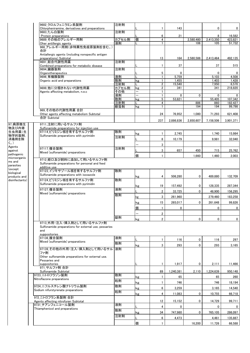|                | 9682 クロルフェニラミン系製剤                                                            | 注射剤         |                          |                     |              |                  |                |                   |
|----------------|------------------------------------------------------------------------------|-------------|--------------------------|---------------------|--------------|------------------|----------------|-------------------|
|                | Chlorpheniramine, derivatives and preparations                               |             |                          | $\mathbf{1}$        | 143          |                  | 0              | 0                 |
|                | 9683 たん白製剤                                                                   | 注射剤         |                          |                     |              |                  |                |                   |
|                | Protein preparations                                                         |             | 個                        | 6<br>$\overline{4}$ | 21           |                  | 8<br>2,413,350 | 16,582            |
|                | 9689 その他のアレルギー用剤<br>Oher antillergic agents                                  | カプセル剤<br>液剤 |                          | 1                   |              | 2,580,480<br>106 |                | 423,821<br>51,732 |
|                | 968_アレルギー用剤(非特異性免疫原製剤を含む。)                                                   |             |                          |                     |              |                  | 105            |                   |
|                | 合計                                                                           |             |                          |                     |              |                  |                |                   |
|                |                                                                              |             |                          |                     |              |                  |                |                   |
|                | Antiallergic agents (including nonspecific antigen<br>preparations) Subtotal |             |                          | 13                  |              |                  |                | 492,135           |
|                | 9691_総合代謝性用薬                                                                 | 注射剤         |                          |                     | 164          | 2,580,586        | 2,413,464      |                   |
|                | Combined preparations for metabolic disease                                  |             |                          | $\mathbf{1}$        | 37           |                  | 37             | 515               |
|                | 9694 臓器製剤                                                                    | 注射剤         |                          |                     |              |                  |                |                   |
|                | Organotherapeutics                                                           |             |                          | 5                   | 0            |                  | 0              | $\mathbf 0$       |
|                | 9696_有機酸製剤                                                                   | 液剤          |                          | $\mathbf{1}$        | 5,759        |                  | 5,103          | 4,508             |
|                | Organic acid and preparations                                                | 散剤          | kg                       | $\mathbf{1}$        | 1,455        |                  | 1,403          | 1,428             |
|                |                                                                              | 注射剤         |                          | $\overline{2}$      | 15,540       |                  | 7,950          | 6,570             |
|                | 9699 他に分類きれない代謝性用薬                                                           | カプセル剤       | kg                       | $\mathbf{2}$        | 341          |                  | 341            | 218,820           |
|                | Agents affecting metabolism, n.e.c                                           | その他         | $\overline{\phantom{0}}$ | $\mathbf{1}$        |              |                  |                |                   |
|                |                                                                              | 液剤          | $\overline{\phantom{0}}$ | $\mathbf{1}$        | $\mathbf{0}$ | 0                | 0              | 0                 |
|                |                                                                              | 散剤          | kg                       | 5                   | 53,821       |                  | 55,405         | 107,342           |
|                |                                                                              | 注射剤         |                          | 4                   |              | 886              | 860            | 182,427           |
|                |                                                                              | 軟膏剤         | kg                       | $\mathbf{1}$        |              | 194              | 194            | 99,798            |
|                | 969_その他の代謝性用薬 合計                                                             |             |                          |                     |              |                  |                |                   |
|                | Other agents affecting metabolism Subtotal                                   |             |                          | 24                  | 76,952       | 1,080            | 71.293         | 621,408           |
|                | 合計 Subtotal                                                                  |             |                          |                     |              |                  |                |                   |
|                |                                                                              |             |                          | 237                 | 2,886,836    | 2,850,607        | 7,158,506      | 3,901,371         |
| 97 病原微生        | 9711 注射に用いるサルファ剤                                                             |             |                          |                     |              |                  |                |                   |
| 物及び内寄          | Sulfonamide preparations for injection use                                   |             |                          |                     |              |                  |                |                   |
| 生虫用薬(生         | 97114_ピリミジン核を有するサルファ剤                                                        | 散剤          |                          |                     |              |                  |                |                   |
| 物学的製剤,         | Sulfonamide preparations with pyrimidin                                      |             | kg                       | $\mathbf{1}$        | 2,745        |                  | 1,740          | 15,984            |
| 消毒剤を除          |                                                                              | 注射剤         |                          | 8                   | 10,179       |                  | 9.981          | 32.040            |
| く。)            |                                                                              |             |                          |                     |              |                  |                |                   |
| Agents         |                                                                              |             |                          | 3                   |              |                  |                |                   |
| against        | 97117 複合製剤                                                                   | 注射剤         |                          | 3                   | 657          | 450              | 715            | 25,762            |
| pathogenic     | Mixed (sulfonamide) preparations                                             |             | 個                        | $\mathbf{1}$        |              |                  | 1,460          |                   |
| microorganis   |                                                                              |             |                          |                     |              | 1.660            |                | 2,003             |
| ms and         | 9712 経口及び飼料に添加して用いるサルファ剤                                                     |             |                          |                     |              |                  |                |                   |
| parasites      | Sulfonamide preparations for personal and feed                               |             |                          |                     |              |                  |                |                   |
| (except        | additive use                                                                 |             |                          |                     |              |                  |                |                   |
| biological     | 97123 イソキサゾール核を有するサルファ剤                                                      | 散剤          |                          |                     |              |                  |                |                   |
| products and   | Sulfonamide preparations with isoxazole                                      |             | kg                       | 4                   | 506,280      | 0                | 489,880        | 132,709           |
| disinfectants) | 97124 ピリミジン核を有するサルファ剤                                                        | 散剤          |                          |                     |              |                  |                |                   |
|                | Sulfonamide preparations with pyrimidin                                      |             |                          | 19                  |              | 0                |                |                   |
|                | 97127 複合製剤                                                                   | 液剤          | kg                       |                     | 157,492      |                  | 128,335        | 287,344           |
|                | Mixed (sulfonamide) preparations                                             |             |                          | $\overline{2}$      | 33,725       | 0                | 48,900         | 156,295           |
|                |                                                                              | 散剤          |                          | 3                   | 261,960      |                  | 279.460        | 183,258           |
|                |                                                                              |             | <u>kg</u>                |                     |              |                  |                |                   |
|                |                                                                              |             | kg                       | 15                  | 265,017      | 0                | 261,648        | 99,826            |
|                |                                                                              |             | 個                        | $\mathbf{1}$        | 0            |                  | 0              | 0                 |
|                |                                                                              |             |                          |                     |              |                  |                |                   |
|                |                                                                              |             |                          | $\overline{2}$      |              |                  |                |                   |
|                |                                                                              | 錠剤          | kg                       | $\overline{2}$      |              | 0                | 0              | $\overline{0}$    |
|                | 9713 外用・注入・挿入剤として用いるサルファ剤                                                    |             |                          |                     |              |                  |                |                   |
|                | Sulfonamide preparations for external use, pessaries                         |             |                          |                     |              |                  |                |                   |
|                | and                                                                          |             |                          |                     |              |                  |                |                   |
|                | suppositories                                                                |             |                          |                     |              |                  |                |                   |
|                | 97136 複合製剤                                                                   | 液剤          |                          |                     |              |                  |                |                   |
|                | Mixed (sulfonamide) preparations                                             |             |                          | $\mathbf{1}$        | 116          | 0                | 116            | 297               |
|                |                                                                              | 散剤          | kg                       | 3                   | 293          | 0                | 293            | 3,165             |
|                | 97139 その他の外用・注入・挿入剤として用いるサル                                                  | 液剤          |                          |                     |              |                  |                |                   |
|                | ファ剤                                                                          |             |                          |                     |              |                  |                |                   |
|                | Other sulfonamide preparations for external use.                             |             |                          |                     |              |                  |                |                   |
|                | Pessaries and                                                                |             |                          |                     |              |                  |                |                   |
|                | suppositories                                                                |             |                          | $\mathbf{1}$        | 1,917        | 0                | 2,111          | 11,466            |
|                | 971 サルファ剤 合計                                                                 |             |                          |                     |              |                  |                |                   |
|                | Sulfonamide Subtotal                                                         |             |                          | 69                  | 1,240,381    | 2,110            | 1,224,639      | 950,148           |
|                | 9723 ニトロフラゾン製剤                                                               | 散剤          |                          | 1                   | 65           |                  | 65             | 260               |
|                | Nitroflazone preparations                                                    |             | kg                       |                     |              |                  |                |                   |
|                |                                                                              | 粒剤          | kg                       | $\mathbf{1}$        | 746          |                  | 746            | 18,194            |
|                | 9724 ニフルスチレン酸ナトリウム製剤                                                         | 散剤          |                          |                     |              |                  |                |                   |
|                | Sodium nifurstyrenate preparations                                           | 粒剤          | kg                       | 6                   | 3,259        |                  | 3,165          | 14,540            |
|                |                                                                              |             | kg                       | 4                   | 11,083       | 0                | 10,755         | 66,718            |
|                | 972 ニトロフラン系製剤 合計                                                             |             |                          |                     |              |                  |                |                   |
|                | Agents affecting nitrofuran Subtotal                                         |             |                          | 12                  | 15,152       | 0                | 14,729         | 99,711            |
|                | 9731 チアンフェニコール製剤                                                             | 液剤          |                          | 4                   | 0            |                  | 0              | 0                 |
|                | Thiamphenicol and preparations                                               | 散剤          |                          |                     |              |                  |                |                   |
|                |                                                                              |             | kg                       | 34                  | 747,980      | 0                | 765,105        | 286,097           |
|                |                                                                              | 注射剤         |                          | 6                   | 4,473        |                  | 4,461          | 135,887           |
|                |                                                                              |             |                          |                     |              |                  |                |                   |
|                |                                                                              |             | 個                        |                     |              | 16,200           | 11,726         | 66,588            |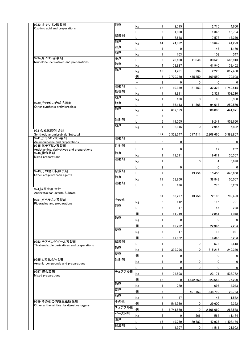|                                                              | 液剤        |              |                         |              |           |           |                      |
|--------------------------------------------------------------|-----------|--------------|-------------------------|--------------|-----------|-----------|----------------------|
| 9732 オキソリン酸製剤<br>Oxolinic acid and preparations              |           | kg           | $\mathbf{1}$            | 2,715        |           | 2,715     | 4,660                |
|                                                              | 懸濁剤       |              | 5                       | 1,800        |           | 1,345     | 16,704               |
|                                                              | 散剤        |              | 4                       | 7,648        |           | 7,572     | 17,370               |
|                                                              | 油剤        | kg           | 14                      | 24,862       |           | 13,642    | 44,223               |
|                                                              | 粒剤        |              | $\mathbf{1}$            | 0            |           | 145       | 1,160                |
| 9734_キノロン系製剤                                                 | 液剤        | kg           | $\mathbf{1}$            | 103          |           | 103       | 547                  |
| Quinolone, derivatives and preparations                      | 散剤        |              | 6                       | 20,100       | 11,046    | 30,528    | 566,913              |
|                                                              | 錠剤        | kg           | 4                       | 73,827       |           | 41.940    | 39,402               |
|                                                              |           | kg           | 18                      | 1,201        | 994       | 2,225     | 817,460              |
|                                                              |           | 個            | 6                       | 3,720,250    | 455,850   | 1,169,550 | 70,908               |
|                                                              | 注射剤       | <sup>-</sup> | 3                       | 0            | 0         | 0         | 0                    |
|                                                              | 軟膏剤       |              | 12                      | 10,939       | 21,753    | 32,322    | 1,749,515            |
|                                                              | 粒剤        | kg           | 1                       | 1,991        |           | 2,321     | 302,210              |
| 9739 その他の合成抗菌剤                                               | 液剤        | kg           | $\mathbf{1}$            | 138          | 0         | 83        | 8,300                |
| Other synthetic antimicrobials                               | 散剤        |              | 8                       | 86,113       | 11,568    | 94,617    | 259,560              |
|                                                              |           | kg           | $\overline{7}$          | 602,559      |           | 606,080   | 441,871              |
|                                                              | 注射剤       | —            | 3                       |              |           |           |                      |
|                                                              | 粒剤        |              | 6                       | 19,005       |           | 19,241    | 553,660              |
| 973 合成抗菌剤 合計                                                 |           | kg           | 1                       | 2,945        | 0         | 2,945     | 5,822                |
| Synthetic antimicrobials Subtotal                            |           |              | 147                     | 5,328,647    | 517,411   | 2,808,665 | 5,388,857            |
| 9741_アミノキノリン製剤<br>Aminoquinoline and preparations            | 注射剤       |              | $\overline{\mathbf{c}}$ | 0            |           | 0         | 0                    |
| 9745_抗チアミン系製剤                                                | 注射剤       |              |                         |              |           |           |                      |
| Antithiamine, derivatives and preparations<br>9746_複合製剤      | 散剤        |              | $\mathbf{1}$            | 0            |           | 12        | 202                  |
| Mixed preparations                                           | 注射剤       | kg           | 9                       | 19,311       |           | 19,611    | 35,357               |
|                                                              |           | kg           | $\mathbf{1}$            |              | 0         | 4         | 6,998                |
| 9749 その他の抗原虫剤                                                | 懸濁剤       |              | $\overline{\mathbf{c}}$ | 0            |           | 0         | 0                    |
| Other antiprotozoan agents                                   |           |              | $\overline{2}$          |              | 13,756    | 13,450    | 645,600              |
|                                                              |           |              |                         |              |           |           |                      |
|                                                              | 散剤        | kg           | 11                      | 38,800       |           | 38,843    | 105,067              |
|                                                              | 注射剤       |              | 3                       | 186          |           | 276       | 6,269                |
| 974_抗原虫剤 合計<br>Antiprotozoan agents Subtotal                 |           |              |                         |              |           |           |                      |
|                                                              |           |              | 31                      | 58,297       | 13,756    | 72,196    | 799,493              |
| 9751 ピペラジン系製剤<br>Piperazine and preparations                 | その他       | kg           | $\overline{2}$          | 112          |           | 115       | 721                  |
|                                                              | 液剤        |              | $\overline{2}$          | 47           |           | 56        |                      |
|                                                              |           | 個            | 1                       | 11,719       |           | 12,851    | 4,048                |
|                                                              | 散剤        | kg           | $\mathbf{1}$            | 0            |           | 0         |                      |
|                                                              |           | 個            | $\mathbf{1}$            | 19,292       |           | 22,965    | 7,234                |
|                                                              | 錠剤        | kg           | 3                       | 17           |           | 18        | 921                  |
|                                                              |           | 個            | $\overline{2}$          | 17,622       |           | 16,346    | 6,293                |
| 9752 チアベンダゾール系製剤                                             | 懸濁剤       |              | 1                       |              | 0         | 578       | 228<br>0<br>2,618    |
| Thiabendazole derivatives and preparations                   | 散剤        |              | 4                       |              | 0         | 315,216   | 249,340              |
|                                                              | 錠剤        | kg           | $\mathbf{1}$            | 339,796<br>0 |           | 0         | 0                    |
| 9755_ヒ素化合物製剤                                                 | 注射剤       | 個            |                         |              |           |           |                      |
| Arsenic compounds and preparations                           |           | kg           | 1                       | 0            | 0         | 0         | 0                    |
| 9757_複合製剤                                                    | チュアブル剤    |              | $\mathbf{1}$            | 0            | 0         | 0         | 0                    |
| Mixed preparations                                           |           | kg           | 8                       | 24,508       |           | 23,171    | 533,762              |
|                                                              | 散剤        | 個            | 12                      | 0            | 4,872,660 | 1,823,652 | 175,290              |
|                                                              | 錠剤        | kg           | $\mathbf{1}$            | 720          |           | 697       | 4,043                |
|                                                              | 粒剤        | 個            | 6                       |              | 401,763   | 848,710   | 122,733              |
|                                                              |           | kg           | $\overline{2}$          | 47           |           | 47        | 1,552                |
| 9759_その他の内寄生虫駆除剤<br>Other anthelmintics for digestive organs | その他       | 個            | 6                       | 514,960      | 0         | 29,600    | 5,352                |
|                                                              | チュアブル剤    | 個            | 8                       | 8,741,560    | 0         | 2,106,660 | 263,558              |
|                                                              | ペースト剤     | kg           | 4                       | 0            | 566       | 564       |                      |
|                                                              | 液剤<br>懸濁剤 |              | 16                      | 19,739       | 29,783    | 42,937    | 111,174<br>1,403,136 |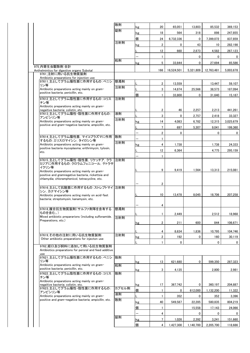|                                                                                                         | 散剤    | kg | 20             | 65,051       | 13,803      | 85,532       | 369,153   |
|---------------------------------------------------------------------------------------------------------|-------|----|----------------|--------------|-------------|--------------|-----------|
|                                                                                                         | 錠剤    | kg | 18             | 564          | 318         | 898          | 247,855   |
|                                                                                                         |       | 個  | 24             | 6,732,336    | $\mathbf 0$ | 7,399,072    | 837,859   |
|                                                                                                         | 注射剤   | kg | $\overline{2}$ | 0            | 43          | 10           | 282,198   |
|                                                                                                         |       |    | 12             | 660          |             | 4,582        |           |
|                                                                                                         |       |    |                |              | 2,873       |              | 267,123   |
|                                                                                                         | 粒剤    |    | $\mathbf{1}$   |              | 0           | 0            | 0         |
| 975 内寄生虫駆除剤 合計                                                                                          |       | kg | 5              | 33,844       | $\mathbf 0$ | 27,694       | 85,586    |
| Anthelmintics for digestive organs Subotal                                                              |       |    | 166            | 16,524,501   | 5,321,809   | 12,763,481   | 5,003,678 |
| 9761 注射に用いる抗生物質製剤                                                                                       |       |    |                |              |             |              |           |
| Antibiotic preparations for injection use<br>97611_主としてグラム陽性菌に作用するもの:ペニシ                                | 懸濁剤   |    |                |              |             |              |           |
| リン等                                                                                                     | 注射剤   |    | $\overline{2}$ | 13,559       |             | 13,447       | 59,107    |
| Antibiotic preparations acting mainly on gram-<br>positive bacteria; penicillin, etc.                   |       |    | 3              | 14,874       | 25,566      | 38,573       | 187,094   |
| 97612 主としてグラム陰性菌に作用するもの:コリス                                                                             | 注射剤   | 個  | $\mathbf{1}$   | 33,800       | 0           | 31,640       | 15,187    |
| チン等                                                                                                     |       |    |                |              |             |              |           |
| Antibiotic preparations acting mainly on gram-<br>negaitive bacteria; colistin, etc.                    |       |    | 2              | 46           | 2,257       | 2,213        | 441,261   |
| 97613_主としてグラム陽性・陰性菌に作用するもの:                                                                             | 液剤    |    | 3              |              |             |              |           |
| アンピシリン等                                                                                                 | 注射剤   |    |                | 0            | 2,757       | 2,418        | 33,327    |
| Antibiotic preparations acting mainly on gram-<br>positive and gram-negative bacteria; ampicillin, etc. |       | kg | 14             | 4,083        | 6,782       | 12,315       | 3,025,679 |
|                                                                                                         |       |    | $\overline{7}$ | 697          | 5,307       | 9,041        | 199,360   |
| 97614_主としてグラム陽性菌, マイコプラズマに作用                                                                            | 散剤    | —  | $\overline{2}$ | $\mathbf{0}$ |             | $\mathbf{0}$ | 0         |
| するもの :エリスロマイシン. タイロシン等                                                                                  | 注射剤   |    | $\mathbf{1}$   |              |             |              |           |
| Antibiotic preparations acting mainly on gram-<br>positive bacteria mycoplasma; erithrimycin, tylosin,  |       | kg | 4              | 1,738        |             | 1,738        | 24,333    |
| etc.                                                                                                    |       | L  | 12             | 6,364        |             | 4,775        | 295,159   |
|                                                                                                         |       |    | $\mathbf{1}$   |              |             |              |           |
| 97615 主としてグラム陽性・陰性菌. リケッチア. クラ<br>ミジアに作用するもの:クロラムフェニコール, テトラサ                                           | 注射剤   |    |                |              |             |              |           |
| イクリン等                                                                                                   |       |    |                |              |             |              |           |
| Antibiotic preparations acting mainly on gram-                                                          |       |    | 9              | 9,419        | 1,564       | 13,313       | 215,081   |
| positive and gramnegative bacteria, rickettsia and<br>chlamydia; chloramphenicol, tetracycline, etc.    |       |    |                |              |             |              |           |
|                                                                                                         |       |    | 2              |              |             |              |           |
| 97616_主として抗酸菌に作用するもの:ストレプトマイ 注射剤                                                                        |       |    |                |              |             |              |           |
| シン. カナマイシン等<br>Antibiotic preparations acting mainly on acid-fast                                       |       |    | 10             | 13.478       | 8,045       | 18,706       | 207,258   |
| bacteria; streptomysin, kanamysin, etc.                                                                 |       |    |                |              |             |              |           |
|                                                                                                         |       |    | 4              |              |             |              |           |
| 97618 複合抗生物質製剤(サルファ剤等を含有する                                                                              | 懸濁剤   |    |                |              |             |              |           |
| ものを含む。)<br>Mixed antibiotic prepararions (including sulfonamide.                                        | 注射剤   |    | 1              | 2,449        |             | 2,512        | 18,968    |
| Preparations, etc.)                                                                                     |       | kg | 2              | 211          | 600         | 844          | 106,671   |
|                                                                                                         |       |    |                |              |             |              |           |
|                                                                                                         |       |    | 4              | 8,634        | 1,836       | 10,795       | 104,746   |
| 97619 その他の注射に用いる抗生物質製剤<br>Other antibiotic preparations for injecton use                                | 注射剤   | kg | 2              | 192          | 0           | 160          | 30,119    |
|                                                                                                         |       |    | $\mathbf{1}$   | 0            |             | 0            | 0         |
| 9762 経口及び飼料に添加して用いる抗生物質製剤<br>Antibiotics preparations for peroral and feed additive                     |       |    |                |              |             |              |           |
| use                                                                                                     |       |    |                |              |             |              |           |
| 97621 主としてグラム陽性菌に作用するもの:ペニシ                                                                             | 散剤    |    |                |              |             |              |           |
| リン等<br>Antibiotic preparations acting mainly on gram-                                                   | 粒剤    | kg | 13             | 621,680      | 0           | 599,350      | 287,323   |
| positive bacteria; penicillin, etc.                                                                     |       | kg | 3              | 4,135        |             | 2,800        | 2,981     |
| 97622_主としてグラム陰性菌に作用するもの:コリス                                                                             | 散剤    |    |                |              |             |              |           |
| チン等<br>Antibiotic preparations acting mainly on gram-                                                   |       |    |                |              |             |              |           |
| negaitive bacteria; colistin, etc.                                                                      |       | kg | 17             | 367,742      | 0           | 360,197      | 204,887   |
| 97623 主としてグラム陽性・陰性菌に作用するもの:<br>アンピシリン等                                                                  | カプセル剤 | 個  | $\mathbf{1}$   | 0            | 612,000     | 1,132,200    | 11,322    |
| Antibiotic preparations acting mainly on gram-                                                          | 液剤    | L  | $\mathbf{1}$   | 352          | 0           | 352          | 3,396     |
| positive and gram-negative bacteria; ampicillin, etc.                                                   | 散剤    | kg | 40             | 549,587      | 22,285      | 580,835      | 804,219   |
|                                                                                                         |       | 個  | $\mathbf{1}$   |              | 15,558      | 17,143       | 24,066    |
|                                                                                                         |       |    | 4              |              | 0           | 0            | 0         |
|                                                                                                         | 錠剤    | kg | $\overline{7}$ | 1,026        | 2,392       | 3,241        | 151,660   |
|                                                                                                         |       |    |                |              |             |              |           |
|                                                                                                         |       | 個  | 4              | 1,427,300    | 1,140,700   | 2,205,700    | 118,686   |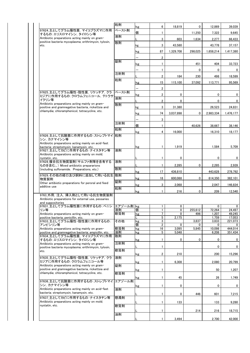|                                                                         | 粒剤        | kg                       | 6                       | 18,819    | 0                 | 12.869      | 39,039       |
|-------------------------------------------------------------------------|-----------|--------------------------|-------------------------|-----------|-------------------|-------------|--------------|
| 97624 主としてグラム陽性菌. マイコプラズマに作用                                            | ペースト剤     | 個                        | $\mathbf{1}$            |           | 11,250            | 7,322       | 9,645        |
| するもの:エリスロマイシン, タイロシン等<br>Antibiotic preparations acting mainly on gram- | 液剤        |                          |                         |           |                   |             |              |
| positive bacteria mycoplasma; erithrimycin, tylosin,                    | 散剤        |                          | 3                       | 603       | 1,634             | 2,277       | 66,433       |
| etc.                                                                    |           | kg                       | 3                       | 43,580    |                   | 43,778      | 37,157       |
|                                                                         |           | kg                       | 87                      | 1,329,708 | 298,025           | 1,658,214   | 1,417,380    |
|                                                                         |           |                          | 2                       |           |                   |             |              |
|                                                                         | 錠剤        |                          |                         |           |                   |             |              |
|                                                                         |           | kg                       | $\mathbf{1}$            |           | 451               | 404         | 33,723       |
|                                                                         |           |                          | $\mathbf{1}$            |           | 0                 | 0           | 0            |
|                                                                         | 注射剤       |                          | $\overline{2}$          | 184       | 230               | 498         | 18,599       |
|                                                                         | 粒剤        |                          |                         |           |                   |             |              |
|                                                                         |           | kg                       | 15                      | 115,100   | 37,092            | 113,771     | 95,569       |
|                                                                         |           |                          | $\overline{\mathbf{c}}$ |           |                   |             |              |
| 97625_主としてグラム陽性・陰性菌, リケッチア, クラ<br>ミジアに作用するもの:クロラムフェニコール, テトラサ           | ペースト剤     | kg                       | $\overline{\mathbf{2}}$ | 0         |                   | 0           | 0            |
| イクリン等                                                                   | 液剤        |                          | $\overline{\mathbf{c}}$ | 0         |                   | 0           | 0            |
| Antibiotic preparations acting mainly on gram-                          | 散剤        |                          |                         |           |                   |             |              |
| positive and gramnegative bacteria, rickettsia and                      |           | kg                       | 3                       | 31,380    |                   | 26,523      | 24,831       |
| chlamydia: chloramphenicol, tetracycline, etc.                          |           | kg                       | 74                      | 3,037,898 | 0                 | 2,983,334   | 1,476,177    |
|                                                                         |           | $\overline{\phantom{0}}$ | 3                       |           |                   |             |              |
|                                                                         | 注射剤       |                          |                         |           |                   |             |              |
|                                                                         | 粒剤        | 個                        | $\mathbf{1}$            |           | 40,626            | 38,667      | 38,146       |
|                                                                         |           | kg                       | 4                       | 16,000    |                   | 16.310      | 18,177       |
| 97626 主として抗酸菌に作用するもの: ストレプトマイ                                           | 粒剤        |                          |                         |           |                   |             |              |
| シン.カナマイシン等<br>Antibiotic preparations acting mainly on acid-fast        |           |                          |                         |           |                   |             |              |
| bacteria; streptomysin, kanamysin, etc.                                 |           | kg                       | 1                       | 1,919     |                   | 1,584       | 5,709        |
| 97627 主としてカビに作用するもの : ナイスタチン等                                           | 液剤        |                          |                         |           |                   |             |              |
| Antibiotic preparations acting mainly on mold;<br>nystatin, etc.        |           |                          | 1                       | 0         |                   | 0           | 0            |
| 97628_複合抗生物質製剤(サルファ剤等を含有する                                              | 液剤        |                          |                         |           |                   |             |              |
| ものを含む。)Mixed antibiotic prepararions                                    |           |                          | $\mathbf{1}$            | 2,285     | 0                 | 2,285       | 2,939        |
| (including sulfonamide. Preparations, etc.)                             | 散剤        | kg                       | 17                      | 436,810   |                   | 443,628     | 278,792      |
| 97629_その他の経口及び飼料に添加して用いる抗生  散剤                                          |           |                          |                         |           |                   |             |              |
| 物質製剤                                                                    | 錠剤        | kg                       | 18                      | 600,088   | 0                 | 614,350     | 382,101      |
| Other antibiotic preparations for peroral and feed<br>additive use      |           | kg                       | 3                       | 2,068     |                   | 2,047       | 146,834      |
|                                                                         | 粒剤        | kg                       | $\mathbf{1}$            | 216       | 0                 | 209         | 12,540       |
| 9763 外用, 注入, 挿入剤として用いる抗生物質製剤                                            |           |                          |                         |           |                   |             |              |
| Antibiotic preparations for external use, pessaries                     |           |                          |                         |           |                   |             |              |
| and suppositories<br>97631_主としてグラム陽性菌に作用するもの:ペニシ                        | ール剤 kg    |                          | 1                       |           |                   |             | 0            |
| リン等                                                                     | エアゾ<br>液剤 | 個                        | $\mathbf{1}$            | 0<br>0    | 255,612           | 0<br>72,264 | 24,497       |
| Antibiotic preparations acting mainly on gram-                          | 軟膏剤       | kg                       | $\overline{7}$          | 0         | 496               | 1,207       | 49,245       |
| positive bacteria; penicillin, etc.                                     |           |                          | 5                       | 2,175     |                   | 1,759       | 17,053       |
| 97633_主としてグラム陽性・陰性菌に作用するもの:<br>アンピシリン等                                  | その他       | kg<br>個                  | 3<br>$\overline{2}$     | 0         | 3,837<br>$\Omega$ | 3,833<br>0  | 221,073<br>0 |
| Antibiotic preparations acting mainly on gram-                          | 軟膏剤       | kg                       | 16                      | 3,095     | 5.845             | 10.098      | 444,014      |
| positive and gramnegative bacteria; ampicillin, etc.                    | 油剤        | kg                       | 5                       | 5.048     |                   | 6,208       | 351.434      |
| 97634_主としてグラム陽性菌, マイコプラズマに作用                                            | 散剤        |                          |                         |           |                   |             |              |
| するもの:エリスロマイシン, タイロシン等<br>Antibiotic preparations acting mainly on gram- | 注射剤       | kg                       | $\mathbf{1}$            | 0         | 0                 | 0           | 0            |
| positive bacteria mycoplasma; erithrimycin, tylosin,                    |           |                          | $\mathbf{1}$            |           |                   | 0           | 0            |
| etc.                                                                    | 軟膏剤       |                          |                         |           |                   |             |              |
| 97635_主としてグラム陽性・陰性菌, リケッチア, クラ                                          | 液剤        | kg                       | 2                       | 210       |                   | 200         | 15,296       |
| ミジアに作用するもの:クロラムフェニコール等                                                  |           | kg                       | $\mathbf{1}$            | 6,308     |                   | 2,080       | 20,799       |
| Antibiotic preparations acting mainly on gram-                          | 錠剤        |                          |                         |           |                   |             |              |
| positive and gramnegative bacteria, rickettsia and                      |           | kg                       | 1                       |           |                   | 50          | 1,207        |
| chlamydia; chloramphenicol, tetracycline, etc.                          | 軟膏剤       |                          |                         |           |                   |             |              |
| 97636_主として抗酸菌に作用するもの: ストレプトマイ                                           | エアゾール剤    | kg                       | $\mathbf{1}$            | 45        |                   | 26          | 1,749        |
| シン.カナマイシン等                                                              |           |                          | $\mathbf{1}$            | 0         |                   | 0           | 0            |
| Antibiotic preparations acting mainly on acid-fast                      | 液剤        | kg                       |                         |           |                   |             |              |
| bacteria; streptomysin, kanamysin, etc.                                 |           |                          | 1                       | 0         | 446               | 601         | 7,215        |
| 97637 主としてカビに作用するもの: ナイスタチン等                                            | 懸濁剤       |                          |                         |           |                   |             |              |
| Antibiotic preparations acting mainly on mold;                          |           |                          | 1                       | 133       |                   | 133         | 9,280        |
| nystatin, etc.                                                          | 軟膏剤       |                          |                         |           |                   |             |              |
|                                                                         |           |                          |                         |           |                   |             |              |
|                                                                         |           |                          | $\mathbf{1}$            |           | 214               | 216         | 18,715       |
|                                                                         | 油剤        |                          | $\mathbf{1}$            | 3,494     |                   | 2,700       | 42,000       |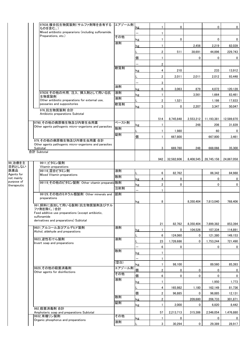|                           | 97638_複合抗生物質製剤(サルファ剤等を含有する<br>ものを含む。)                    | エアゾール剤 | kg | 1                       | 0           |             | 0           | 0           |
|---------------------------|----------------------------------------------------------|--------|----|-------------------------|-------------|-------------|-------------|-------------|
|                           | Mixed antibiotic prepararions (including sulfonamide.    |        | —  | 1                       |             |             |             |             |
|                           | Preparations, etc.)                                      | その他    |    |                         | 0           |             | 0           | 0           |
|                           |                                                          | 液剤     | kg |                         |             |             |             |             |
|                           |                                                          |        | kg | 1                       |             | 2,456       | 2,219       | 82,039      |
|                           |                                                          |        |    | $\overline{2}$          | 511         | 38,691      | 44,896      | 229,743     |
|                           |                                                          |        | 個  | 1                       |             | 0           | 0           | 0           |
|                           |                                                          |        |    | $\overline{2}$          |             |             |             |             |
|                           |                                                          | 軟膏剤    | kg | 4                       | 210         |             | 233         | 13,912      |
|                           |                                                          |        |    | $\overline{\mathbf{2}}$ | 2,011       | 2,011       | 2,012       | 93,448      |
|                           |                                                          |        |    | 3                       |             |             |             |             |
|                           |                                                          | 油剤     | kg | 6                       | 3,063       | 879         | 4,072       | 120,128     |
|                           | 97639_その他の外用, 注入, 挿入剤として用いる抗                             | 液剤     | kg |                         |             | 3,561       | 1,664       | 83,461      |
|                           | 生物質製剤<br>Other antibiotic preparations for external use, | 液剤     |    | $\overline{2}$          | 1,521       |             | 1,186       | 17,833      |
|                           | pessaries and suppositories                              | 軟膏剤    | kg | 3                       | 0           | 2,207       | 3,347       | 50,047      |
|                           | 976 抗生物質製剤 合計                                            |        |    |                         |             |             |             |             |
|                           | Antibiotic preparations Subtotal                         |        |    |                         |             |             |             |             |
|                           | 9790_その他の病原微生物及び内寄生虫用薬                                   | ペースト剤  |    | 514                     | 8,745,848   | 2,553,212   | 11,193,381  | 12,589,870  |
|                           | Other agents pathogenic micro-organisms and parasites    | 散剤     | kg | 1                       |             | 248         | 206         | 31,839      |
|                           |                                                          | 錠剤     |    | 1                       | 1,980       |             | 60          | 0           |
|                           | 979_その他の病原微生物及び内寄生虫用薬 合計                                 |        | 個  | $\overline{1}$          | 667,800     |             | 667.800     | 3,461       |
|                           | Other agents pathogenic micro-organisms and parasites    |        |    |                         |             |             |             |             |
|                           | Subtotal<br>合計 Subtotal                                  |        |    | 3                       | 669,780     | 248         | 668,066     | 35,300      |
|                           |                                                          |        |    |                         |             |             |             |             |
| 99_治療を主                   | 9911 ビタミン製剤                                              |        |    | 942                     | 32,582,606  | 8,408,545   | 28,745,158  | 24,867,058  |
| 目的としない                    | Vitamin preparations                                     |        |    |                         |             |             |             |             |
| 医薬品<br>Agents for         | 99116 混合ビタミン剤<br>Mixed Vitamin preparations              | 液剤     |    | 6                       | 82,762      |             | 86,342      | 84,988      |
| not mainly                |                                                          | 散剤     | kg | 4                       | 0           |             | 0           | 0           |
| purpose of<br>therapeutic | 99119_その他のビタミン製剤 Other vitamin preparati 散剤              |        | kg | $\overline{\mathbf{2}}$ | 0           |             | $\mathbf 0$ | 0           |
|                           |                                                          | 注射剤    |    |                         |             |             |             |             |
|                           | 99129 その他のミネラル類製剤 Other minerals and                     | 舐剤     |    |                         |             |             |             |             |
|                           | preparations                                             |        | kg | 8                       |             | 8.350.404   | 7,813,040   | 768,406     |
|                           | 991 飼料に添加して用いる製剤(抗生物質製剤及びサル<br>ファ剤を除く。)合計                |        |    |                         |             |             |             |             |
|                           | Feed additive use preparations (except antibiotic,       |        |    |                         |             |             |             |             |
|                           | sulfonamide<br>derivatives and preparations) Subtotal    |        |    |                         |             |             |             |             |
|                           |                                                          |        |    | 21                      | 82,762      | 8,350,404   | 7,899,382   | 853,394     |
|                           | 9921 アルコール及びアルデヒド製剤<br>Alchol, aldehyde and preparations | 液剤     | kg | $\mathbf{1}$            | $\mathbf 0$ | 104,526     | 107,334     | 114,891     |
|                           |                                                          |        |    | 6                       | 124,060     | 0           | 121,380     | 149,153     |
|                           | 9923 逆性石けん製剤<br>Invert soap and preparations             | 液剤     |    | 23                      | 1,726,686   | 0           | 1,753,244   | 721,490     |
|                           |                                                          |        | —  | 6                       | 0           |             | 0           | 0           |
|                           |                                                          | 散剤     | kg | $\mathbf{1}$            |             |             |             |             |
|                           |                                                          |        |    | $\mathbf{1}$            |             |             |             |             |
|                           |                                                          | (空白)   | kg | $\mathbf{1}$            | 98,100      |             | 89,560      | 85,393      |
|                           | 9929 その他の殺菌消毒剤                                           | エアゾール剤 | 個  | $\overline{\mathbf{2}}$ | $\mathbf 0$ | 0           | 0           | 0           |
|                           | Other agents for disinfections                           | その他    | 個  | 6                       | 0           | 0           | 0           | $\mathbf 0$ |
|                           |                                                          | 液剤     | kg | $\mathbf{1}$            |             |             | 1,950       | 1,773       |
|                           |                                                          |        | L  | 4                       | 165,982     | 1,180       | 162,149     | 81,736      |
|                           |                                                          |        | 個  | $\overline{2}$          | 96,885      | 0           | 96,885      | 12,131      |
|                           |                                                          | 散剤     | kg | $\overline{\mathbf{c}}$ |             | 209,680     | 206,733     | 301,871     |
|                           |                                                          | 錠剤     | kg | 1                       | 2,000       | 0           | 6,820       | 8,442       |
|                           | 992 殺菌消毒剤 合計                                             |        |    |                         |             |             |             |             |
|                           | Amphoteric soap and preparations Subtotal<br>9932 有機リン製剤 | その他    |    | 57                      | 2,213,713   | 315,386     | 2,546,054   | 1,476,880   |
|                           | Organic phosphorus and preparations                      | 液剤     | kg | $\mathbf{1}$            | $\mathbf 0$ |             | 0           | 0           |
|                           |                                                          |        |    | 3                       | 30,294      | $\mathbf 0$ | 29,389      | 28,917      |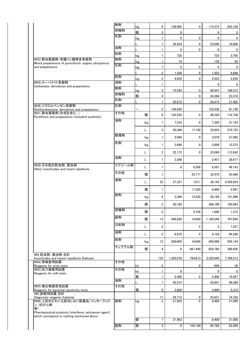|                                                                               | 散剤     | kg      | 6                       | 128,005          | 0             | 115,375          | 293,126          |
|-------------------------------------------------------------------------------|--------|---------|-------------------------|------------------|---------------|------------------|------------------|
|                                                                               | 首輪剤    | 個       | 3                       | 0                |               | 0                | 0                |
|                                                                               | 乳剤     | kg      | $\mathbf{1}$            | 0                | 0             | 0                | 0                |
|                                                                               |        |         | $\overline{7}$          | 26,424           | 0             | 23,040           | 16,608           |
|                                                                               | 油剤     | L       | $\mathbf{1}$            | 0                | $\mathbf 0$   | 0                | 0                |
|                                                                               | 粒剤     | kg      | $\mathbf{1}$            | 725              |               | 725              | 3,795            |
| 9933 除虫菊製剤・有機リン酸等含有製剤<br>Mixed prepararions of pyrecthrum, organic phosphorus | 散剤     | kg      | $\mathbf{1}$            | 10               |               | 130              | 50               |
| and preparations                                                              | 乳剤     | kg      | $\overline{7}$          | 0                | 0             | 0                | 0                |
|                                                                               | 粒剤     |         | $\overline{\mathbf{c}}$ | 1,306            | 0             | 1,025            | 8,846            |
| 9935 カーバメイト系製剤                                                                | 液剤     | kg      | $\overline{\mathbf{c}}$ | 4,820            | 0             | 4,323            | 5,529            |
| Carbamate, derivatives and preparations                                       | 散剤     |         | $\mathbf{1}$            |                  |               | 0                | 0                |
|                                                                               | 首輪剤    | kg<br>個 | 5<br>4                  | 75,542           | 0             | 89,647           | 188,512          |
|                                                                               | 乳剤     |         | 1                       | 20,672           | 0<br>0        | 24,384<br>20,672 | 23,316<br>21,402 |
| 9936 ジクロルベンゼン系製剤                                                              | 乳剤     |         |                         |                  |               |                  |                  |
| Dichilorobenzene, derivatives and preparations<br>9931 除虫菊製剤(合成を含む。)          | その他    |         | 2                       | 149,830          |               | 152,938          | 61,156           |
| Pyrethrum and preparations (includind synthetic)                              | 液剤     | 個       | 6                       | 103,220          | 0             | 98,520           | 116,736          |
|                                                                               |        | kg      | $\mathbf{1}$            | 7,333            | $\mathbf 0$   | 7,320            | 31,153           |
|                                                                               |        | Г       | 3                       | 20.386           | 17,180        | 33.654           | 275,735          |
|                                                                               | 懸濁剤    | kg      | $\mathbf{1}$            | 2,960            | 0             | 3,070            | 21,092           |
|                                                                               | 乳剤     | kg      | $\mathbf{1}$            | 2,896            | 0             | 2,896            | 13,375           |
|                                                                               |        | Г       | 3                       | 22,172           | $\mathbf 0$   | 23,069           | 112,842          |
|                                                                               | 油剤     | Г       | 1                       | 3,398            |               | 2,457            | 26,677           |
| 9939 その他の防虫剤, 殺虫剤<br>Other insecticides and insect repellents                 | エアゾール剤 | Г       | 1                       | 0                | 6,588         | 6,587            | 46,143           |
|                                                                               | その他    | 個       | 1                       |                  | 35,777        | 32,470           | 93,468           |
|                                                                               | 液剤     | L       | 25                      | 27,327           | 7,011         | 34,142           | 4,528,634        |
|                                                                               |        | 個       | 1                       |                  | 11,520        | 6,900            | 2,997            |
|                                                                               | 散剤     | kg      | 4                       | 3,396            | 15,220        | 26.186           | 141,966          |
|                                                                               |        | 個       | $\overline{2}$          | 20,160           |               | 368,106          | 185,093          |
|                                                                               | 首輪剤    | 個       | 2                       |                  | 4,728         | 1,890            | 1,312            |
|                                                                               | 錠剤     | 個       | 13                      | 446,620          | 18,660        | 1,180,248        | 767,699          |
|                                                                               | 注射剤    | L       | 2                       |                  | 5             | 2                | 7,257            |
|                                                                               | 油剤     | L       | 2                       | 6,970            | 0             | 6,128            | 84,296           |
|                                                                               | 粒剤     | kg      | 12                      | 200,605          | 16,684        | 284.888          | 295,124          |
|                                                                               | チュアブル剤 | 個       | 4                       | $\mathbf{0}$     | 661,440       | 650,760          | 396,656          |
| 993 防虫剤, 殺虫剤 合計<br>Insecticides and insect-repellents Subtotal<br>9952 尿検査用試薬 | その他    |         | 133                     | 1,305,070        | 794,813       | 3,230,940        | 7,799,512        |
| Reagents for urine tests                                                      |        | kit     | $\overline{2}$          |                  | 0             | 690              | 36               |
| 9953_乳汁検査用試薬<br>Reagents for milk tests                                       | その他    | kit     | $\mathbf{1}$            | $\mathbf 0$      |               | 0                | 0                |
|                                                                               | 液剤     | 個       | 1                       | 5,400            | 0             | 5,400            | 19,427           |
| 9955 微生物感受性試薬                                                                 | その他    | L       | 1                       | 45,515           |               | 43,941           | 49,389           |
| Reagents for bacterial sensitivity tests<br>995 診断用試薬 合計                      |        | 個       | 6                       | 3,800            |               | 3,800            | 5,310            |
| Diagnostic reagents Subtotal<br>9999_上記のどれにも該当しない医薬品(インターフェロ                  | 散剤     | kg      | 11<br>$\overline{2}$    | 54,715<br>21,963 | 0<br>$\Omega$ | 53,831<br>8,400  | 74,162<br>21,000 |
| ン、抗がん剤<br>等)<br>Pharmaceutical products (interferon, anticancer agent)        |        |         |                         |                  |               |                  |                  |
| which correspond to nothing mentioned above                                   |        | 個       | $\mathbf{1}$            | 21,963           |               | 8,400            | 21,000           |
|                                                                               | 錠剤     | 個       | 3                       | 0                | 105,140       | 85,780           | 53,209           |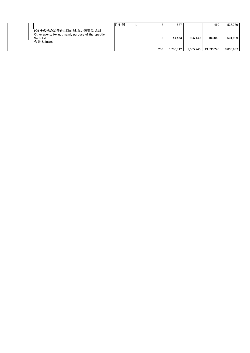|                                                                                | 注射剤 |     | 527       |           | 460        | 536.780    |
|--------------------------------------------------------------------------------|-----|-----|-----------|-----------|------------|------------|
| 999 その他の治療を主目的としない医薬品 合計<br>Other agents for not mainly purpose of therapeutic |     |     |           |           |            |            |
| Subtotal                                                                       |     |     | 44.453    | 105.140   | 103.040    | 631.989    |
| 合計 Subtotal                                                                    |     |     |           |           |            |            |
|                                                                                |     | 230 | 3.700.712 | 9.565.743 | 13.833.246 | 10.835.937 |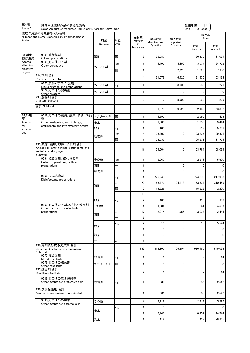| 第4表<br>Table 4      | 動物用医薬部外品の製造販売高<br>Sales Amount of Manufactured Quasi-Drugs for Animal Use         |        |                          |                      |                      |                  | 金額単位:千円<br>Unit: ¥1.000 |              |
|---------------------|-----------------------------------------------------------------------------------|--------|--------------------------|----------------------|----------------------|------------------|-------------------------|--------------|
| Action              | 薬理作用別の分類番号及び名称<br>Number and Name Classified by Pharmacological                   | 剤型     | 単位                       | 品目数<br>Number        | 製造数量<br>Manufactured | 輸入数量<br>Imported | 販売高<br>Sales            |              |
|                     |                                                                                   | Dosage | Unit                     | of<br>Medicines      | Quantity             | Quantity         | 数量<br>Quantity          | 金額<br>Amount |
| 93_消化<br>器官用薬       | 9343 油脂製剤<br>Oil and preparations                                                 | 舐剤     | 個                        | $\overline{2}$       | 26.587               |                  | 26,335                  | 11,061       |
| Agents<br>affecting | 9349_その他の下剤<br>Other purgatives                                                   |        | kg                       | $\mathbf{1}$         | 4,492                | 4,492            | 3,977                   | 34.772       |
| digestive<br>organs |                                                                                   | ペースト剤  | 個                        | 1                    |                      | 2,028            | 1,623                   | 7,300        |
|                     | 934_下剤 合計<br>Purgatives Subtotal                                                  |        |                          | 4                    | 31,079               | 6,520            | 31.935                  | 53,133       |
|                     | 9372 流動パラフィン製剤<br>Liguid praffine and preparations                                | ペースト剤  | kg                       | 1                    |                      | 3,000            | 233                     | 229          |
|                     | 9379 その他の浣腸剤<br>Other clysters                                                    | ペースト剤  | $\overline{\phantom{0}}$ | 1                    |                      | 0                | $\mathbf 0$             | 0            |
|                     | 937 浣腸剤 合計                                                                        |        |                          | 2                    | 0                    | 3,000            | 233                     | 229          |
|                     | <b>Clysters Subtotal</b><br>合計 Subtotal                                           |        |                          |                      |                      |                  |                         |              |
|                     |                                                                                   |        |                          | 6                    | 31,079               | 9,520            | 32.168                  | 53,362       |
| 95 外用<br>薬          | 9539 その他の鎮痛, 鎮痒, 収斂, 消炎<br>剤                                                      | エアゾール剤 | 個                        | 1                    | 4,992                |                  | 2,595                   | 1,453        |
| Agents              | Other analgesics, anti-itchings,                                                  | 液剤     |                          | 4                    | 1,685                | 0                | 1,856                   | 9,444        |
| for<br>external     | astringents and inflammatory agents                                               | 散剤     | kg                       | $\mathbf{1}$         | 188                  |                  | 212                     | 5,797        |
| use                 |                                                                                   | 軟膏剤    | kg                       | 4                    | 25,200               | 0                | 23,225                  | 29,571       |
|                     | 953 鎮痛, 鎮痒, 収斂, 消炎剤 合計                                                            |        | 個                        | $\mathbf{1}$         | 26,939               |                  | 25,876                  | 11,774       |
|                     | Analgesics, anti-itchings, astringents and<br>antiinflammatory agents<br>Subtotal |        |                          | 11                   | 59,004               | 0                | 53,764                  | 58,039       |
|                     | 9561 硫黄製剤, 硫化物製剤<br>Sulfur preparations, sulfide                                  | その他    | kg                       | $\mathbf{1}$         | 3,060                |                  | 2,211                   | 5,600        |
|                     | preparations                                                                      | 液剤     |                          | $\mathbf{1}$         |                      | 0                | 0                       | $\Omega$     |
|                     |                                                                                   | 懸濁剤    |                          | 1                    |                      | 0                | 0                       | $\Omega$     |
|                     | 9562 皮ふ洗浄剤<br>Disinfectants preparations                                          |        | kg                       | 4                    | 1,726,940            | 0                | 1,774,200               | 217,933      |
|                     |                                                                                   | 液剤     |                          | 72                   | 66,473               | 124,118          | 163,534                 | 310,469      |
|                     |                                                                                   |        | 個                        | $\overline{2}$       | 15,228               |                  | 15,228                  | 2,200        |
|                     |                                                                                   | 散剤     |                          | 15<br>$\overline{2}$ | 485                  |                  | 410                     | 338          |
|                     | 9569_その他の浴剤及び皮ふ洗浄剤                                                                | その他    | kg<br>L                  | 4                    | 1,984                |                  | 1,341                   | 4,507        |
|                     | Other bath and disinfectants<br>preparations                                      |        | L                        | 17                   | 2.014                | 1,086            | 3,033                   | 2,444        |
|                     |                                                                                   | 液剤     |                          | 9                    |                      |                  |                         |              |
|                     |                                                                                   |        | kg                       | $\overline{2}$       | 513                  | 0                | 513                     | 5,594        |
|                     |                                                                                   | 散剤     | L                        | 1                    | 0                    | 0                | 0                       | 0            |
|                     |                                                                                   | 粒剤     | L                        | 1                    | $\mathbf{0}$         | 0                | 0                       | $\mathbf{0}$ |
|                     |                                                                                   |        | L                        | $\mathbf{1}$         |                      |                  |                         |              |
|                     | 956 浴剤及び皮ふ洗浄剤 合計<br>Bath and disinfectants preparations<br>Subtotal               |        |                          | 133                  | 1,816,697            | 125,204          | 1,960,469               | 549,086      |
|                     | 9572 複合製剤<br>Mixed repellants                                                     | 軟膏剤    | kg                       | 1                    | 1                    |                  | $\overline{2}$          | 14           |
|                     | 9579 その他の嫌忌剤<br>Other repellants                                                  | エアゾール剤 | 個                        | $\mathbf{1}$         | 0                    | 0                | 0                       | 0            |
|                     | 957 嫌忌剤 合計<br>Repellants Subtotal                                                 |        |                          | 2                    | 1                    | 0                | 2                       | 14           |
|                     | 9589 その他の皮ふ保護剤                                                                    |        |                          |                      |                      |                  |                         |              |
|                     | Other agents for protective skin                                                  | 軟膏剤    | kg                       | 1                    | 831                  |                  | 685                     | 2,542        |
|                     | 958 皮ふ保護剤 合計<br>Agents for protective skin Subtotal                               |        |                          | $\mathbf{1}$         | 831                  | 0                | 685                     | 2,542        |
|                     | 9590 その他の外用薬<br>Other agents for external skin                                    | その他    | L                        | 1                    | 2,219                |                  | 2,219                   | 5,326        |
|                     |                                                                                   | 液剤     | kg                       | 1                    | 0                    | 0                | 0                       | 0            |
|                     |                                                                                   |        |                          | 9                    | 8,446                |                  | 8,451                   | 174,714      |
|                     |                                                                                   | 乳剤     | L                        | 1                    | 419                  |                  | 419                     | 28,365       |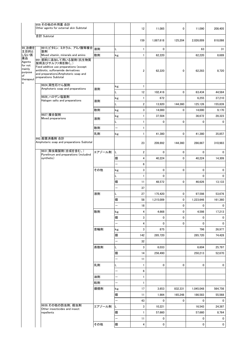|                                                           | 959 その他の外用薬 合計                                                                                                                                                                             |        |                          |                         |              |             |             |              |
|-----------------------------------------------------------|--------------------------------------------------------------------------------------------------------------------------------------------------------------------------------------------|--------|--------------------------|-------------------------|--------------|-------------|-------------|--------------|
|                                                           | Other agents for external skin Subtotal                                                                                                                                                    |        |                          | 12                      | 11,085       | 0           | 11,090      | 208,405      |
|                                                           | 合計 Subtotal                                                                                                                                                                                |        |                          | 159                     | 1,887,618    | 125,204     | 2,026,009   | 818,086      |
| 99 治療を                                                    | 9915_ビタミン, ミネラル, アミノ酸等複合<br>製剤                                                                                                                                                             | 液剤     | L                        | $\mathbf{1}$            | 0            |             | 63          | 31           |
| こ主し薬・<br>上にいい<br>こうにはいい                                   | Mixed vitamin, minerals and amino                                                                                                                                                          | 散剤     | kg                       | $\mathbf{1}$            | 62,220       |             | 62,220      | 8,689        |
| Agents<br>for not<br>mainly<br>purpose<br>of<br>therapeut | 991 飼料に添加して用いる製剤(抗生物質<br>製剤及びサルファ剤を除く。)<br>Feed additive use preparations (except<br>antibiotic, sulfonamide derivatives<br>and preparations) Amphoteric soap and<br>preparations Subtotal |        |                          | 2                       | 62,220       | 0           | 62,283      | 8,720        |
| ic                                                        | 9924_両性石けん製剤                                                                                                                                                                               |        | kg                       | $\mathbf{1}$            |              |             |             |              |
|                                                           | Amphoteric soap and preparations                                                                                                                                                           | 液剤     | L                        | 12                      | 102,416      | 0           | 63,434      | 44,584       |
|                                                           | 9926 ハロゲン塩製剤                                                                                                                                                                               |        | kg                       | $\mathbf{1}$            | 672          |             | 6,255       | 37,210       |
|                                                           | Halogen salts and preparations                                                                                                                                                             | 液剤     | L                        | $\overline{\mathbf{2}}$ | 13,920       | 144,360     | 125,126     | 155,839      |
|                                                           |                                                                                                                                                                                            | 散剤     | kg                       | 3                       | 14,000       | 0           | 14,000      | 9,170        |
|                                                           | 9927 複合製剤                                                                                                                                                                                  |        | kg                       | $\mathbf{1}$            | 37,504       |             | 36,672      | 28,323       |
|                                                           | Mixed prepararions                                                                                                                                                                         | 液剤     | L                        | 1                       | 0            | 0           | 0           | 0            |
|                                                           |                                                                                                                                                                                            | 散剤     |                          | $\mathbf{1}$            |              |             |             |              |
|                                                           |                                                                                                                                                                                            | 乳剤     | kg                       | 1                       | 41,380       | 0           | 41,380      | 35.857       |
|                                                           | 992_殺菌消毒剤 合計                                                                                                                                                                               |        |                          |                         |              |             |             |              |
|                                                           | Amphoteric soap and preparations Subtotal                                                                                                                                                  |        |                          | 23                      | 209,892      | 144,360     | 286,867     | 310,983      |
|                                                           | 9931 除虫菊製剤(合成を含む。)<br>Pyrethrum and preparations (includind                                                                                                                                | エアゾール剤 |                          | $\overline{\mathbf{2}}$ | $\mathbf{0}$ | 0           | 0           | $\mathbf{0}$ |
|                                                           | synthetic)                                                                                                                                                                                 |        | 個                        | 4                       | 40,224       | 0           | 40,224      | 14,309       |
|                                                           |                                                                                                                                                                                            |        |                          | 6                       |              |             |             |              |
|                                                           |                                                                                                                                                                                            | その他    | kg                       | 3                       | 0            | 0           | 0           | 0            |
|                                                           |                                                                                                                                                                                            |        |                          | $\mathbf{1}$            | 0            |             | 0           | 0            |
|                                                           |                                                                                                                                                                                            |        | 個                        | 11                      | 48,572       | 0           | 46,626      | 13,133       |
|                                                           |                                                                                                                                                                                            |        |                          | 37                      |              |             |             |              |
|                                                           |                                                                                                                                                                                            | 液剤     | L                        | 27                      | 175.420      | 0           | 97,598      | 53,676       |
|                                                           |                                                                                                                                                                                            |        | 個                        | 58                      | 1,215,009    | 0           | 1,223,646   | 161,360      |
|                                                           |                                                                                                                                                                                            |        |                          | 18                      |              | 0           | 0           | 0            |
|                                                           |                                                                                                                                                                                            | 散剤     | kg                       | 4                       | 4,668        | 0           | 4,598       | 17,213       |
|                                                           |                                                                                                                                                                                            |        | 個                        | 3                       | 0            | 0           | 0           | 0            |
|                                                           |                                                                                                                                                                                            |        | $\equiv$                 | $\overline{\mathbf{4}}$ | 0            | $\mathbf 0$ | $\mathbf 0$ | 0            |
|                                                           |                                                                                                                                                                                            | 首輪剤    | kg                       | 3                       | 875          |             | 796         | 26,977       |
|                                                           |                                                                                                                                                                                            |        | 個                        | 142                     | 285,720      |             | 285,720     | 74,428       |
|                                                           |                                                                                                                                                                                            |        | $\overline{\phantom{0}}$ | 32                      |              |             |             |              |
|                                                           |                                                                                                                                                                                            | 蒸散剤    | L                        | 3                       | 6,033        |             | 6,604       | 25.797       |
|                                                           |                                                                                                                                                                                            |        | 個                        | 14                      | 256,490      |             | 250,213     | 52,670       |
|                                                           |                                                                                                                                                                                            |        | $\overline{\phantom{0}}$ | 11                      |              |             |             |              |
|                                                           |                                                                                                                                                                                            | 乳剤     | L                        | $\mathbf{1}$            | 0            | 0           | 0           | 0            |
|                                                           |                                                                                                                                                                                            |        |                          | 6                       |              |             |             |              |
|                                                           |                                                                                                                                                                                            | 油剤     |                          | $\mathbf{1}$            |              |             |             |              |
|                                                           |                                                                                                                                                                                            | 粒剤     | $\overline{\phantom{0}}$ | $\mathbf{1}$            |              |             |             |              |
|                                                           |                                                                                                                                                                                            | 燻煙剤    | kg                       | 17                      | 3,653        | 832,331     | 1,045,048   | 564,756      |
|                                                           |                                                                                                                                                                                            |        | 個                        | 11                      | 1,984        | 165,248     | 186,583     | 55,568       |
|                                                           |                                                                                                                                                                                            |        |                          | 43                      | 0            | 0           | 0           | 0            |
|                                                           | 9939 その他の防虫剤. 殺虫剤<br>Other insecticides and insect                                                                                                                                         | エアゾール剤 | L                        | 3                       | 10,221       |             | 16,543      | 24,387       |
|                                                           | repellents                                                                                                                                                                                 |        | 個                        | $\mathbf{1}$            | 57,660       |             | 57,660      | 8,764        |
|                                                           |                                                                                                                                                                                            |        |                          | 11                      | 0            |             | 0           | 0            |
|                                                           |                                                                                                                                                                                            | その他    | 個                        | 4                       | 0            |             | 0           | $\mathbf 0$  |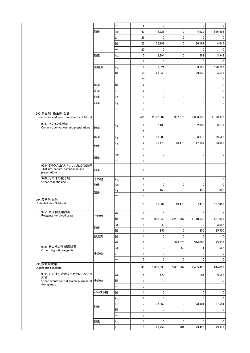|                                                                         |       | $\overline{\phantom{0}}$ | 5                       | $\mathbf 0$ |           | 0           | 0         |
|-------------------------------------------------------------------------|-------|--------------------------|-------------------------|-------------|-----------|-------------|-----------|
|                                                                         | 液剤    | kg                       | 43                      | 5,226       | 0         | 4,929       | 556,396   |
|                                                                         |       |                          | 26                      | 0           | 0         | 0           | 0         |
|                                                                         |       | 個                        | 22                      | 36,192      | 0         | 36,192      | 4,646     |
|                                                                         |       | $\overline{\phantom{0}}$ | 20                      | 0           |           | 0           | 0         |
|                                                                         | 散剤    | kg                       | 5                       | 2,294       | 0         | 1,392       | 3,942     |
|                                                                         |       | -                        | 1                       | 0           |           | 0           | 0         |
|                                                                         | 首輪剤   |                          | 6                       | 3,021       |           | 3,193       | 128,289   |
|                                                                         |       | kg                       |                         |             |           |             |           |
|                                                                         |       | 個                        | 55                      | 29.040      | 0         | 29,040      | 4,591     |
|                                                                         |       | —                        | 23                      | $\mathbf 0$ | 0         | 0           | 0         |
|                                                                         | 錠剤    | 個                        | $\overline{\mathbf{c}}$ |             | 0         | 0           | 0         |
|                                                                         | 乳剤    | L                        | 2                       | $\mathbf 0$ | 0         | 0           | 0         |
|                                                                         | 油剤    | kg                       | 1                       | 0           | 0         | $\mathbf 0$ | 0         |
|                                                                         | 粒剤    | kg                       | 9                       | 0           | 0         | 0           | 0         |
|                                                                         |       | -                        | 3                       |             |           |             |           |
| 993 防虫剤, 殺虫剤 合計<br>Insecticides and insect-repellents Subtotal          |       |                          | 705                     | 2,182,302   | 997,579   | 3,336,605   | 1,790,902 |
| 9943_クマリン系製剤<br>Cumarin, derivatives and preparations                   | 散剤    | kg                       | 1                       | 2,130       |           | 2,800       | 3,171     |
|                                                                         |       | —                        | 1                       |             |           |             |           |
|                                                                         | 錠剤    | kg                       | 1                       | 37,000      |           | 36,970      | 99,526    |
|                                                                         |       | kg                       | 2                       | 18,478      | 18,478    | 17,187      | 33,353    |
|                                                                         | 粒剤    | $\overline{\phantom{0}}$ | 1                       |             |           |             |           |
|                                                                         |       | kg                       | 2                       | 0           |           | 0           | 0         |
|                                                                         | 舐剤    | -                        | 1                       |             |           |             |           |
| 9944_タリウム及びバリウム化合物製剤<br>Thallium, barium, compounds and<br>preparations | 粒剤    |                          | 1                       |             |           |             |           |
| 9949_その他の殺そ剤                                                            | その他   | kg                       | 1                       | 0           | 0         | 0           | 0         |
| Other rodenticides                                                      | 粒剤    | kg                       | 1                       | 0           | 0         | 0           | 0         |
|                                                                         |       | kg                       | 2                       | 456         | 0         | 456         | 1,368     |
|                                                                         | 舐剤    | $\overline{a}$           | $\mathbf{1}$            |             |           |             |           |
| 994 殺そ剤 合計<br>Rodentickides Subtotal                                    |       |                          | 15                      | 58,064      | 18,478    | 57,413      | 137,418   |
| 9951_血液検査用試薬                                                            |       | kit                      | 1                       | 0           |           | 0           | 0         |
| Reagents for blood tests                                                | その他   | 個                        | 29                      | 1,030,940   | 3,281,887 | 4,110,606   | 537,369   |
|                                                                         |       | kit                      | 1                       | 40          |           | 19          | 3,692     |
|                                                                         | 液剤    | 個                        | 1                       | 850         | 0         | 850         | 25,500    |
|                                                                         | 懸濁剤   | 個                        | 1                       | 0           | 0         | 0           | 0         |
|                                                                         | -     | kit                      | 1                       |             | 399,570   | 344,000     | 75,979    |
| 9959 その他の診断用試薬                                                          |       | kit                      | 3                       | $\mathbf 0$ | 50        | 11          | 1,522     |
| Other diagnotic reagents                                                | その他   | L                        | 1                       | 0           |           | 0           | 0         |
|                                                                         |       | $\overline{\phantom{0}}$ | 5                       | 0           | 0         | 0           | 0         |
| 995 診断用試薬<br>Diagnostic reagents                                        |       |                          | 43                      | 1,031,830   | 3,681,507 | 4,455,486   | 644,062   |
| 9990 その他の治療を主目的としない医                                                    |       | kit                      | 1                       | 477         | 0         | 504         | 3,528     |
| 薬品<br>Other agents for not mainly purpose of その他                        |       | 個                        | 1                       | 0           |           | 0           | 0         |
| therapeutic                                                             |       | -                        | 2                       |             |           |             |           |
|                                                                         | ペースト剤 | 個                        | 1                       | 0           |           | 0           | 0         |
|                                                                         |       | kg                       | 1                       | 0           |           | 0           | 0         |
|                                                                         |       | L                        | 7                       | 37,367      | 0         | 73,401      | 87,544    |
|                                                                         | 液剤    | 個                        | 7                       | 0           | 0         | 0           | 0         |
|                                                                         |       |                          | 1                       |             |           |             |           |
|                                                                         | 散剤    | kg                       | 1                       | 0           | 0         | 0           | 0         |
|                                                                         |       |                          | 5                       |             |           |             |           |
|                                                                         |       | L                        |                         | 22,257      | 201       | 23,420      | 23,373    |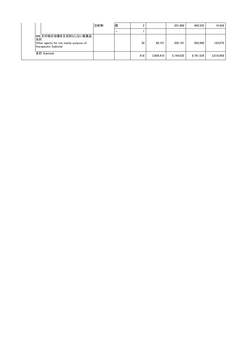|    |                                                                                         | 注射剤 | 個 |     |           | 301.900   | 465.555   | 10.426    |
|----|-----------------------------------------------------------------------------------------|-----|---|-----|-----------|-----------|-----------|-----------|
|    |                                                                                         |     |   |     |           |           |           |           |
| 合計 | 999_その他の治療を主目的としない医薬品<br>Other agents for not mainly purpose of<br>therapeutic Subtotal |     |   | 30  | 60.101    | 302.101   | 562.880   | 124.870   |
|    | 合計 Subtotal                                                                             |     |   | 818 | 3.604.410 | 5,144,025 | 8,761,534 | 3,016,956 |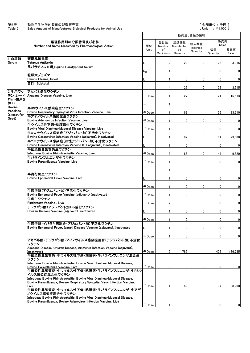|                           |                                                                                                                                      |              |                 |                    | 販売量、金額の情報            |                |              |
|---------------------------|--------------------------------------------------------------------------------------------------------------------------------------|--------------|-----------------|--------------------|----------------------|----------------|--------------|
|                           | 薬理作用別の分類番号及び名称<br>Number and Name Classified by Pharmacological Action                                                               | 単位           | 品目数<br>Number   | 製造数量<br>Manufactur | 輸入数量                 | Sales          | 販売高          |
|                           |                                                                                                                                      | Unit         | of<br>Medicines | ed<br>Quantity     | Imported<br>Quantity | 数量<br>Quantity | 販売高<br>Sales |
| 1.血清類<br>Serum            | 破傷風抗毒素<br><b>Tetanus Antitoxin</b>                                                                                                   |              | 2               | 22                 | $\Omega$             | 22             | 3,915        |
|                           | 馬パラチフス血清 Equine Paratyphoid Serum                                                                                                    |              | 1               |                    |                      |                |              |
|                           | 乾燥犬プラズマ                                                                                                                              | kg           |                 | 0                  | $\mathbf{0}$         | $\overline{0}$ | $\bf{0}$     |
|                           | Canine Plasma, Dried<br>合計 Subtotal                                                                                                  |              | 1               | 0                  | $\mathbf{0}$         | 0              | $\mathbf 0$  |
| 2年用ワク                     | アカバネ病生ワクチン                                                                                                                           |              | 4               | 22                 | $\Omega$             | 22             | 3,915        |
| ロット製剤を<br>除く)             | チン(シード  Akabane Disease Vaccine, Live                                                                                                | 千Dose        | $\mathbf{1}$    | 27                 |                      | 21             | 15,573       |
| <b>Bovine</b><br>Vaccines | 牛RSウイルス感染症生ワクチン                                                                                                                      |              |                 |                    |                      |                |              |
| (except for               | Bovine Respiratory Syncytial Virus Infection Vaccine, Live<br>牛アデノウイルス感染症生ワクチン                                                       | <b>千Dose</b> |                 | 63                 |                      | 56             | 23,610       |
| Seed)                     | Bovine Adenovirus Infection Vaccine, Live                                                                                            | $\mp$ Dose   |                 | 0                  | $\Omega$             | 0              | $\bf{0}$     |
|                           | 牛ウイルス性下痢-粘膜病生ワクチン                                                                                                                    |              |                 |                    |                      |                |              |
|                           | Bovine Viral Diarrhea-Mucosal Disease Vaccine. Live<br>牛コロナウイルス感染症(アジュバント加)不活化ワクチン                                                   | $\mp$ Dose   | 1               | 0                  | $\Omega$             | 0              | $\mathbf 0$  |
|                           | Bovine Coronavirus Infection Vaccine (adjuvant), Inactivated                                                                         |              |                 | 82                 |                      | 61             | 23,580       |
|                           | 牛コロナウイルス感染症(油性アジュバント加)不活化ワクチン<br>Bovine Coronavirus Infection Vaccine (Oil adjuvant), Inactivated                                    |              | $\mathbf{1}$    | 0                  |                      | $\overline{0}$ | $\bf{0}$     |
|                           | 牛伝染性鼻気管炎生ワクチン<br>Infectious Bovine Rhinotracheitis Vaccine, Live                                                                     | <b>千Dose</b> | 3               | 63                 | $\Omega$             | 44             | 9,620        |
|                           | 牛パラインフルエンザ生ワクチン                                                                                                                      |              |                 |                    |                      |                |              |
|                           | Bovine Parainfluenza Vaccine, Live                                                                                                   | $\mp$ Dose   |                 | $\Omega$           | $\Omega$             | 0              | 0            |
|                           |                                                                                                                                      |              |                 |                    |                      |                |              |
|                           | 牛流行熱生ワクチン<br>Bovine Ephemeral Fever Vaccine, Live                                                                                    |              |                 | 0                  |                      | 0              | 0            |
|                           |                                                                                                                                      | $\mp$ Dose   |                 | 0                  | $\Omega$             | $\overline{0}$ | $\mathbf 0$  |
|                           | 牛流行熱(アジュバント加)不活化ワクチン<br>Bovine Ephemeral Fever Vaccine (adjuvant), Inactivated                                                       | $\mp$ Dose   | 1               | 0                  |                      | 0              | $\mathbf 0$  |
|                           | 牛疫生ワクチン<br>Rinderpest Vaccine, Live                                                                                                  | $\mp$ Dose   | $\overline{2}$  | 0                  | $\overline{0}$       | 0              | 0            |
|                           | チュウザン病(アジュバント加)不活化ワクチン                                                                                                               |              |                 |                    |                      |                |              |
|                           | Chuzan Disease Vaccine (adjuvant), Inactivated                                                                                       |              | -1              | 0                  | $\Omega$             | $\overline{0}$ | 0            |
|                           |                                                                                                                                      | $\mp$ Dose   |                 | 0                  |                      | $\overline{0}$ | $\mathbf 0$  |
|                           | 牛流行熱・イバラキ病混合(アジュバント加)不活化ワクチン<br>Bovine Ephemeral Fever, Ibaraki Disease Vaccine (adjuvant), Inactivated                              |              | -1              | 0                  | $\overline{0}$       | 0              | 0            |
|                           |                                                                                                                                      |              |                 |                    |                      |                |              |
|                           | アカバネ病・チュウザン病・アイノウイルス感染症混合(アジュバント加)不活化                                                                                                | <b>千Dose</b> |                 | 0                  |                      | 0              | 0            |
|                           | ワクチン<br>Akabane Disease, Chuzan Disease, Ainovirus Infection Vaccine (adjuvant).                                                     |              |                 |                    |                      |                |              |
|                           | Inactivated<br>牛伝染性鼻気管炎・牛ウイルス性下痢–粘膜病・牛パラインフルエンザ混合生                                                                                   | 千Dose        | $\overline{2}$  | 782                |                      | 406            | 136,785      |
|                           | ワクチン<br>Infectious Bovine Rhinotracheitis, Bovine Viral Diarrhea-Mucosal Disease,<br>Bovine Parainfluenza Vaccine, Live              | <b>千Dose</b> | 3               | 0                  | $\mathbf{0}$         | $\overline{0}$ | 0            |
|                           | 牛伝染性鼻気管炎·牛ウイルス性下痢-粘膜病·牛パラインフルエンザ・牛RSウ<br>イルス感染症混合生ワクチン<br>Infectious Bovine Rhinotracheitis, Bovine Viral Diarrhea-Mucosal Disease,  |              |                 |                    |                      |                |              |
|                           | Bovine Parainfluenza, Bovine Respiratory Syncytial Virus Infection Vaccine,<br>Live                                                  | <b>千Dose</b> |                 | 42                 |                      | 37             | 28,290       |
|                           | 牛伝染性鼻気管炎・牛ウイルス性下痢–粘膜病・牛パラインフルエンザ・牛アデ<br>ノウイルス感染症混合生ワクチン<br>Infectious Bovine Rhinotracheitis, Bovine Viral Diarrhea-Mucosal Disease, |              |                 |                    |                      |                |              |
|                           | Bovine Parainfluenza, Bovine Adenovirus Infection Vaccine, Live                                                                      | $\mp$ Dose   |                 | 0                  | $\mathbf{0}$         | $\overline{0}$ | 0            |
|                           |                                                                                                                                      |              |                 |                    |                      |                |              |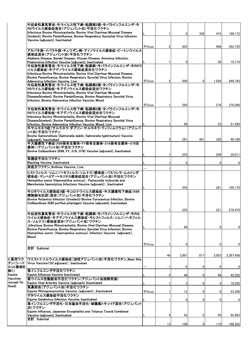|               | 牛伝染性鼻気管炎・牛ウイルス性下痢−粘膜病2価・牛パラインフルエンザ・牛                                                                                                                   |              |    |       |     |       |             |
|---------------|--------------------------------------------------------------------------------------------------------------------------------------------------------|--------------|----|-------|-----|-------|-------------|
|               | RSウイルス感染症混合(アジュバント加)不活化ワクチン<br>Infectious Bovine Rhinotracheitis, Bovine Viral Diarrhea-Mucosal Disease                                                |              |    |       |     |       |             |
|               | (bivalent), Bovine Parainfluenza, Bovine Respiratory Syncytial Virus Infection                                                                         |              |    | 0     | 336 | 474   | 199,172     |
|               | Vaccine (adjuvant). Inactivated                                                                                                                        |              |    |       |     |       |             |
|               |                                                                                                                                                        | 千Dose        | 2  | 625   |     | 466   | 352,735     |
|               | アカバネ病・イバラキ病・チュウザン病・アイノウイルス感染症・ピートンウイルス                                                                                                                 |              |    |       |     |       |             |
|               | 感染症混合(アジュバント加)不活化ワクチン                                                                                                                                  |              |    |       |     |       |             |
|               | Akabane Disease, Ibaraki Disease, Chuzan Disease, Ainovirus Infection,<br>Peatonvirus Infection Vaccine (adjuvant), Inactivated                        |              |    | 0     |     | 30    | 10,710      |
|               | 牛伝染性鼻気管炎·牛ウイルス性下痢-粘膜病·牛パラインフルエンザ·牛RSウ                                                                                                                  |              |    |       |     |       |             |
|               | イルス感染症・牛アデノウイルス感染症混合生ワクチン                                                                                                                              |              |    |       |     |       |             |
|               | Infectious Bovine Rhinotracheitis, Bovine Viral Diarrhea-Mucosal Disease,                                                                              |              |    |       |     |       |             |
|               | Bovine Parainfluenza, Bovine Respiratory Synctial Virus Infection, Bovine<br>Adenovirus Infection Vaccine, Live                                        | <b>千Dose</b> | 2  | 840   | 0   | 1,029 | 848,783     |
|               | 牛伝染性鼻気管炎・牛ウイルス性下痢-粘膜病2価・牛パラインフルエンザ・牛                                                                                                                   |              |    |       |     |       |             |
|               | RSウイルス感染症・牛アデノウイルス感染症混合ワクチン                                                                                                                            |              |    |       |     |       |             |
|               | Infectious Bovine Rhinotracheitis, Bovine Viral Diarrhea-Mucosal<br>Disease(bivalent), Bovine Parainfluenza, Bovine Respiratory Synctial Virus         |              |    |       |     |       |             |
|               | Infection, Bovine Adenovirus infection Vaccine, Mixed                                                                                                  |              |    |       |     |       |             |
|               |                                                                                                                                                        | <b>FDose</b> |    | 285   |     | 276   | 270,360     |
|               | 牛伝染性鼻気管炎・牛ウイルス性下痢-粘膜病2価・牛パラインフルエンザ・牛                                                                                                                   |              |    |       |     |       |             |
|               | RSウイルス感染症・牛アデノウイルス感染症混合生ワクチン                                                                                                                           |              |    |       |     |       |             |
|               | Infectious Bovine Rhinotracheitis, Bovine Viral Diarrhea-Mucosal<br>Disease(bivalent), Bovine Parainfluenza, Bovine Respiratory Synctial Virus         |              |    |       |     |       |             |
|               | Infection, Bovine Adenovirus infection Vaccine, Mixed, Live                                                                                            |              | 1  | 68    |     | 23    | 21,420      |
|               | 牛サルモネラ症(サルモネラ・ダブリン・サルモネラ・ティフィムリウム)(アジュバ                                                                                                                |              |    |       |     |       |             |
|               | ント加)不活化ワクチン                                                                                                                                            |              |    |       |     |       |             |
|               | Bovine Salmonellosis (Salmonella dublin, Salmonella typhimurium) Vaccine<br>(adiuvant) Inactivated                                                     |              | 3  | 281   | 481 | 320   | 40,166      |
|               | 牛大腸菌性下痢症(K99保有全菌体·FY保有全菌体·31A保有全菌体·O78全                                                                                                                |              |    |       |     |       |             |
|               | 菌体)(アジュバント加)不活化ワクチン                                                                                                                                    |              |    |       |     |       |             |
|               | Bovine Colibacillosis (K99, FY, 31A, O78) Vaccine (adjuvant), Inactivated                                                                              |              |    | 253   |     | 209   | 35,011      |
|               | 気腫疽不活化ワクチン                                                                                                                                             |              |    |       |     |       |             |
|               | <b>Blackleg Vaccine, Inactivated</b>                                                                                                                   |              |    | 0     |     | 0     | 0           |
|               | 炭疽生ワクチン_Anthrax Vaccine, Live                                                                                                                          |              |    |       |     |       |             |
|               | ヒストフィルス・ソムニ(ヘモフィルス・ソムナス)感染症・パスツレラ・ムルトシダ                                                                                                                |              |    |       |     |       |             |
|               | 感染症・マンヘミア・ヘモリチカ感染症混合(アジュバント加)不活化ワクチン                                                                                                                   |              |    |       |     |       |             |
|               | Histophilus somni (Haemophilus somnus) , Pasteurella multocida and<br>Mannheimia haemolytica Infections Vaccine (adjuvant), Inactivated                |              |    |       |     |       |             |
|               |                                                                                                                                                        |              |    | 255   |     | 281   | 105,170     |
|               | 牛ロタウイルス感染症3価·牛コロナウイルス感染症·牛大腸菌性下痢症(K99                                                                                                                  |              |    |       |     |       |             |
|               | 精製線毛抗原)混合(アジュバント加)不活化ワクチン<br>Bovine Rotavirus Infection (trivalent)-Bovine Coronavirus Infection, Bovine                                               |              |    |       |     |       |             |
|               | Collibacillosis (K99 purified piliantigen) Vaccine (adjuvant), Inactivated                                                                             |              |    |       |     |       |             |
|               |                                                                                                                                                        |              |    | 252   |     | 221   | 276,470     |
|               | 牛伝染性鼻気管炎・牛ウイルス性下痢-粘膜病・牛パラインフルエンザ・牛RS                                                                                                                   |              |    |       |     |       |             |
|               | ウイルス感染症・牛アデノウイルス感染症・牛ヒストフィルス・ソムニ(ヘモフィル                                                                                                                 |              |    |       |     |       |             |
|               | ス・ソムナス)感染症混合(アジュバント加)ワクチン                                                                                                                              |              |    |       |     |       |             |
|               | Infectious Bovine Rhinotracheitis, Bovine Viral Diarrhea-Mucosal Disease,<br>Bovine Parainfluenza, Bovine Respiratory Synctial Virus Infection, Bovine |              | 1  | 64    |     | 0     | $\mathbf 0$ |
|               | Histophilus somni (Haemophilus somnus) Infection Vaccine (adjuvant),                                                                                   |              |    |       |     |       |             |
|               | Mixed                                                                                                                                                  |              |    |       |     |       |             |
|               |                                                                                                                                                        | <b>千Dose</b> | -1 | 0     |     | 0     | $\mathbf 0$ |
|               | 合計 Subtotal                                                                                                                                            |              |    |       |     |       |             |
|               |                                                                                                                                                        |              |    |       |     |       |             |
| 3_馬用ワク        | ウエストナイルウイルス感染症(油性アジュバント加)不活化ワクチン_West Nile                                                                                                             |              | 46 | 3,981 | 817 | 3,953 | 2,397,456   |
| チン(シード        | Virus Vaccine (Oil adjuvant), Inactivated                                                                                                              |              |    |       |     |       |             |
| ロット製剤を        |                                                                                                                                                        |              | 1  | 0     | 0   | 0     | 0           |
| 除く)<br>Equine | 馬インフルエンザ不活化ワクチン<br> Equine Influenza Vaccine Inactivated                                                                                               |              |    |       |     |       |             |
| Vaccines      | 馬ウイルス性動脈炎不活化ワクチン(アジュバント加溶解用液)                                                                                                                          |              | 5  | 48    | 0   | 49    | 42,202      |
| (except for   | Equine Viral Arteritis Vaccine (adjuvant), Inactivated                                                                                                 |              |    | 3     | 0   | 3     | 10,320      |
| Seed)         | 馬鼻肺炎(アジュバント加)不活化ワクチン                                                                                                                                   |              |    |       |     |       |             |
|               | Equine Rhinopneumonitis Vaccine (adjuvant), Inactivated                                                                                                | <b>千Dose</b> |    | 12    | 0   | 8     | 53,368      |
|               | ゲタウイルス感染症不活化ワクチン<br>Equine Getahvirus Infection Vaccine, Inactivated                                                                                   |              |    |       |     |       |             |
|               | 馬インフルエンザ不活化・日本脳炎不活化・破傷風トキソイド混合(アジュバント                                                                                                                  |              |    | 0     | 0   | 0     | $\mathbf 0$ |
|               | 加)ワクチン                                                                                                                                                 |              |    |       |     |       |             |
|               | Equine Influenza, Japanese Encephalitis and Tetanus Toxoid Combined                                                                                    |              |    |       |     |       |             |
|               | Vaccine (adjuvant), Inactivated<br>合計 Subtotal                                                                                                         |              | 4  | 42    | 0   | 50    | 92,463      |
|               |                                                                                                                                                        |              | 13 | 106   | 0   | 110   |             |
|               |                                                                                                                                                        |              |    |       |     |       | 198,352     |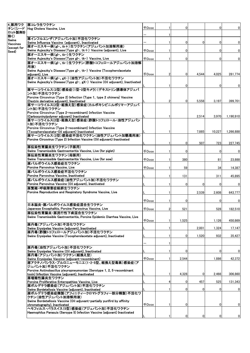|               | 4. 豚用ワク   豚コレラ生ワクチン                                                                                                 |                     |   |                |          |                |                |
|---------------|---------------------------------------------------------------------------------------------------------------------|---------------------|---|----------------|----------|----------------|----------------|
|               | チン(シード Hog Cholera Vaccine, Live                                                                                    | 千Dose               |   | $\Omega$       |          | $\Omega$       | $\overline{0}$ |
| ロット製剤を<br>除く) |                                                                                                                     |                     |   |                |          |                |                |
| Swine         | 豚インフルエンザ(アジュバント加)不活化ワクチン                                                                                            |                     |   |                |          |                |                |
| Vaccines      | Swine Influenza Vaccine (adjuvant), Inactivated                                                                     |                     |   | 0              | $\Omega$ | 0              | $\overline{0}$ |
| (except for   | 豚オーエスキー病(gI-、tk+)生ワクチン(アジュバント加溶解用液)<br>Swine Aujeszky's Disease (Type gl-, tk+) Vaccine (adjuvant), Live            | 千Dose               |   | $\mathbf{0}$   |          | 0              | $\overline{0}$ |
| Seed)         | 豚オーエスキー病(gl-、tk-)生ワクチン                                                                                              |                     |   |                |          |                |                |
|               | Swine Aujeszky's Disease (Type gI-, tk-) Vaccine, Live                                                              | <b><i>FDose</i></b> |   | $\mathbf{0}$   |          | $\Omega$       | $\overline{0}$ |
|               | 豚オーエスキー病(gl-、tk-)生ワクチン(酢酸トコフェロールアジュバント加溶解                                                                           |                     |   |                |          |                |                |
|               | 用液)                                                                                                                 |                     |   |                |          |                |                |
|               | Swine Aujeszky's Disease (Type gl-, tk-) Vaccine (Tocopherolacetate                                                 |                     |   |                |          |                |                |
|               | adiuvant). Live                                                                                                     | <b>千Dose</b>        | 2 | 0              | 4,544    | 4,025          | 281.774        |
|               | 豚オーエスキー病(gI-、gX-)(油性アジュバント加)不活化ワクチン<br>Swine Aujeszky's Disease (Type gI-, gX-) Vaccine (Oil adjuvant), Inactivated |                     |   |                |          |                |                |
|               |                                                                                                                     |                     |   | 0              |          | 0              | $\mathbf 0$    |
|               | 豚サーコウイルス(2型)感染症(1型ー2型キメラ)(デキストリン誘導体アジュバ                                                                             |                     |   |                |          |                |                |
|               | ント加)不活化ワクチン                                                                                                         |                     |   |                |          |                |                |
|               | Porcine Circovirus (Type 2) Infection (Type 1, type 2 chimera) Vaccine                                              |                     |   |                |          |                |                |
|               | (Dextrin derivative adjuvant), Inactivated<br>豚サーコウイルス(2型・組換え型)感染症(カルボキシビニルポリマーアジュバ                                 |                     |   | $\Omega$       | 5,558    | 3,197          | 399,701        |
|               | ント加)不活化ワクチン                                                                                                         |                     |   |                |          |                |                |
|               | Porcine Circovirus (Type 2-recombinant) Infection Vaccine                                                           |                     |   |                |          |                |                |
|               | (Carboxyvinylpolymer adjuvant) Inactivated                                                                          |                     |   |                | 2,514    | 3,970          | 1,190,910      |
|               | 豚サーコウイルス(2型・組換え型)感染症(酢酸トコフェロール・油性アジュバン                                                                              |                     |   |                |          |                |                |
|               | ト加)不活化ワクチン                                                                                                          |                     |   |                |          |                |                |
|               | Porcine Circovirus (Type 2-recombinant) Infection Vaccine<br>(Tocopherolacetate Oil adjuvant) Inactivated           |                     |   |                | 7.885    | 10,227         | 1,266,888      |
|               | 豚サーコウイルス(2型)感染症不活化ワクチン(油性アジュバント加懸濁用液)                                                                               |                     |   |                |          |                |                |
|               | Porcine Circovirus (Type 2) Infection Vaccine (Oil adjuvant) Inactivated                                            |                     |   |                |          |                |                |
|               |                                                                                                                     |                     |   | $\mathbf{0}$   | 507      | 723            | 227,745        |
|               | 豚伝染性胃腸炎生ワクチン(子豚用)                                                                                                   |                     |   |                |          |                |                |
|               | Swine Transmissible Gastroenteritis Vaccine, Live (for piglet)<br>豚伝染性胃腸炎生ワクチン(母豚用)                                 | $\mp$ Dose          |   | $\Omega$       |          | 0              | $\overline{0}$ |
|               | Swine Transmissible Gastroenteritis Vaccine, Live (for sow)                                                         | <b>千Dose</b>        |   | 380            |          |                |                |
|               | 豚パルボウイルス感染症生ワクチン                                                                                                    |                     |   |                |          | 81             | 23,888         |
|               | Porcine Parvovirus Vaccine, Live                                                                                    | <b>千Dose</b>        |   | 59             |          | 34             | 14,387         |
|               | 豚パルボウイルス感染症不活化ワクチン                                                                                                  |                     |   |                |          |                |                |
|               | Porcine Parvovirus Vaccine, Inactivated                                                                             |                     |   | 131            |          | 311            | 45,895         |
|               | 豚パルボウイルス感染症(油性アジュバント加)不活化ワクチン                                                                                       |                     |   |                |          |                |                |
|               | Porcine Parvovirus Vaccine (Oil adjuvant), Inactivated                                                              |                     |   | $\mathbf{0}$   | $\Omega$ | 0              | $\mathbf{0}$   |
|               | 豚繁殖・呼吸障害症候群生ワクチン<br>Porcine Reproductive and Respiratory Syndrome Vaccine, Live                                     |                     |   |                |          |                |                |
|               |                                                                                                                     |                     |   |                | 2,539    | 2,608          | 643,777        |
|               |                                                                                                                     | $\mp$ Dose          |   | 0              |          | 0              | $\mathbf 0$    |
|               | 日本脳炎・豚パルボウイルス感染症混合生ワクチン                                                                                             |                     |   |                |          |                |                |
|               | Japanese Encephalitis, Porcine Parvovirus Vaccine, Live                                                             | <b>千Dose</b>        | 2 | 521            |          | 528            | 182,510        |
|               | 豚伝染性胃腸炎・豚流行性下痢混合生ワクチン                                                                                               |                     |   |                |          |                |                |
|               | Swine Transmissible Gastroenteritis, Porcine Epidemic Diarrhea Vaccine, Live                                        |                     |   |                |          |                |                |
|               |                                                                                                                     | <b>千Dose</b>        |   | 1,525          |          | 1,126          | 450,869        |
|               | 豚丹毒(アジュバント加)不活化ワクチン<br>Swine Erysipelas Vaccine (adjuvant), Inactivated                                             |                     |   |                | 2,001    | 1,324          | 17,147         |
|               | 豚丹毒(酢酸トコフェロールアジュバント加)不活化ワクチン                                                                                        |                     |   |                |          |                |                |
|               | Swine Erysipelas Vaccine (Tocopherolacetate adjuvant), Inactivated                                                  |                     |   | 0              | 1,520    | 932            | 35,427         |
|               |                                                                                                                     |                     |   |                |          |                |                |
|               | 豚丹毒(油性アジュバント加)不活化ワクチン                                                                                               |                     |   |                |          |                |                |
|               | Swine Erysipelas Vaccine (Oil adjuvant), Inactivated                                                                |                     |   | 0              |          | 0              | $\mathbf 0$    |
|               | 豚丹毒(アジュバント加)ワクチン(組換え型)                                                                                              |                     |   |                |          |                |                |
|               | Swine Erysipelas Vaccine (adjuvant recombinant)                                                                     | <b>千Dose</b>        |   | 2,544          |          | 1,886          | 42,372         |
|               | 豚アクチノバシラス・プルロニューモニエ(1・2・5型、組換え型毒素)感染症(ア                                                                             |                     |   |                |          |                |                |
|               | ジュバント加)不活化ワクチン<br>Porcine Actinobacillus pleuropneumoniae (Serotype 1, 2, 5 · recombinant                           |                     |   |                |          |                |                |
|               | toxin) Infection Vaccine (adjuvant), Inactivated                                                                    |                     |   | 4,328          | 0        | 2,466          | 306,860        |
|               | 豚増殖性腸炎生ワクチン                                                                                                         |                     |   |                |          |                |                |
|               | Porcine Proliferative Enteropathies Vaccine, Live                                                                   |                     |   | 0              | 457      | 525            | 131,343        |
|               | 豚ボルデテラ感染症(アジュバント加)不活化ワクチン                                                                                           |                     |   |                | $\Omega$ |                |                |
|               | Swine Bordetellosis Vaccine (adjuvant), Inactivated<br>豚ボルデテラ感染症精製(アフィニティークロマトグラフィー部分精製)不活化ワ                        |                     |   | $\Omega$       |          | 0              | $\mathbf{0}$   |
|               | クチン(油性アジュバント加溶解用液)                                                                                                  |                     |   |                |          |                |                |
|               | Swine Bordetellosis Vaccine (Oil adjuvant partially purifird by affinity                                            |                     |   |                |          |                |                |
|               | chromatography), Inactivated                                                                                        | <b>千Dose</b>        |   | 0              |          | 0              | $\overline{0}$ |
|               | ヘモフィルス・パラスイス(5型)感染症(アジュバント加)不活化ワクチン<br>Haemophilus Parasuis (Seroype 5) Infection Vaccine (adjuvant) Inactivated    |                     |   |                |          |                |                |
|               |                                                                                                                     |                     |   | $\overline{0}$ | $\Omega$ | $\overline{0}$ | $\mathbf{0}$   |
|               |                                                                                                                     |                     |   |                |          |                |                |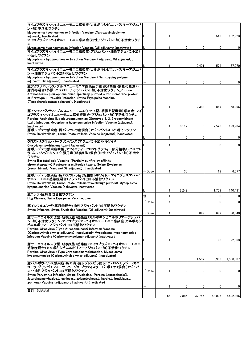| マイコプラズマ・ハイオニューモニエ感染症(カルボキシビニルポリマーアジュバ                                                                                                                                                                                                                                                                           |              |              |              |                |        |              |
|-----------------------------------------------------------------------------------------------------------------------------------------------------------------------------------------------------------------------------------------------------------------------------------------------------------------|--------------|--------------|--------------|----------------|--------|--------------|
| ント加)不活化ワクチン<br>Mycoplasma hyopneumoniae Infection Vaccine (Carboxyvinylpolymer                                                                                                                                                                                                                                  |              |              |              |                |        |              |
| adjuvant), Inactivated                                                                                                                                                                                                                                                                                          |              | 1            |              |                | 542    | 102,923      |
| マイコプラズマ・ハイオニューモニエ感染症(油性アジュバント加)不活化ワクチ                                                                                                                                                                                                                                                                           |              |              |              |                |        |              |
| Mycoplasma hyopneumoniae Infection Vaccine (Oil adjuvant), Inactivated                                                                                                                                                                                                                                          |              | $\mathbf{1}$ | $\Omega$     | 0              | 0      | 0            |
| マイコプラズマ・ハイオニューモニエ感染症(アジュバント・油性アジュバント加)<br>不活化ワクチン                                                                                                                                                                                                                                                               |              |              |              |                |        |              |
| Mycoplasma hyopneumoniae Infection Vaccine (adjuvant, Oil adjuvant),<br>Inactivated                                                                                                                                                                                                                             |              |              |              |                |        |              |
| マイコプラズマ・ハイオニューモニエ感染症(カルボキシビニルポリマーアジュバ<br>ント・油性アジュバント加)不活化ワクチン                                                                                                                                                                                                                                                   |              | 1            |              | 2,401          | 574    | 37,270       |
| Mycoplasma hyopneumoniae Infection Vaccine (Carboxyvinylpolymer<br>adiuvant. Oil adiuvant). Inactivated                                                                                                                                                                                                         |              |              |              |                |        |              |
| 豚アクチノバシラス・プルロニューモニエ感染症(1型部分精製・無毒化毒素)・                                                                                                                                                                                                                                                                           |              |              | 0            | $\overline{0}$ | 0      | <sup>0</sup> |
| 豚丹毒混合(酢酸トコフェロールアジュバント加)不活化ワクチン_Porcine<br>Actinobacillus pleuropneumoniae (partially purified outer membrane protein<br>of Serotype 1, toxoid) Infection, Swine Erysipelas Vaccine<br>(Tocopherolacetate adjuvant), Inactivated                                                                                 |              |              |              |                |        |              |
|                                                                                                                                                                                                                                                                                                                 |              |              |              | 2,382          | 867    | 68,096       |
| 豚アクチノバシラス・プルロニューモニエ(1・2・5型、組換え型毒素)感染症・マイ<br>コプラズマ・ハイオニューモニエ感染症混合(アジュバント加)不活化ワクチン<br>Porcine Actinobacillus pleuropneumoniae (Serotype 1, 2, 5·recombinant<br>toxin) Infection, Mycoplasma hyopneumoniae Infection Vaccine (adjuvant),                                                                           |              |              |              |                |        |              |
| Inactivated                                                                                                                                                                                                                                                                                                     |              | 1            | 6,117        | $\mathbf{0}$   | 2.528  | 193,984      |
| 豚ボルデテラ感染症・豚パスツレラ症混合(アジュバント加)不活化ワクチン<br>Swine Bordetellosis, Swine Pasteurellosis Vaccine (adjuvant), Inactivated                                                                                                                                                                                                |              | 1            | $\mathbf{0}$ | $\overline{0}$ | 0      | 0            |
| クロストリジウム・パーフリンゲンス(アジュバント加)トキソイド                                                                                                                                                                                                                                                                                 |              |              |              |                |        |              |
| Clostridium perfringens toxoid (adjuvant)                                                                                                                                                                                                                                                                       |              |              | <sup>0</sup> |                | 0      | $\Omega$     |
| 豚ボルデテラ感染症精製(アフィニティークロマトグラフィー部分精製)・パスツレ<br>ラ・ムルトシダトキソイド・豚丹毒(組換え型)混合(油性アジュバント加)不活化<br>ワクチン<br>Swine Bordetellosis Vaccine (Partially purifird by affinity<br>chromatography) Pasteurella multocida toxoid, Swine Erysipelas<br>(recombinant) Vaccine (Oil adjuvant), Inactivated                                  |              |              |              |                |        |              |
| 豚ボルデテラ感染症・豚パスツレラ症(粗精製トキソイド) マイコプラズマ・ハイ                                                                                                                                                                                                                                                                          | <b>千Dose</b> | 1            | 30           |                | 19     | 6,577        |
| オニューモニエ感染症混合(アジュバント加)不活化ワクチン<br>Swine Bordetellosis, Swine Pasteurellosis toxoid(rough purified), Mycoplasma<br>hyopneumoniae Vaccine (adjuvant), Inactivated                                                                                                                                                   |              |              |              |                |        |              |
| 豚コレラ・豚丹毒混合生ワクチン                                                                                                                                                                                                                                                                                                 |              |              | 2,249        |                | 1,759  | 140,431      |
| Hog Cholera, Swine Erysipelas Vaccine, Live                                                                                                                                                                                                                                                                     | 個            |              | $\Omega$     |                | 0      | 0            |
| 豚インフルエンザ・豚丹毒混合(油性アジュバント加)不活化ワクチン                                                                                                                                                                                                                                                                                | $\mp$ Dose   | 4            | 0            | 0              | 0      | $\Omega$     |
| Swine Influenza, Swine Erysipelas Vaccine (Oil adjuvant), Inactivated                                                                                                                                                                                                                                           | <b>千Dose</b> | 1            | $\Omega$     | 899            | 672    | 80,640       |
| 豚サーコウイルス(2型・組換え型)感染症(カルボキシビニルポリマーアジュバ<br>ント加)不活化ワクチン・マイコプラズマ・ハイオニューモニエ感染症(カルボキシ<br>ビニルポリマーアジュバント加)不活化ワクチン<br>Porcine Circovirus (Type 2-recombinant) Infection Vaccine<br>(Carboxyvinylpolymer adjuvant) inactivated- Mycoplasma hyopneumoniae<br>Infection Vaccine (Carboxyvinylpolymer adjuvant), Inactivated |              |              |              |                |        |              |
| 豚サーコウイルス(2型・組換え型)感染症・マイコプラズマ・ハイオニューモニエ                                                                                                                                                                                                                                                                          |              |              |              |                | 98     | 22,363       |
| 感染症混合(カルボキシビニルポリマーアジュバント加)不活化ワクチン<br>Porcine Circovirus (Type 2-recombinant) Infection, Mycoplasma<br>hyopneumoniae (Carboxyvinylpolymer adjuvant), Inactivated                                                                                                                                                 |              | $\mathbf{1}$ |              | 4,537          | 6,983  | 1,588,587    |
| 豚パルボウイルス感染症・豚丹毒・豚レプトスピラ病(イクテロヘモラジー・カニ                                                                                                                                                                                                                                                                           |              |              |              |                |        |              |
| コーラ・グリッポチフォーサ・ハージョ・ブラティスラーバ・ポモナ)混合(アジュバ<br>ント・油性アジュバント加)不活化ワクチン                                                                                                                                                                                                                                                 | <b>千Dose</b> | 1            | 0            | $\mathbf{0}$   | 0      | 0            |
| Swine Parvovirus Infection, Swine Erysipelas, Porcine Leptospirosis(L<br>.icterohaemorrhagiae,L .canicola,L .grippotyphosa,L. hardjo,L .bratislava,L<br>.pomona) Vaccine (adjuvant•oil adjuvant) Inactivated                                                                                                    |              |              |              |                |        |              |
| 合計 Subtotal                                                                                                                                                                                                                                                                                                     |              | 1            | 0            | $\mathbf{0}$   | 0      | 0            |
|                                                                                                                                                                                                                                                                                                                 |              | 56           | 17,885       | 37,745         | 48,006 | 7,502,366    |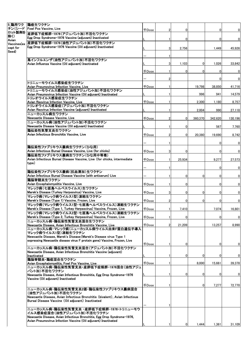| 5 鶏用ワク               | 鶏痘生ワクチン                                                                                                                                   |                     |     |             |                |                |                |
|----------------------|-------------------------------------------------------------------------------------------------------------------------------------------|---------------------|-----|-------------|----------------|----------------|----------------|
|                      | チン(シード  Fowl Pox Vaccine, Live<br>ロット製剤を 産卵低下症候群-1976(アジュバント加)不活化ワクチン                                                                     | $\mp$ Dose          | 2   | $\Omega$    |                | $\overline{0}$ | $\mathbf 0$    |
| 除く)                  | Egg Drop Syndrome-1976 Vaccine (adiuvant) Inactivated                                                                                     |                     |     | $\Omega$    |                | 0              | $\overline{0}$ |
| Avian<br>Vaccines(ex | 産卵低下症候群-1976(油性アジュバント加)不活化ワクチン                                                                                                            |                     |     |             |                |                |                |
| cept for             | Egg Drop Syndrome-1976 Vaccine (Oil adjuvant) Inactivated                                                                                 |                     | 3   | 2,756       |                | 1,449          | 45,926         |
| Seed)                |                                                                                                                                           |                     |     |             |                |                |                |
|                      | 鳥インフルエンザ(油性アジュバント加)不活化ワクチン                                                                                                                |                     |     |             |                |                |                |
|                      | Avian Influenza Vaccine (Oil adjuvant) Inactivated                                                                                        |                     | 3   | 1,103       | $\Omega$       | 1,026          | 33,842         |
|                      |                                                                                                                                           | <b>千Dose</b>        |     | 0           | 0              | $\overline{0}$ | $\mathbf{0}$   |
|                      |                                                                                                                                           |                     |     |             |                | $\overline{0}$ | $\mathbf{0}$   |
|                      | トリニューモウイルス感染症生ワクチン                                                                                                                        |                     |     |             |                |                |                |
|                      | Avian Pneumovirus Infection Vaccine, Live<br>トリニューモウイルス感染症(油性アジュバント加)不活化ワクチン                                                              | $\mp$ Dose          |     |             | 19,798         | 38,850         | 41,716         |
|                      | Avian Pneumovirus Infection Vaccine (Oil adjuvant) Inactivated                                                                            |                     |     |             | 996            | 941            | 14,579         |
|                      | トリレオウイルス感染症生ワクチン<br>Avian Reovirus Infection Vaccine, Live                                                                                | <b>千Dose</b>        |     |             | 2,300          | 1,180          | 8,757          |
|                      | トリレオウイルス感染症(アジュバント加)不活化ワクチン                                                                                                               |                     |     |             |                |                |                |
|                      | Avian Reovirus Infection Vaccine (adjuvant) Inactivated<br>ニューカッスル病生ワクチン                                                                  |                     |     |             | 2,004          | 990            | 27,118         |
|                      | Newcastle Disease Vaccine. Live                                                                                                           | 千Dose               | 2   | $\Omega$    | 360,370        | 342,620        | 130,196        |
|                      | ニューカッスル病(油性アジュバント加)不活化ワクチン<br>Newcastle Disease Vaccine (Oil adjuvant) Inactivated                                                        |                     |     |             |                |                |                |
|                      | 鶏伝染性気管支炎生ワクチン                                                                                                                             |                     |     | 0           |                | 567            | 7,760          |
|                      | Avian Infectious Bronchitis Vaccine, Live                                                                                                 | <b>+Dose</b>        |     | $\Omega$    | 20,380         | 19.690         | 8,742          |
|                      |                                                                                                                                           |                     |     |             |                | 0              | $\mathbf{0}$   |
|                      | 鶏伝染性ファブリキウス嚢病生ワクチン(ひな用)                                                                                                                   |                     |     |             |                |                |                |
|                      | Avian Infectious Bursal Disease Vaccine, Live (for chicks)<br>鶏伝染性ファブリキウス嚢病生ワクチン(ひな用中等毒)                                                  | 千Dose               | 3   | 0           |                | 0              | $\overline{0}$ |
|                      | Avian Infectious Bursal Disease Vaccine, Live (for chicks, intermediate                                                                   | $\mp$ Dose          |     | 25.934      |                | 9,277          | 27,573         |
|                      | type)                                                                                                                                     |                     |     |             |                |                |                |
|                      | 鶏伝染性ファブリキウス嚢病(抗血清加)生ワクチン                                                                                                                  |                     |     |             |                | 0              | $\mathbf{0}$   |
|                      | Avian Infectious Bursal Disease Vaccine (with antiserum) Live                                                                             |                     |     | $\Omega$    | 0              | 0              | $\mathbf{0}$   |
|                      | 鶏脳脊髄炎生ワクチン<br>Avian Encephalomyelitis Vaccine, Live                                                                                       | $\mp$ Dose          |     | $\mathbf 0$ |                | $\overline{0}$ | $\mathbf{0}$   |
|                      | マレック病(七面鳥ヘルペスウイルス)生ワクチン                                                                                                                   |                     |     |             |                |                |                |
|                      | Marek's Disease (Turkey Herpesvirus) Vaccine, Live<br>マレック病(マレック病ウイルス1型)凍結生ワクチン                                                           | $\mp$ Dose          | 3   | $\mathbf 0$ | $\Omega$       | 0              | $\mathbf{0}$   |
|                      | Marek's Disease (Type 1) Vaccine, Frozen, Live                                                                                            | <b><i>千Dose</i></b> |     | 0           | $\Omega$       | 0              | $\mathbf{0}$   |
|                      | マレック病(マレック病ウイルス1型・七面鳥ヘルペスウイルス)凍結生ワクチン<br>Marek's Disease (Type 1, Turkey Herpesvirus) Vaccine, Frozen, Live                               | <b><i>FDose</i></b> | 1 I |             |                | 7.074          | 16,801         |
|                      | マレック病(マレック病ウイルス2型・七面鳥ヘルペスウイルス)凍結生ワクチン                                                                                                     |                     |     | 7,410       |                |                |                |
|                      | Marek's Disease (Type 2, Turkey Herpesvirus) Vaccine, Frozen, Live<br>ニューカッスル病・鶏伝染性気管支炎混合生ワクチン                                            | <b>千Dose</b>        |     | $\Omega$    |                | 0              | $\mathbf 0$    |
|                      | Newcastle Disease, Avian Infectious Bronchitis Vaccine, Live                                                                              | $\mp$ Dose          |     | 21,209      |                | 13,257         | 8,990          |
|                      | ニューカッスル病・マレック病(ニューカッスル病ウイルス由来F蛋白遺伝子導入<br>マレック病ウイルス1型)凍結生ワクチン                                                                              |                     |     |             |                |                |                |
|                      | Newcastle Disease, Marek's Disease (Marek's Disease virus Type 1                                                                          |                     |     |             |                |                |                |
|                      | expressing Newcastle disease virus F protein gene) Vaccine, Frozen, Live                                                                  | 千Dose               |     | $\Omega$    |                | 0              | $\mathbf 0$    |
|                      | ニューカッスル病・鶏伝染性気管支炎混合(アジュバント加)不活化ワクチン                                                                                                       |                     |     |             |                |                |                |
|                      | Newcastle Disease, Avian Infectious Bronchitis Vaccine (adjuvant)<br>Inactivated                                                          |                     |     | 0           | 0              | 0              | $\mathbf 0$    |
|                      | 鶏脳脊髄炎・鶏痘混合生ワクチン                                                                                                                           |                     |     |             |                |                |                |
|                      | Avian Encephalomyelitis, Fowl Pox Vaccine, Live<br>ニューカッスル病・鶏伝染性気管支炎・産卵低下症候群-1976混合(油性アジュ                                                 | <b>千Dose</b>        |     |             | 8,000          | 15,661         | 39,378         |
|                      | バント加)不活化ワクチン                                                                                                                              |                     |     | 0           |                | 0              |                |
|                      | Newcastle Disease, Avian Infectious Bronchitis, Egg Drop Syndrome-1976<br>Vaccine (Oil adjuvant) Inactivated                              |                     |     |             | 0              |                | 0              |
|                      |                                                                                                                                           | <b>千Dose</b>        |     |             | $\overline{0}$ | 7,277          | 72,770         |
|                      | ニューカッスル病・鶏伝染性気管支炎2価・鶏伝染性ファブリキウス嚢病混合                                                                                                       |                     |     |             |                |                |                |
|                      | (油性アジュバント加)不活化ワクチン<br>Newcastle Disease, Avian Infectious Bronchitis (bivalent), Avian Infectious                                         |                     |     |             |                |                |                |
|                      | Bursal Disease Vaccine (Oil adjuvant) Inactivated                                                                                         |                     |     |             |                |                |                |
|                      | ニューカッスル病・鶏伝染性気管支炎 ・産卵低下症候群-1976・トリニューモウ                                                                                                   |                     |     |             |                |                |                |
|                      | イルス感染症混合(油性アジュバント加)不活化ワクチン                                                                                                                |                     |     |             |                |                |                |
|                      | Newcastle Disease, Avian Infectious Bronchitis, Egg Drop Syndrome-1976,<br>Avian Pneumovirus Infection Vaccine (Oil adjuvant) Inactivated |                     |     |             |                |                |                |
|                      |                                                                                                                                           |                     |     | ŋ           | 1,444          | 1,361          | 31,109         |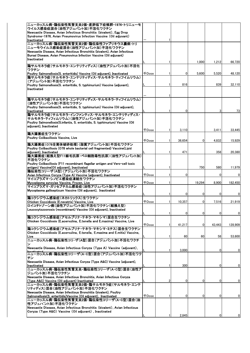| ニューカッスル病・鶏伝染性気管支炎2価・産卵低下症候群−1976・トリニューモ<br>ウイルス感染症混合(油性アジュバント加)不活化ワクチン                                       |              |   |              |        |          |              |
|--------------------------------------------------------------------------------------------------------------|--------------|---|--------------|--------|----------|--------------|
| Newcastle Disease, Avian Infectious Bronchitis (bivalent), Egg Drop                                          |              |   |              |        |          |              |
| Syndrome-1976, Avian Pneumovirus Infection Vaccine (Oil adjuvant)                                            |              |   |              |        |          |              |
| Inactivated                                                                                                  |              |   |              |        |          |              |
| ニューカッスル病・鶏伝染性気管支炎2価・鶏伝染性ファブリキウス嚢病・トリ                                                                         |              |   |              |        |          |              |
| ニューモウイルス感染症混合(油性アジュバント加)不活化ワクチン                                                                              |              |   |              |        |          |              |
| Newcastle Disease, Avian Infectious Bronchitis (bivalent), Avian Infectious                                  |              |   |              |        |          |              |
| Bursal Disease, Avian Pneumovirus Infection Vaccine (Oil adjuvant)                                           |              |   |              |        |          |              |
| Inactivated                                                                                                  |              |   |              | 1,000  | 1,212    |              |
| 鶏サルモネラ症(サルモネラ・エンテリティディス)(油性アジュバント加)不活化                                                                       |              |   |              |        |          | 66,720       |
| ワクチン                                                                                                         |              |   |              |        |          |              |
| Poultry Salmonellosis(S. enteritidis) Vaccine (Oil adjuvant), Inactivated                                    | <b>FDose</b> |   | $\Omega$     | 5.600  | 5,520    | 48,120       |
| 鶏サルモネラ症(サルモネラ・エンテリティディス・サルモネラ・ティフイムリウム)                                                                      |              |   |              |        |          |              |
| (アジュバント加)不活化ワクチン                                                                                             |              |   |              |        |          |              |
| Poultry Salmonellosis(S. enteritidis, S. typhimurium) Vaccine (adjuvant),                                    |              |   | 816          |        | 839      | 32,110       |
| Inactivated                                                                                                  |              |   |              |        |          |              |
|                                                                                                              |              |   |              |        |          |              |
| 鶏サルモネラ症(サルモネラ・エンテリティディス・サルモネラ・ティフイムリウム)                                                                      |              |   |              |        |          |              |
| (油性アジュバント加)不活化ワクチン                                                                                           |              |   |              |        |          |              |
| Poultry Salmonellosis(S. enteritidis, S. typhimurium) Vaccine (Oil adjuvant),                                |              |   |              |        |          |              |
| Inactivated                                                                                                  |              |   | 0            |        | 3        | 73           |
| 鶏サルモネラ症(サルモネラ・インファンティス・サルモネラ・エンテリティディス・                                                                      |              |   |              |        |          |              |
| サルモネラ・ティフィムリウム)(油性アジュバント加)不活化ワクチン                                                                            |              |   |              |        |          |              |
| Poultry Salmonellosis(S.infantis, S. enteritidis, S. typhimurium) Vaccine (Oil                               |              |   |              |        |          |              |
| adiuvant). Inactivated                                                                                       |              |   |              |        |          |              |
| 鶏大腸菌症生ワクチン                                                                                                   | <b>千Dose</b> |   | 3,110        |        | 3,411    | 33,445       |
| Poultry Colibacillosis Vaccine, Live                                                                         |              |   |              |        |          |              |
|                                                                                                              | 千Dose        |   | 36,654       | 0      | 4,832    | 15,929       |
| 鶏大腸菌症(078全菌体破砕処理)(脂質アジュバント加)不活化ワクチン                                                                          |              |   |              |        |          |              |
| Poultry Colibacillosis (O78 whole bacterial cell fragmented) Vaccine(Lipid                                   |              |   |              |        |          |              |
| adjuvant), Inactivated                                                                                       |              |   | 471          |        | 358      | 20,380       |
| 鶏大腸菌症(組換え型F11線毛抗原·ベロ細胞毒性抗原)(油性アジュバント加)                                                                       |              |   |              |        |          |              |
| 不活化ワクチン<br>Poultry Colibacillosis (F11 recombinant flagellar antigen and Vero-cell toxic                     |              |   |              |        |          |              |
| antigen) Vaccine(Oil adjuvant), Inactivated                                                                  |              |   |              | 750    | 580      | 11,979       |
| 鶏伝染性コリーザ(A型)(アジュバント加)不活化ワクチン                                                                                 |              |   |              |        |          |              |
| Avian Infectious Coryza (Type A) Vaccine (adjuvant), Inactivated                                             | $\mp$ Dose   |   | 0            |        | $\Omega$ | $\mathbf{0}$ |
| マイコプラズマ・シノビエ感染症凍結生ワクチン                                                                                       |              |   |              |        |          |              |
| Mycoplasma synoviae Vaccine, Frozen, Live                                                                    | 千Dose        |   |              | 19,294 | 8,900    | 182,450      |
| マイコプラズマ・ガリセプチカム感染症(油性アジュバント加)不活化ワクチン                                                                         |              |   |              |        |          |              |
| Mycoplasma gallisepticum Vaccine (Oil adjuvant), Inactivated                                                 |              |   |              |        |          |              |
| 鶏コクシジウム感染症(ネカトリックス)生ワクチン                                                                                     |              | 1 | $\mathbf{0}$ | 0      | 0        | $\mathbf 0$  |
| Chicken Coccidiosis (E.necatrix) Vaccine, Live                                                               | $\mp$ Dose   |   | 10.357       | 0      | 7,516    | 21,919       |
| ロイコチトゾーン病(油性アジュバント加)不活化ワクチン(組換え型)                                                                            |              |   |              |        |          |              |
| Leucocytozoonosis (recombinant) Vaccine (Oil adjuvant), Inactivated                                          |              |   |              |        |          |              |
|                                                                                                              |              |   | 0            | 0      | 0        | $\mathbf 0$  |
| 鶏コクシジウム感染症(アセルブリナ・テネラ・マキシマ)混合生ワクチン                                                                           |              |   |              |        |          |              |
| Chicken Coccidiosis (E.acervulina, E.tenella and E.maxima) Vaccine, Live                                     |              |   |              |        |          |              |
|                                                                                                              |              |   |              |        |          |              |
|                                                                                                              | 千Dose        |   | 41,217       | 0      | 43,443   | 128,909      |
| 鶏コクシジウム感染症(アセルブリナ・テネラ・マキシマ・ミチス)混合生ワクチン                                                                       |              |   |              |        |          |              |
| Chicken Coccidiosis (E.acervulina, E.tenella, E.maxima and E.mitis) Vaccine,                                 |              |   |              |        |          |              |
| Live                                                                                                         |              |   | 60           | 60     | 58       | 53,600       |
| ニューカッスル病・鶏伝染性コリーザ(A型)混合(アジュバント加)不活化ワクチ<br>ン                                                                  |              |   |              |        |          |              |
| Newcastle Disease, Avian Infectious Coryza (Type A) Vaccine (adjuvant),                                      |              |   |              |        |          |              |
|                                                                                                              |              |   | 3,000        |        | 0        | $\mathbf{0}$ |
| ニューカッスル病・鶏伝染性コリーザ(A・C型)混合(アジュバント加)不活化ワク                                                                      |              |   |              |        |          |              |
| チン                                                                                                           |              |   |              |        |          |              |
| Newcastle Disease, Avian Infectious Corvza (Type A&C) Vaccine (adiuvant).<br>Inactivated                     |              |   | 300          |        | 0        | $\mathbf{0}$ |
| ニューカッスル病・鶏伝染性気管支炎・鶏伝染性コリーザ(A・C型)混合(油性ア                                                                       |              |   |              |        |          |              |
| ジュバント加)不活化ワクチン                                                                                               |              |   |              |        |          |              |
| Newcastle Disease, Avian Infectious Bronchitis, Avian Infectious Coryza                                      |              |   |              |        |          |              |
| (Type A&C) Vaccine (Oil adjuvant) Inactivated                                                                |              | 2 | $\mathbf{0}$ | 0      | 0        | $\mathbf{0}$ |
| ニューカッスル病・鶏伝染性気管支炎2価・鶏サルモネラ症(サルモネラ・エンテ                                                                        |              |   |              |        |          |              |
| リティディス)混合(油性アジュバント加)不活化ワクチン                                                                                  |              |   |              |        |          |              |
| Newcastle Disease, Avian Infectious Bronchitis (bivalent), Poultry                                           |              |   | $\Omega$     | 0      | 0        |              |
| Salmonellosis(S. enteritidis) Vaccine (Oil adjuvant), Inactivated<br> ニューカッスル病・鶏伝染性気管支炎2価・鶏伝染性コリーザ(A・C型)混合(油 | <b>千Dose</b> |   |              |        |          | $\mathbf{0}$ |
| 性アジュハ゛ント加)不活化ワクチン                                                                                            |              |   |              |        |          |              |
| Newcastle Disease, Avian Infectious Bronchitis (bivalent), Avian Infectious                                  |              |   |              |        |          |              |
| Coryza (Type A&C) Vaccine (Oil adjuvant), Inactivated                                                        |              |   | 2,845        |        | 0        | 0            |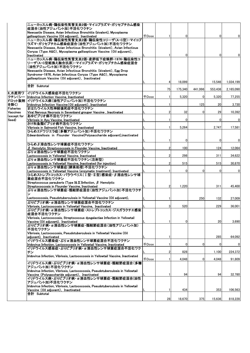|                         | ニューカッスル病・鶏伝染性気管支炎2価・マイコプラズマ・ガリセプチカム感染                                                                             |              |                |         |                |         |             |
|-------------------------|-------------------------------------------------------------------------------------------------------------------|--------------|----------------|---------|----------------|---------|-------------|
|                         | 症混合(油性アジュバント加)不活化ワクチン<br>Newcastle Disease, Avian Infectious Bronchitis (bivalent), Mycoplasma                    |              |                |         |                |         |             |
|                         | gallisepticum Vaccine (Oil adjuvant), Inactivated                                                                 | <b>千Dose</b> |                |         |                | 0       | 0           |
|                         | ニューカッスル病・鶏伝染性気管支炎2価・鶏伝染性コリーザ(A・C型)・マイコプ                                                                           |              |                |         |                |         |             |
|                         | ラズマ・ガリセプチカム感染症混合(油性アジュバント加)不活化ワクチン<br>Newcastle Disease, Avian Infectious Bronchitis (bivalent), Avian Infectious |              |                |         |                |         |             |
|                         | Coryza (Type A&C), Mycoplasma gallisepticum Vaccine (Oil adjuvant),                                               |              |                |         |                |         |             |
|                         | Inactivated                                                                                                       |              |                |         |                | 0       | 0           |
|                         | ニュ―カッスル病・鶏伝染性気管支炎2価・産卵低下症候群–1976・鶏伝染性コ<br>リーザ(A・C型組換え融合抗原)・マイコプラズマ・ガリセプチカム感染症混合                                   |              |                |         |                |         |             |
|                         | (油性アジュバント加)不活化ワクチン                                                                                                |              |                |         |                |         |             |
|                         | Newcastle Disease, Avian Infectious Bronchitis (bivalent), Egg Drop                                               |              |                |         |                |         |             |
|                         | Syndrome-1976, Avian Infectious Coryza (Type A&C), Mycoplasma                                                     |              |                |         |                |         |             |
|                         | gallisepticum Vaccine (Oil adjuvant), Inactivated                                                                 |              |                | 18,099  |                | 15,546  | 1,034,199   |
|                         | 合計 Subtotal                                                                                                       |              |                |         |                |         |             |
|                         |                                                                                                                   |              | 75             | 175,340 | 441,996        | 553,436 | 2,165,090   |
| 6_水産用ワ<br>クチン(シー        | イリドウイルス感染症不活化ワクチン<br>Iridovirus Infection Vaccine, Inactivated                                                    | $\mp$ Dose   |                | 5,320   | $\overline{0}$ | 5,320   | 77,255      |
| ドロット製剤                  | イリドウイルス病(油性アジュバント加)不活化ワクチン                                                                                        |              |                |         |                |         |             |
| を除く)                    | Iridovirus Infection Vaccine (Oil adjuvant), Inactivated                                                          |              |                |         | 125            | 20      | 3,730       |
| Fisheries               | まはたウイルス性神経壊死症不活化ワクチン                                                                                              |              |                |         |                |         |             |
| Vaccines<br>(except for | Viral Nervous Necrosis in Sevenband grouper Vaccine, Inactivated<br> あゆビブリオ病不活化ワクチン                               |              | $\overline{2}$ | 32      |                | 29      | 10,392      |
| Seed)                   | Vibriosis in Ayu Vaccine, Inactivated                                                                             |              |                |         |                | 0       | $\mathbf 0$ |
|                         | さけ科魚類ビブリオ病不活化ワクチン                                                                                                 |              |                |         |                |         |             |
|                         | Vibriosis in Salmonid Fish Vaccine, Inactivated                                                                   |              |                | 5,264   |                | 2,747   | 17,581      |
|                         | ひらめエドワジエラ症(多糖アジュバント加)不活化ワクチン<br>Edwardsiellosis in Flounder Vaccine(Polysaccharide adjuvant), inactivated         |              |                |         |                |         |             |
|                         |                                                                                                                   |              |                |         |                | 0       |             |
|                         | ひらめβ溶血性レンサ球菌症不活化ワクチン                                                                                              |              |                |         |                |         | $\mathbf 0$ |
|                         | $\beta$ Hemolytic Streptococcosis in Flounder Vaccine, Inactivated                                                |              | 2              | 100     |                | 124     | 12,064      |
|                         | ぶりα 溶血性レンサ球菌症不活化ワクチン                                                                                              |              |                |         |                |         |             |
|                         | Lactococcosis in Yellowtail Vaccine, Inactivated<br>ぶりα溶血性レンサ球菌症不活化ワクチン(注射型)                                      |              |                | 298     |                | 311     | 34,622      |
|                         | Lactococcosis in Yellowtail Vaccine, Inactivated (for injection)                                                  |              |                | 515     |                | 515     | 30,870      |
|                         | ぶりα溶血性レンサ球菌症(酵素処理)不活化ワクチン                                                                                         |              |                |         |                |         |             |
|                         | Lactococcosis in Yellowtail Vaccine (enzymatic treatment). Inactivated<br>ひらめストレプトコッカス・パラウベリス(Ⅰ型・Ⅱ型)感染症・β溶血性レンサ球  |              |                | ŋ       | $\Omega$       | 0       | $\mathbf 0$ |
|                         | 菌症混合不活化ワクチン                                                                                                       |              |                |         |                |         |             |
|                         | Streptococcus parauberis (Type I& II) Infection, $\beta$ Hemolytic                                                |              |                |         |                |         |             |
|                         | Streptococcosis in Flounder Vaccine, Inactivated                                                                  |              |                | 1,220   |                | 311     | 45,400      |
|                         | ぶりα溶血性レンサ球菌症・類結節症混合(油性アジュバント加)不活化ワクチ                                                                              |              |                |         |                |         |             |
|                         | Lactococcosis, Pseudotuberculosis in Yellowtail Vaccine (Oil adjuvant),                                           |              |                |         | 250            | 132     | 27,009      |
|                         | ぶりビブリオ病・α溶血性レンサ球菌症混合不活化ワクチン                                                                                       |              |                |         |                |         |             |
|                         | Vibriosis, Lactococcosis in Yellowtail Vaccine, Inactivated                                                       |              | 3              | 520     |                | 229     | 36,001      |
|                         | ぶりビブリオ病・α溶血性レンサ球菌症・ストレプトコッカス・ジスガラクチエ感染                                                                            |              |                |         |                |         |             |
|                         | 症混合不活化ワクチン<br>Vibriosis, Lactococcosis, Streptococcus dysgalactiae Infection in Yellowtail                        |              |                |         |                |         |             |
|                         | Vaccine (Oil adiuvant). Inactivated                                                                               |              |                | 0       |                | 20      | 3,690       |
|                         | ぶりビブリオ病・α溶血性レンサ球菌症・類結節症混合(油性アジュバント加)                                                                              |              |                |         |                |         |             |
|                         | 不活化ワクチン<br>Vibriosis, Lactococcosis, Pseudotuberculosis in Yellowtail Vaccine (Oil                                |              |                |         |                |         |             |
|                         | adiuvant). Inactivated                                                                                            |              | 1              |         |                | 285     | 64,092      |
|                         | イリドウイルス感染症・ぶりα溶血性レンサ球菌症混合不活化ワクチン                                                                                  |              |                |         |                |         |             |
|                         | Iridovirus Infection, Lactococcosis in Yellowtail Vaccine, Inactivated<br>イリドウイルス感染症・ぶりビブリオ病・α溶血性レンサ球菌症混合不活化ワク    | <b>FDose</b> | 1              | 0       | $\mathbf 0$    | 0       | $\mathbf 0$ |
|                         | チン                                                                                                                |              | $\overline{2}$ | 828     |                | 1,100   | 224,372     |
|                         | Iridovirus Infection. Vibriosis. Lactococcosis in Yellowtail Vaccine. Inactivated                                 |              |                |         |                |         |             |
|                         |                                                                                                                   | <b>千Dose</b> |                | 4,048   | $\overline{0}$ | 4,048   | 91,809      |
|                         | イリドウイルス病・ぶりビブリオ病・α 溶血性レンサ球菌症・類結節症混合(多糖<br>アジュバント加)不活化ワクチン                                                         |              |                |         |                |         |             |
|                         | Iridovirus Infection, Vibriosis, Lactococcosis, Pseudotuberculosis in Yellowtail                                  |              |                |         |                |         |             |
|                         | Vaccine (Polysaccharide adjuvant), Inactivated                                                                    |              |                | 94      |                | 94      | 32,780      |
|                         | イリドウイルス病・ぶりビブリオ病・α溶血性レンサ球菌症・類結節症混合(油性<br>アジュバント加)不活化ワクチン                                                          |              |                |         |                |         |             |
|                         | Iridovirus Infection, Vibriosis, Lactococcosis, Pseudotuberculosis in Yellowtail                                  |              |                |         |                |         |             |
|                         | Vaccine (Oil adjuvant), Inactivated                                                                               |              | 1              | 434     |                | 353     | 106,563     |
|                         | 合計 Subtotal                                                                                                       |              |                |         |                |         |             |
|                         |                                                                                                                   |              | 28             | 18,670  | 375            | 15,636  | 818,228     |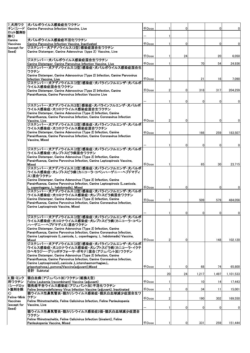| 7_犬用ワク                  | 大パルボウイルス感染症生ワクチン                                                                                                       |                     |              |                |          |       |             |
|-------------------------|------------------------------------------------------------------------------------------------------------------------|---------------------|--------------|----------------|----------|-------|-------------|
| チン(シード                  | Canine Parvovirus Infection Vaccine. Live                                                                              | 千Dose               |              | $\Omega$       |          | 0     | 0           |
| ロット製剤を                  |                                                                                                                        |                     |              |                |          |       |             |
| 除く)                     |                                                                                                                        |                     |              |                |          |       |             |
| Canine                  | 犬パルボウイルス感染症不活化ワクチン                                                                                                     |                     |              |                |          |       |             |
| Vaccines<br>(except for | Canine Parvovirus Infection Vaccine, Inactivated<br>ジステンパー・犬アデノウイルス(2型)感染症混合生ワクチン                                      | $\mp$ Dose          |              | $\mathbf{0}$   |          | 0     | 0           |
| Seed)                   | Canine Distemper, Canine Adenovirus (type 2) Vaccine, Live                                                             |                     |              |                |          |       |             |
|                         |                                                                                                                        | 千Dose               |              | 24             |          | 20    | 6,050       |
|                         | ジステンパー・犬パルボウイルス感染症混合生ワクチン                                                                                              |                     |              |                |          |       |             |
|                         | Canine Distemper, Canine Parvovirus Infection Vaccine, Live                                                            | $\mp$ Dose          |              |                | 70       | 54    | 24,936      |
|                         | ジステンパー・犬アデノウイルス(2型)感染症・犬パルボウイルス感染症混合生                                                                                  |                     |              |                |          |       |             |
|                         | ワクチン                                                                                                                   |                     |              |                |          |       |             |
|                         | Canine Distemper, Canine Adenoovirus (Type 2) Infection, Canine Parvovirus                                             |                     |              |                |          |       |             |
|                         | Infection Vaccine. Live                                                                                                | <b>千Dose</b>        |              |                | 21       | 16    | 7,090       |
|                         | ジステンパー・犬アデノウイルス(2型)感染症・犬パラインフルエンザ・犬パルボ<br>ウイルス感染症混合生ワクチン                                                               |                     |              |                |          |       |             |
|                         | Canine Distemper, Canine Adenoovirus (Type 2) Infection, Canine                                                        | <b>千Dose</b>        |              | 0              | 318      | 317   | 204,259     |
|                         | Parainfluenza, Canine Parvovirus Infection Vaccine Live                                                                |                     |              |                |          |       |             |
|                         |                                                                                                                        |                     |              |                |          |       |             |
|                         |                                                                                                                        |                     |              | 0              | 0        | 0     | 0           |
|                         | ジステンパー・犬アデノウイルス(2型)感染症・犬パラインフルエンザ・犬パルボ                                                                                 |                     |              |                |          |       |             |
|                         | ウイルス感染症・犬コロナウイルス感染症混合生ワクチン<br>Canine Distemper, Canine Adenovirus (Type 2) Infection, Canine                           |                     |              |                |          |       |             |
|                         | Parainfluenza, Canine Parvovirus Infection, Canine Coronavirus Infection                                               |                     |              |                |          |       |             |
|                         | Vaccine, Live                                                                                                          | $\mp$ Dose          | 2            | 0              |          | 0     | 0           |
|                         | ジステンパー・犬アデノウイルス(2型)感染症・犬パラインフルエンザ・犬パルボ                                                                                 |                     |              |                |          |       |             |
|                         | ウイルス感染症・犬コロナウイルス感染症混合ワクチン                                                                                              |                     |              |                |          |       |             |
|                         | Canine Distemper, Canine Adenovirus (Type 2) Infection, Canine                                                         | <b><i>FDose</i></b> |              |                | 166      | 259   | 183.507     |
|                         | Parainfluenza, Canine Parvovirus Infection, Canine Coronavirus Infection                                               |                     |              |                |          |       |             |
|                         | Vaccine, Mixed                                                                                                         |                     |              |                |          |       |             |
|                         |                                                                                                                        |                     |              | <sup>0</sup>   | 0        | 0     | 0           |
|                         | ジステンパー・犬アデノウイルス(2型)感染症・犬パラインフルエンザ・犬パルボ                                                                                 |                     |              |                |          |       |             |
|                         | ウイルス感染症・犬レプトスピラ病混合ワクチン<br>Canine Distemper, Canine Adenovirus (Type 2) Infection, Canine                               |                     |              |                |          |       |             |
|                         | Parainfluenza, Canine Parvovirus Infection, Canine Leptospirosis Vaccine,                                              |                     |              |                |          |       |             |
|                         | Mixed                                                                                                                  | $\mp$ Dose          |              |                | 65       | 30    | 23,715      |
|                         | ジステンパー・犬アデノウイルス(2型)感染症・犬パラインフルエンザ・犬パルボ                                                                                 |                     |              |                |          |       |             |
|                         | ウイルス感染症・犬レプトスピラ病(カニコーラ・コペンハーゲニー・ヘブドマディ                                                                                 |                     |              |                |          |       |             |
|                         | ス)混合ワクチン                                                                                                               |                     |              |                |          |       |             |
|                         | Canine Distemper, Canine Adenovirus (Type 2) Infection, Canine                                                         |                     |              |                |          |       |             |
|                         | Parainfluenza, Canine Parvovirus Infection, Canine Leptospirosis (L.canicola.<br>L. copenhagenv. L. hebdomadis). Mixed | $\mp$ Dose          |              | $\mathbf{0}$   |          | 0     | 0           |
|                         | ジステンパー・犬アデノウイルス(2型)感染症・犬パラインフルエンザ・犬パルボ                                                                                 |                     |              |                |          |       |             |
|                         | ウイルス感染症・犬コロナウイルス感染症・犬レプトスピラ病混合ワクチン                                                                                     |                     |              |                |          |       |             |
|                         | Canine Distemper, Canine Adenovirus (Type 2) Infection, Canine                                                         | <b>千Dose</b>        |              |                | 509      | 579   | 484.056     |
|                         | Parainfluenza, Canine Parvovirus Infection, Canine Coronavirus Infection,                                              |                     |              |                |          |       |             |
|                         | Canine Leptospirosis Vaccine, Mixed                                                                                    |                     |              |                |          |       |             |
|                         |                                                                                                                        |                     |              | $\Omega$       | $\Omega$ | 0     | $\mathbf 0$ |
|                         | ジステンパー・犬アデノウイルス(2型)感染症・犬パラインフルエンザ・犬パルボ                                                                                 |                     |              |                |          |       |             |
|                         | ウイルス感染症・犬コロナウイルス感染症・犬レプトスピラ病(カニコーラ・コペン                                                                                 |                     |              |                |          |       |             |
|                         | ハーゲニー・ヘブドマディス)混合ワクチン                                                                                                   |                     |              |                |          |       |             |
|                         | Canine Distemper, Canine Adenovirus (Type 2) Infection, Canine                                                         |                     |              |                |          |       |             |
|                         | Parainfluenza, Canine Parvovirus Infection, Canine Coronavirus Infection,                                              |                     |              |                |          |       |             |
|                         | Canine Leptospirosis (L.canicola, L. copenhageny, L. hebdomadis) Vaccine,<br>Mixed                                     | <b><i>FDose</i></b> | 2            | $\overline{0}$ |          | 148   | 102,120     |
|                         | ジステンパー・犬アデノウイルス(2型)感染症・犬パラインフルエンザ・犬パルボ                                                                                 |                     |              |                |          |       |             |
|                         | ウイルス感染症・犬コロナウイルス感染症・犬レプトスピラ病(カニコーラ・イクテ                                                                                 |                     |              |                |          |       |             |
|                         | ロヘモラジー・グリッポチフォーサ・ポモナ)混合(アジュバント加)ワクチン                                                                                   |                     |              |                |          |       |             |
|                         | Canine Distemper, Canine Adenovirus (Type 2) Infection, Canine                                                         |                     |              |                |          |       |             |
|                         | Parainfluenza, Canine Parvovirus Infection, Canine Coronavirus Infection,                                              |                     |              |                |          |       |             |
|                         | Canine Leptospirosis(L.canicola ,L.icterohaemorrhagiae,L.                                                              | $\mp$ Dose          |              | 0              | 68       |       |             |
|                         | grippotyphosa,L.pomona)Vaccine(adjuvant),Mixed<br>合計 Subtotal                                                          |                     |              |                |          | 74    | 65,800      |
|                         |                                                                                                                        |                     | 20           | 24             | 1,217    | 1,497 | 1,101,533   |
| 8.猫・ミンク                 | 猫白血病(アジュバント加)ワクチン(組換え型)                                                                                                |                     |              |                |          |       |             |
| 用ワクチン                   | Feline Leukemia (recombinant) Vaccine (adjuvant)                                                                       | 千Dose               |              |                | 10       | 14    | 17,443      |
| (シードロッ                  | 猫免疫不全ウイルス感染症(アジュバント加)不活化ワクチン                                                                                           |                     |              |                |          |       |             |
| ト製剤を除<br>K)             | Feline Immunodeficiency Virus Infection Vaccine (adjuvant), Inactivated<br> 猫ウイルス性鼻気管炎・猫カリシウイルス感染症・猫汎白血球減少症混合生ワ        | $\mp$ Dose          |              | $\Omega$       | 34       | 11    | 15,001      |
| Feline・Mink  クチン        |                                                                                                                        |                     |              |                |          |       |             |
| <b>Vaccines</b>         | Feline Rhinotracheitis, Feline Calicivirus Infection, Feline Panleukopenia                                             | <b>千Dose</b>        | $\mathbf{2}$ |                | 190      | 302   | 169,550     |
| (except for             | Vaccine, Live                                                                                                          |                     |              |                |          |       |             |
| Seed)                   |                                                                                                                        |                     |              | 01             | 0        | 0     | 0           |
|                         | 猫ウイルス性鼻気管炎・猫カリシウイルス感染症2価・猫汎白血球減少症混合                                                                                    |                     |              |                |          |       |             |
|                         | ワクチン<br>Feline Rhinotracheitis, Feline Calicivirus Infection (bivalent), Feline                                        |                     |              |                |          |       |             |
|                         | Panleukopenia Vaccine, Mixed                                                                                           | <b>千Dose</b>        |              | 0              | 331      | 259   | 151,444     |
|                         |                                                                                                                        |                     |              |                |          |       |             |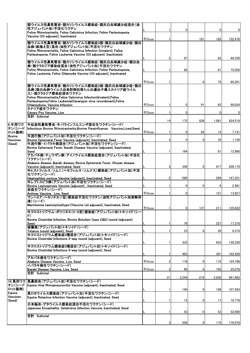|                              | 猫ウイルス性鼻気管炎・猫カリシウイルス感染症・猫汎白血球減少症混合(油<br>性アジュバント加)不活化ワクチン                                                                                                                   |                     |                |          |                |       |             |
|------------------------------|---------------------------------------------------------------------------------------------------------------------------------------------------------------------------|---------------------|----------------|----------|----------------|-------|-------------|
|                              | Feline Rhinotracheitis, Feline Calicivirus Infection, Feline Panleukopenia                                                                                                |                     |                | 0        |                | 0     | $\mathbf 0$ |
|                              | Vaccine (Oil adjuvant), Inactivated                                                                                                                                       | <b><i>FDose</i></b> |                |          | 181            | 185   | 152,476     |
|                              | 猫ウイルス性鼻気管炎・猫カリシウイルス感染症3価・猫汎白血球減少症・猫白<br>血病(組換え型)混合(油性アジュバント加)不活化ワクチン<br>Feline Rhinotracheitis, Feline Calicivirus Infection (trivalent), Feline                          |                     |                |          |                |       |             |
|                              | Panleukopenia, Feline Leukemia Vaccine (Oil adjuvant). Inactivated                                                                                                        |                     | $\overline{2}$ | 87       |                | 92    | 89,330      |
|                              | 猫ウイルス性鼻気管炎・猫カリシウイルス感染症・猫汎白血球減少症・猫白血<br>病・猫クラミジア感染症混合(油性アジュバント加)不活化ワクチン                                                                                                    |                     |                |          |                |       |             |
|                              | Feline Rhinotracheitis, Feline Calicivirus Infection, Feline Panleukopenia,<br>Feline Leukemia, Feline Chlamydia Vaccine (Oil adjuvant), Inactivated                      |                     |                | 85       |                | 61    | 75,050      |
|                              |                                                                                                                                                                           | <b>FDose</b>        |                |          | $\overline{0}$ | 75    | 85,201      |
|                              | 猫ウイルス性鼻気管炎・猫カリシウイルス感染症2価・猫汎白血球減少症・猫白<br>血病(猫白血病ウイルス由来防御抗原たん白遺伝子導入カナリア痘ウイル<br>ス)・猫クラミジア感染症混合ワクチン<br>Feline Rhinotracheitis, Feline Calicivirus Infection(bivalent), Feline |                     |                |          |                |       |             |
|                              | Panleukopenia, Feline Leukemia (Canarypox virus recombinant), Feline                                                                                                      |                     |                |          |                |       |             |
|                              | Chlamydiosis, Vaccine Infection<br>カナリア痘生ワクチン                                                                                                                             | <b><i>FDose</i></b> |                | 0        | 91             | 62    | 69,024      |
|                              | Canary Pox Vaccine, Live                                                                                                                                                  | <b>千Dose</b>        |                | 0        |                | 0     | $\mathbf 0$ |
|                              | 合計 Subtotal                                                                                                                                                               |                     | 14             | 172      | 838            | 1,061 | 824,519     |
| 9 牛用ワク<br>チン(シード             | 牛伝染性鼻気管炎・牛パラインフルエンザ混合生ワクチン(シード)<br>Infectious Bovine Rhinotracheitis.Bovine Parainfluenza Vaccine.Lived.Seed                                                              |                     |                |          |                |       |             |
| ロット製剤)                       |                                                                                                                                                                           | <b><i>FDose</i></b> |                | 0        | 82             | 12    | 7,731       |
| Bovine<br>Vaccines           | 牛流行熱(アジュバント加)不活化ワクチン(シード)<br>Bovine Ephemeral Fever Vaccine (adjuvant), Inactivated, Seed                                                                                 |                     | 2              | 0        | $\overline{0}$ | 35    | 1,730       |
| (Seed)                       | 牛流行熱・イバラキ病混合(アジュバント加)不活化ワクチン(シード)<br>Bovine Ephemeral Fever, Ibaraki Disease Vaccine (adjuvant), Inactivated,                                                             |                     |                |          |                |       |             |
|                              | Seed<br>アカバネ病・チュウザン病・アイノウイルス感染症混合(アジュバント加)不活化                                                                                                                             |                     |                | 164      |                | 81    | 12,960      |
|                              | ワクチン(シード)                                                                                                                                                                 |                     |                |          |                |       |             |
|                              | Akabane disease, Ibaraki disease, Bovine Ephemeral Fever, Chuzan disease<br>Vaccine (adjuvant), Inactivated, Seed                                                         |                     | 3              | 348      | $\overline{0}$ | 617   | 209,170     |
|                              | 牛ヒストフィルス・ソムニ(ヘモフィルス・ソムナス)感染症(アジュバント加)不活<br>化ワクチン(シード)                                                                                                                     |                     |                |          |                |       |             |
|                              | Heamophilus somnus Vaccine (adjuvant), Inactivated, Seed<br>牛レプトスピラ病(アジュバント加)不活化ワクチン(シード)                                                                                 |                     | 2              | 580      |                | 289   | 147,351     |
|                              | Bovine Leptospirosis Vaccine (adjuvant), Inactivated, Seed                                                                                                                |                     |                | 0        | $\overline{0}$ | 8     | 2,481       |
|                              | 炭疽生ワクチン(シード)<br>Anthrax Vaccine, Live, Seed                                                                                                                               | <b>千Dose</b>        |                | $\Omega$ |                | 121   | 13,927      |
|                              | マンヘミア・ヘモリチカ(1型)感染症不活化ワクチン(油性アジュバント加溶解用<br>液)(シード)<br>Mannheimia haemolytica(type1)Vaccine (oil adjuvant), Inactivated, Seed                                               |                     |                |          |                |       |             |
|                              | 牛クロストリジウム・ボツリヌス(C・D型)感染症(アジュバント加)トキソイド(シー                                                                                                                                 | $+$ Dose            | $\mathbf{1}$   | $\Omega$ | 137            | 211   | 135,832     |
|                              | F)<br>Bovine Clostridial Infection, Bovine Botulism (type C&D) toxoid (adjuvant),                                                                                         |                     |                |          |                |       |             |
|                              | Seed<br>破傷風(アジュバント加)トキソイド(シード)                                                                                                                                            |                     |                | 76       |                | 227   | 17,310      |
|                              | Tetanus toxoid (adjuvant), Seed<br>牛クロストリジウム感染症3種混合(アジュバント加)トキソイド(シード)                                                                                                    |                     |                | 23       | 0              | 20    | 9,374       |
|                              | Bovine Clostridial Infections 3-way toxoid (adjuvant), Seed                                                                                                               |                     |                | 333      |                | 633   | 130,330     |
|                              | 牛クロストリジウム感染症5種混合(アジュバント加)トキソイド(シード)<br>Bovine Clostridial Infections 5-way toxoid (adjuvant), Seed                                                                        |                     |                |          |                |       |             |
|                              | アカバネ病生ワクチン(シード)                                                                                                                                                           |                     |                | 483      |                | 301   | 103,420     |
|                              | Akabane Disease Vaccine, Live, Seed                                                                                                                                       | <b>千Dose</b>        | 2              | 178      | $\overline{0}$ | 172   | 124,768     |
|                              | イバラキ病生ワクチン(シード)<br>Ibaraki Disease Vaccine, Live, Seed                                                                                                                    | 千Dose               | 3              | 60       | $\overline{0}$ | 105   | 25,078      |
|                              | 合計 Subtotal                                                                                                                                                               |                     | 21             | 2,244    | 219            | 2,830 | 941,462     |
| 10_馬用ワク<br>チン(シード            | 馬鼻肺炎(アジュバント加)不活化ワクチン(シード)<br>Equine Viral Rhinopneumonitis Vaccine (adjuvant), Inactivated, Seed                                                                          |                     |                |          |                |       |             |
| ロット製剤)<br>Equine<br>Vaccines | 馬ロタウイルス感染症(アジュバント加)不活化ワクチン(シード)<br>Equine Rotavirus Infection Vaccine (adjuvant), Inactivated, Seed                                                                       |                     |                | 140      | $\mathbf 0$    | 106   | 107,593     |
| (Seed)                       | 日本脳炎・ゲタウイルス感染症混合不活化ワクチン(シード)<br>Japanese Encephalitis, Getahvirus Infection Vaccine, Inactivated, Seed                                                                    |                     |                | 15       | $\mathbf 0$    | 17    | 10,778      |
|                              | 合計 Subtotal                                                                                                                                                               |                     | 1              | 53       | $\overline{0}$ | 52    | 52,600      |
|                              |                                                                                                                                                                           |                     | 3              | 208      | $\overline{0}$ | 175   | 170,970     |
|                              |                                                                                                                                                                           |                     |                |          |                |       |             |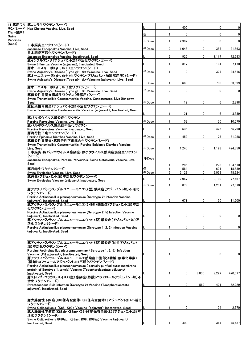|                 | 11_豚用ワク  豚コレラ生ワクチン(シード)                                                                                               |              |                |                |                |                |                |
|-----------------|-----------------------------------------------------------------------------------------------------------------------|--------------|----------------|----------------|----------------|----------------|----------------|
|                 | チン(シード  Hog Cholera Vaccine, Live, Seed                                                                               |              |                | 400            |                | $\overline{0}$ | $\overline{0}$ |
| ロット製剤)<br>Swine |                                                                                                                       | 個            |                | $\Omega$       |                | $\overline{0}$ | $\overline{0}$ |
| Vaccines        |                                                                                                                       | <b>千Dose</b> | 4              | 2,392          | $\overline{0}$ | $\overline{0}$ | $\overline{0}$ |
| (Seed)          | 日本脳炎生ワクチン(シード)                                                                                                        |              |                |                |                |                |                |
|                 | Japanese Encephalitis Vaccine, Live, Seed                                                                             | $\mp$ Dose   | $\overline{2}$ | 1,048          | 0              | 387            | 21,663         |
|                 | 日本脳炎不活化ワクチン(シード)<br>Japanese Encephalitis Vaccine, Inactivated, Seed                                                  |              | 3              | 925            | $\Omega$       | 1,117          | 72,783         |
|                 | 豚インフルエンザ(アジュバント加)不活化ワクチン(シード)                                                                                         |              |                |                |                |                |                |
|                 | Swine Influenza Vaccine (adjuvant), Inactivated, Seed                                                                 |              |                | 317            |                | 194            | 7,170          |
|                 | 豚オーエスキー病(gl-、tk+)生ワクチン(シード)                                                                                           |              |                |                |                |                |                |
|                 | Swine Aujeszky's Disease (Type gl-, tk+) Vaccine, Live, Seed<br>豚オーエスキー病(gI-、tk+)生ワクチン(アジュバント加溶解用液)(シード)              | <b>千Dose</b> |                | $\overline{0}$ |                | 327            | 24,616         |
|                 | Swine Aujeszky's Disease (Type gI-, tk+) Vaccine (adjuvant), Live, Seed                                               |              |                |                |                |                |                |
|                 |                                                                                                                       | $\mp$ Dose   |                | 663            |                | 700            | 53,599         |
|                 | 豚オーエスキー病(gI-、tk-)生ワクチン(シード)<br>Swine Aujeszky's Disease (Type gl-, tk-) Vaccine, Live, Seed                           | 千Dose        |                | 0              |                | $\overline{0}$ | $\mathbf 0$    |
|                 | 豚伝染性胃腸炎濃縮生ワクチン(母豚用)(シード)                                                                                              |              |                |                |                |                |                |
|                 | Swine Transmissible Gastroenteritis Vaccine, Concentrated, Live (for sow),                                            |              |                |                |                |                |                |
|                 | Seed<br>豚伝染性胃腸炎(アジュバント加)不活化ワクチン(シード)                                                                                  | 千Dose        |                | 19             | 0              | $6 \,$         | 2,898          |
|                 | Swine Transmissible Gastroenteritis Vaccine (adjuvant), Inactivated, Seed                                             |              |                |                |                |                |                |
|                 |                                                                                                                       |              |                | 21             | $\Omega$       | 6              | 3,539          |
|                 | 豚パルボウイルス感染症生ワクチン                                                                                                      | <b>FDose</b> |                |                |                |                |                |
|                 | Porcine Parvovirus Vaccine, Live, Seed<br>豚パルボウイルス感染症不活化ワクチン                                                          |              |                | 53             |                | 30             | 10,570         |
|                 | Porcine Parvovirus Vaccine, Inactivated, Seed                                                                         |              |                | 536            |                | 425            | 55,790         |
|                 | 豚流行性下痢生ワクチン(シード)                                                                                                      |              |                |                |                |                |                |
|                 | Porcine Epidemic Diarrhea Vaccine, Live, Seed<br>豚伝染性胃腸炎・豚流行性下痢混合生ワクチン(シード)                                           | <b>千Dose</b> |                | 452            | 0              | 175            | 31.288         |
|                 | Swine Transmissible Gastroenteritis, Porcine Epidemic Diarrhea Vaccine,                                               |              |                |                |                |                |                |
|                 | Live, Seed                                                                                                            | $\mp$ Dose   |                | 1.240          | 0              | 1,128          | 424,350        |
|                 | 日本脳炎・豚パルボウイルス感染症・豚ゲタウイルス感染症混合生ワクチン<br>(シード)                                                                           |              |                |                |                |                |                |
|                 | Japanese Encephalitis, Porcine Parvovirus, Swine Getahvirus Vaccine, Live,                                            | <b>千Dose</b> |                |                |                |                |                |
|                 | Seed                                                                                                                  |              |                | 286            | 0              | 278            | 104,510        |
|                 | 豚丹毒生ワクチン(シード)                                                                                                         | 個            |                | 564            |                | 601            | 18,639         |
|                 | Swine Erysipelas Vaccine, Live, Seed                                                                                  | 千Dose        | $6 \,$         | 3,123          | 0              | 3,038          | 78,924         |
|                 | 豚丹毒(アジュバント加)不活化ワクチン(シード)<br>Swine Erysipelas Vaccine (adjuvant), Inactivated, Seed                                    |              |                | 2,967          | 0              | 3,190          | 77,467         |
|                 |                                                                                                                       | 千Dose        |                | 878            |                | 1,201          | 27,670         |
|                 | 豚アクチノバシラス・プルロニューモニエ(2型)感染症(アジュバント加)不活化                                                                                |              |                |                |                |                |                |
|                 | ワクチン(シード)                                                                                                             |              |                |                |                |                |                |
|                 | Porcine Actinobacillus pleuropneumoniae (Serotype 2) Infection Vaccine<br>(adjuvant), Inactivated, Seed               |              | 2              | 671            | $\overline{0}$ | 50             | 11,700         |
|                 | 豚アクチノバシラス・プルロニューモニエ(2・5型)感染症(アジュバント加)不活                                                                               |              |                |                |                |                |                |
|                 | 化ワクチン(シード)                                                                                                            |              |                |                |                |                |                |
|                 | Porcine Actinobacillus pleuropneumoniae (Serotype 2, 5) Infection Vaccine<br>(adjuvant), Inactivated, Seed            |              |                | $\overline{0}$ | $\Omega$       | $\overline{0}$ | $\overline{0}$ |
|                 | 豚アクチノバシラス・プルロニューモニエ(1・2・5型)感染症(アジュバント加)不                                                                              |              |                |                |                |                |                |
|                 | 活化ワクチン(シード)                                                                                                           |              |                |                |                |                |                |
|                 | Porcine Actinobacillus pleuropneumoniae (Serotype 1, 2, 5) Infection Vaccine<br>(adjuvant), Inactivated, Seed         |              |                | $\mathbf{0}$   | 0              | $\overline{0}$ | $\overline{0}$ |
|                 |                                                                                                                       |              |                |                |                |                |                |
|                 |                                                                                                                       |              |                |                |                |                |                |
|                 | 豚アクチノバシラス・プルロニューモニエ(1・2・5型)感染症(油性アジュバント<br>加)不活化ワクチン(シード)                                                             |              |                |                |                |                |                |
|                 | Porcine Actinobacillus pleuropneumoniae (Serotype 1, 2, 5) Infection                                                  |              |                |                |                |                |                |
|                 | Vaccine (Oil adjuvant), Inactivated, Seed                                                                             |              |                | $\Omega$       |                | $\mathbf{0}$   | 0              |
|                 | 豚アクチノバシラス・プルロニューモニエ感染症(1型部分精製・無毒化毒素)<br>(酢酸トコフェロールアジュバント加)不活化ワクチン(シード)                                                |              |                |                |                |                |                |
|                 | Porcine Actinobacillus pleuropneumoniae ( partially purified outer membrane                                           |              |                |                |                |                |                |
|                 | protein of Serotype 1, toxoid) Vaccine (Tocopherolacetate adjuvant),                                                  |              |                |                |                |                |                |
|                 | Inactivated, Seed<br>豚ストレプトコッカス・スイス(2型)感染症(酢酸トコフェロールアジュバント加)不                                                         |              |                | $\mathbf{0}$   | 8,030          | 9,227          | 470,577        |
|                 | 活化ワクチン(シード)                                                                                                           |              |                |                |                |                |                |
|                 | Streptococcus Suis Infection (Serotype 2) Vaccine (Tocopherolacetate                                                  |              |                | 0              | 569            | 421            | 52,229         |
|                 | adjuvant), Inactivated, Seed                                                                                          |              |                |                |                |                |                |
|                 |                                                                                                                       |              |                |                |                |                |                |
|                 | 豚大腸菌性下痢症(K88保有全菌体・K99保有全菌体)(アジュバント加)不活化                                                                               |              |                |                |                |                |                |
|                 | ワクチン(シード)                                                                                                             |              |                |                |                |                |                |
|                 | Swine Colibacillosis (K88, K99) Vaccine (adjuvant) Inactivated, Seed<br>豚大腸菌性下痢症(K88ab・K88ac・K99・987P保有全菌体)(アジュバント加)不 |              |                | $\mathbf{0}$   |                | 24             | 2,670          |
|                 | 活化ワクチン(シード)                                                                                                           |              |                |                |                |                |                |
|                 | Swine Colibacillosis (K88ab, K88ac, K99, K987p) Vaccine (adjuvant)                                                    |              |                |                |                |                |                |
|                 | Inactivated. Seed                                                                                                     |              |                | 409            |                | 314            | 45,437         |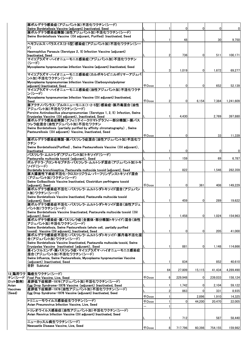| 豚ボルデテラ感染症(アジュバント加)不活化ワクチン(シード)                                                                         |              |                |              |             |         |             |
|--------------------------------------------------------------------------------------------------------|--------------|----------------|--------------|-------------|---------|-------------|
| Swine Bordetellosis Vaccine (adjuvant) Inactivated. Seed<br> 豚ボルデテラ感染症精製(油性アジュバント加)不活化ワクチン(シード)        |              |                | 0            | 0           | 0       | $\mathbf 0$ |
| Swine Bordetellosis Vaccine (Oil adjuvant, Purified) Inactivated, Seed                                 |              |                |              |             |         |             |
|                                                                                                        |              |                | 48           |             | 30      | 9,750       |
| ヘモフィルス・パラスイス(2・5型)感染症(アジュバント加)不活化ワクチン(シー                                                               |              |                |              |             |         |             |
| F)<br>Haemophilus Parasuis (Serotype 2, 5) Infection Vaccine (adjuvant)                                |              |                |              |             |         |             |
| Inactivated, Seed                                                                                      |              |                | 736          | 0           | 511     | 100,171     |
| マイコプラズマ・ハイオニューモニエ感染症(アジュバント加)不活化ワクチン                                                                   |              |                |              |             |         |             |
| (シード)                                                                                                  |              |                |              |             |         |             |
| Mycoplasma hyopneumoniae Infection Vaccine (adjuvant) Inactivated, Seed                                |              | 3              | 1,019        | 0           | 1,672   |             |
| マイコプラズマ・ハイオニューモニエ感染症(カルボキシビニルポリマーアジュバ                                                                  |              |                |              |             |         | 69,277      |
| ント加)不活化ワクチン(シード)                                                                                       |              |                |              |             |         |             |
| Mycoplasma hyopneumoniae Infection Vaccine (Carboxyvinylpolymer                                        |              |                |              |             |         |             |
| adjuvant) Inactivated, Seed<br>マイコプラズマ・ハイオニューモニエ感染症(油性アジュバント加)不活化ワクチ                                   | <b>千Dose</b> |                | 0            | 0           | 652     | 52,139      |
| ン(シード)                                                                                                 |              |                |              |             |         |             |
| Mycoplasma hyopneumoniae Infection Vaccine (Oil adjuvant) Inactivated.                                 |              |                |              |             |         |             |
| Seed                                                                                                   | <b>千Dose</b> | $\overline{2}$ | $\Omega$     | 6,154       | 7,384   | 1,241,609   |
| 豚アクチノバシラス・プルロニューモニエ(1・2・5型)感染症・豚丹毒混合(油性<br>アジュバント加)不活化ワクチン(シード)                                        |              |                |              |             |         |             |
| Porcine Actinobacillus pleuropneumoniae (Serotype 1, 2, 5) Infection, Swine                            |              |                |              |             |         |             |
| Erysipelas Vaccine (Oil adjuvant), Inactivated, Seed                                                   |              |                | 4,430        |             | 2,769   | 397,880     |
| 豚ボルデテラ感染症精製(アフィニテイークロマトグラフィー部分精製)・豚パス                                                                  |              |                |              |             |         |             |
| ツレラ症混合(油性アジュバント加)不活化ワクチン<br>Swine Bordetellosis (partially purified by affinity chromatography), Swine |              |                |              |             |         |             |
| Pasteurellosis (Oil adjuvant) Vaccine, Inactivated, Seed                                               |              |                |              |             |         |             |
|                                                                                                        | $\mp$ Dose   |                | 0            |             | 33      | 11,339      |
| 豚ボルデテラ感染症精製・豚パスツレラ症混合(油性アジュバント加)不活化ワ                                                                   |              |                |              |             |         |             |
| クチン<br>Swine Bordetellosis(Purified), Swine Pasteurellosis Vaccine (Oil adjuvant),                     |              |                |              |             |         |             |
| Inactivated                                                                                            |              |                | $\mathbf{0}$ |             | 0       | $\mathbf 0$ |
| パスツレラ・ムルトシダ(アジュバント加)トキソイド(シード)                                                                         |              |                |              |             |         |             |
| Pasteurella multocida toxoid (adjuvant), Seed<br>ボルデテラ・ブロンキセプチカ・パスツレラ・ムルトシダ混合(アジュバント加)トキ               |              |                | 159          |             | 69      | 6,787       |
| ソイド(シード)                                                                                               |              |                |              |             |         |             |
| Bordetella bronchiseptica, Pasteurella multocida toxoid (adjuvant), Seed                               |              |                | 822          |             | 1,546   | 282,359     |
| 豚大腸菌性下痢症不活化・クロストリジウム・パーフリンゲンストキソイド混合                                                                   |              |                |              |             |         |             |
| (アジュバント加)ワクチン(シード)<br>Swine Colibacillosis Vaccine Inactivated, Clostridium perfringens toxoid         |              |                |              |             |         |             |
| (adjuvant), Seed                                                                                       | $\mp$ Dose   |                | 0            | 361         | 408     | 149,229     |
| 豚ボルデテラ感染症不活化・パスツレラ・ムルトシダトキソイド混合(アジュバン                                                                  |              |                |              |             |         |             |
| ト加)ワクチン(シード)                                                                                           |              |                |              |             |         |             |
| Swine Bordetellosis Vaccine Inactivated, Pasteurella multocida toxoid<br>(adjuvant), Seed              |              |                | 459          | 0           | 289     | 19,622      |
| 豚ボルデテラ感染症不活化・パスツレラ・ムルトシダトキソイド混合(油性アジュ                                                                  |              |                |              |             |         |             |
| バント加)ワクチン(シード)                                                                                         |              |                |              |             |         |             |
| Swine Bordetellosis Vaccine Iinactivated, Pasteurella multocida toxoid (Oil                            |              |                |              |             |         |             |
| adjuvant),Seed<br> 豚ボルデテラ感染症・豚パスツレラ症(全菌体・部分精製トキソイド)混合(油性                                               |              |                | 1,458        | 0           | 1,024   | 154,963     |
| アジュバント加)不活化ワクチン(シード)                                                                                   |              |                |              |             |         |             |
| Swine Bordetellosis, Swine Pasteurellosis (whole cell, partially purified                              |              |                |              |             |         |             |
| toxoid) Vaccine (Oil adjuvant), Inactivated, Seed<br> 豚ボルデテラ感染症不活化・パスツレラ・ムルトシダトキソイド・豚丹毒不活化混            |              |                | 0            | 0           | 205     | 41,000      |
| 合(アジュバント加)ワクチン(シード)                                                                                    |              |                |              |             |         |             |
| Swine Bordetellosis Vaccine Iinactivated, Pasteurella multocida toxoid, Swine                          |              |                |              |             |         |             |
| Erysipelas Vaccine Inactivated (adjuvant), Seed                                                        |              |                | 881          | 0           | 1,148   | 114,666     |
| 豚インフルエンザ・豚パスツレラ症・マイコプラズマ・ハイオニューモニエ感染症<br> 混合(アジュバント加)不活化ワクチン(シード)                                      |              |                |              |             |         |             |
| Swine Influenza, Swine Pasteurellosis, Mycoplasma hyopneumoniae Vaccine                                |              |                |              |             |         |             |
| (adjuvant) Inactivated, Seed                                                                           |              |                | 834          |             | 852     | 40,610      |
| 合計 Subtotal                                                                                            |              |                |              |             |         |             |
| 鶏痘生ワクチン(シード)<br>12.鶏用ワク                                                                                |              | 64             | 27,809       | 15,115      | 41,434  | 4,289,490   |
| <b>Fowl Pox Vaccine, Live, Seed</b>                                                                    | $\mp$ Dose   | 6              | 229,948      | 0           | 239,033 | 158,124     |
| チン(シード<br> 産卵低下症候群ー1976(アジュバント加)不活化ワクチン(シード)                                                           |              |                |              |             |         |             |
| Egg Drop Syndrome-1976 Vaccine (adjuvant) Inactivated, Seed                                            |              |                | 1,742        | 0           | 2,104   | 59,122      |
| 産卵低下症候群-1976(油性アジュバント加)不活化ワクチン(シード)<br>Egg Drop Syndrome-1976 Vaccine (adjuvant) Inactivated, Seed     |              | $\overline{2}$ | 863          | $\mathbf 0$ | 331     | 8,935       |
|                                                                                                        | <b>千Dose</b> |                |              | 2,896       | 1,910   | 14,325      |
| トリニューモウイルス感染症生ワクチン(シード)                                                                                | <b>千Dose</b> |                | $\mathbf{0}$ | 44,200      | 20,470  | 22,005      |
| Avian Pneumovirus Infection Vaccine, Live, Seed                                                        |              |                |              |             |         |             |
| トリレオウイルス感染症(油性アジュバント加)不活化ワクチン(シード)                                                                     |              |                |              |             |         |             |
| Avian Reovirus Infection Vaccine (Oil adjuvant) Inactivated, Seed                                      |              |                |              |             |         |             |
| ニューカッスル病生ワクチン(シード)                                                                                     |              | -1             | 712          |             | 587     | 58,440      |
| Newcastle Disease Vaccine, Live, Seed                                                                  |              |                |              |             |         | 159,982     |
|                                                                                                        | <b>千Dose</b> | 8              | 717,796      | 60,398      | 754,155 |             |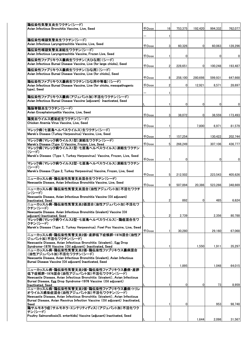| 鶏伝染性気管支炎生ワクチン(シード)                                                                                                                           |              |                |              |         |                |         |
|----------------------------------------------------------------------------------------------------------------------------------------------|--------------|----------------|--------------|---------|----------------|---------|
| Avian Infectious Bronchitis Vaccine, Live, Seed                                                                                              | <b>千Dose</b> | 16             | 753,375      | 192,420 | 994,332        | 762,077 |
|                                                                                                                                              |              |                |              |         |                |         |
|                                                                                                                                              |              | 1              |              |         |                |         |
| 鶏伝染性喉頭気管炎生ワクチン(シード)                                                                                                                          |              |                |              |         |                |         |
| Avian Infectious Laryngotrachitis Vaccine, Live, Seed                                                                                        | <b>千Dose</b> | 3              | 60,326       | 0       | 60,063         | 128,296 |
| 鶏伝染性喉頭気管炎凍結生ワクチン(シード)                                                                                                                        |              |                |              |         |                |         |
| Avian Infectious Laryngotrachitis Vaccine, Frozen Live, Seed                                                                                 |              |                |              |         |                |         |
| 鶏伝染性ファブリキウス嚢病生ワクチン(大ひな用)(シード)                                                                                                                | <b>千Dose</b> | 1              | $\Omega$     |         | 0              | 0       |
| Avian Infectious Bursal Disease Vaccine, Live (for large chicks), Seed                                                                       |              |                |              |         |                |         |
|                                                                                                                                              | <b>千Dose</b> | $\overline{2}$ | 228,651      | 0       | 100.248        | 193,487 |
| 鶏伝染性ファブリキウス嚢病生ワクチン(ひな用)(シード)                                                                                                                 |              |                |              |         |                |         |
| Avian Infectious Bursal Disease Vaccine, Live (for chicks), Seed                                                                             |              |                |              |         |                |         |
| 鶏伝染性ファブリキウス嚢病生ワクチン(ひな用中等毒)(シード)                                                                                                              | 千Dose        | 8              | 258,100      | 280.698 | 599.931        | 647,668 |
| Avian Infectious Bursal Disease Vaccine, Live (for chicks, mesopathogenic                                                                    | <b>千Dose</b> | $\overline{2}$ | $\Omega$     | 12,921  | 8,571          | 28,697  |
| type). Seed                                                                                                                                  |              |                |              |         |                |         |
|                                                                                                                                              |              | 1.             |              |         |                |         |
| 鶏伝染性ファブリキウス嚢病(アジュバント加)不活化ワクチン(シード)                                                                                                           |              |                |              |         |                |         |
| Avian Infectious Bursal Disease Vaccine (adjuvant) Inactivated, Seed                                                                         |              |                |              |         |                |         |
|                                                                                                                                              |              | 1              | 0            | 0       | $\overline{0}$ | 0       |
| 鶏脳脊髄炎生ワクチン(シード)                                                                                                                              |              |                |              |         |                |         |
| Avian Encephalomyelitis Vaccine, Live, Seed                                                                                                  | <b>千Dose</b> | 3              | 38,072       | 0       | 38,559         | 173,493 |
| 鶏貧血ウイルス感染症生ワクチン(シード)                                                                                                                         |              |                |              |         |                |         |
| Chicken Anemia Virus Vaccine, Live, Seed                                                                                                     |              |                |              |         |                |         |
|                                                                                                                                              | 千Dose        |                |              | 7,800   | 6,971          | 81,579  |
| マレック病(七面鳥ヘルペスウイルス)生ワクチン(シード)                                                                                                                 |              |                |              |         |                |         |
| Marek's Disease (Turkey Herpesvirus) Vaccine, Live, Seed                                                                                     | <b>千Dose</b> | 7              | 157,254      |         | 130,422        | 202,744 |
| マレック病(マレック病ウイルス1型)凍結生ワクチン(シード)                                                                                                               |              |                |              |         |                |         |
| Marek's Disease (Type 1) Vaccine, Frozen, Live, Seed                                                                                         | <b>千Dose</b> | 5 <sup>1</sup> | 266,249      |         | 307,106        | 436,777 |
| マレック病(マレック病ウイルス1型・七面鳥ヘルペスウイルス)凍結生ワクチン                                                                                                        |              |                |              |         |                |         |
| (シード)                                                                                                                                        |              |                |              |         |                |         |
| Marek's Disease (Type 1, Turkey Herpesvirus) Vaccine, Frozen, Live, Seed                                                                     |              |                |              |         |                |         |
| マレック病(マレック病ウイルス2型・七面鳥ヘルペスウイルス)凍結生ワクチン                                                                                                        | <b>千Dose</b> | 1              | 0            |         | 0              | 0       |
| (シード)                                                                                                                                        |              |                |              |         |                |         |
| Marek's Disease (Type 2, Turkey Herpesvirus) Vaccine, Frozen, Live, Seed                                                                     |              |                |              |         |                |         |
|                                                                                                                                              | 千Dose        | 5 <sub>l</sub> | 212,502      |         | 223,543        | 405,626 |
| ニューカッスル病・鶏伝染性気管支炎混合生ワクチン(シード)                                                                                                                |              |                |              |         |                |         |
| Newcastle Disease, Avian Infectious Bronchitis Vaccine, Live, Seed                                                                           |              | 9              |              |         |                |         |
| ニューカッスル病・鶏伝染性気管支炎混合(油性アジュバント加)不活化ワクチ                                                                                                         | 千Dose        |                | 507,894      | 20,386  | 523,266        | 348,669 |
| ン(シード)                                                                                                                                       |              |                |              |         |                |         |
| Newcastle Disease, Avian Infectious Bronchitis Vaccine (Oil adjuvant)                                                                        |              |                |              |         |                |         |
| Inactivated, Seed                                                                                                                            |              | 2              | 892          | 0       | 485            | 6,624   |
| ニューカッスル病・鶏伝染性気管支炎2価混合(油性アジュバント加)不活化ワ                                                                                                         |              |                |              |         |                |         |
| クチン(シード)                                                                                                                                     |              |                |              |         |                |         |
| Newcastle Disease, Avian Infectious Bronchitis (bivalent) Vaccine (Oil                                                                       |              |                |              |         |                |         |
| adjuvant) Inactivated, Seed<br>マレック病(マレック病ウイルス2型・七面鳥ヘルペスウイルス)・鶏痘混合生ワ                                                                         |              | 2              | 2,739        |         | 2,356          | 80,788  |
| クチン(シード)                                                                                                                                     |              |                |              |         |                |         |
| Marek's Disease (Type 2, Turkey Herpesvirus). Fowl Pox Vaccine, Live, Seed                                                                   |              |                |              |         |                |         |
|                                                                                                                                              | <b>千Dose</b> |                | 30,280       |         | 29,160         | 67,068  |
| 二ュ一カッスル病・鶏伝染性気管支炎2価・産卵低下症候群-1976混合(油性ア                                                                                                       |              |                |              |         |                |         |
| ジュバント加)不活化ワクチン(シード)                                                                                                                          |              |                |              |         |                |         |
| Newcastle Disease. Avian Infectious Bronchitis (bivalent). Egg Drop                                                                          |              |                |              |         |                |         |
| Syndrome-1976 Vaccine (Oil adjuvant) Inactivated, Seed<br>ニューカッスル病・鶏伝染性気管支炎2価・鶏伝染性ファブリキウス嚢病混合                                                |              |                |              | 1,550   | 1,911          | 35,297  |
| (油性アジュバント加)不活化ワクチン(シード)                                                                                                                      |              |                |              |         |                |         |
| Newcastle Disease, Avian Infectious Bronchitis (bivalent), Avian Infectious                                                                  |              |                |              |         |                |         |
| Bursal Disease Vaccine (Oil adjuvant) Inactivated, Seed                                                                                      |              |                |              |         |                |         |
|                                                                                                                                              |              |                | 1,895        |         | 1,048          | 64,015  |
| ニューカッスル病・鶏伝染性気管支炎2価・鶏伝染性ファブリキウス嚢病・産卵                                                                                                         |              |                |              |         |                |         |
| 低下症候群-1976混合(油性アジュバント加)不活化ワクチン(シード)                                                                                                          |              |                |              |         |                |         |
| Newcastle Disease, Avian Infectious Bronchitis (bivalent), Avian Infectious<br>Bursal Disease, Egg Drop Syndrome-1976 Vaccine (Oil adjuvant) |              |                |              |         |                |         |
| Inactivated, Seed                                                                                                                            |              |                | $\mathbf{0}$ | 0       | 73             | 8,959   |
| ニューカッスル病・鶏伝染性気管支炎2価・鶏伝染性ファブリキウス嚢病・トリレ                                                                                                        |              |                |              |         |                |         |
| オウイルス感染症混合(油性アジュバント加)不活化ワクチン(シード)                                                                                                            |              |                |              |         |                |         |
| Newcastle Disease, Avian Infectious Bronchitis (bivalent), Avian Infectious                                                                  |              |                |              |         |                |         |
| Bursal Disease, Avian Reovirus Infection Vaccine (Oil adjuvant) Inactivated,                                                                 |              |                |              |         |                |         |
| Seed                                                                                                                                         |              | 1              | $\mathbf{0}$ |         | 953            | 98,748  |
| 鶏サルモネラ症(サルモネラ・エンテリティディス)(アジュバント加)不活化ワク                                                                                                       |              |                |              |         |                |         |
| チン(シード)<br>Poultry Salmonellosis(S. enteritidis) Vaccine (adjuvant) Inactivated, Seed                                                        |              |                |              |         |                |         |
|                                                                                                                                              |              |                |              | 1,644   | 2,098          | 31,567  |
|                                                                                                                                              |              |                |              |         |                |         |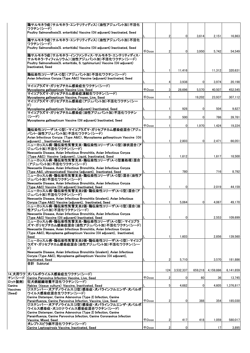|          | 鶏サルモネラ症(サルモネラ・エンテリティディス)(油性アジュバント加)不活化                                         |              |                |           |              |                   |           |
|----------|--------------------------------------------------------------------------------|--------------|----------------|-----------|--------------|-------------------|-----------|
|          | ワクチン(シード)                                                                      |              |                |           |              |                   |           |
|          | Poultry Salmonellosis(S. enteritidis) Vaccine (Oil adjuvant) Inactivated, Seed |              |                |           |              |                   |           |
|          |                                                                                |              | $\overline{2}$ | 0         | 3,614        | 2,151             | 16,863    |
|          | 鶏サルモネラ症(サルモネラ・エンテリティディス)(油性アジュバント加)不活化                                         |              |                |           |              |                   |           |
|          | ワクチン(シード)                                                                      |              |                |           |              |                   |           |
|          | Poultry Salmonellosis(S. enteritidis) Vaccine (Oil adjuvant) Inactivated, Seed |              |                |           |              |                   |           |
|          |                                                                                | <b>千Dose</b> | $\overline{2}$ | 0         | 3,950        | 5,742             | 54,549    |
|          | 鶏サルモネラ症(サルモネラ・インファンティス・サルモネラ・エンテリティディス・                                        |              |                |           |              |                   |           |
|          | サルモネラ・ティフィムリウム)(油性アジュバント加)不活化ワクチン(シード)                                         |              |                |           |              |                   |           |
|          | Poultry Salmonellosis(S. enteritidis, S. typhimurium) Vaccine (Oil adjuvant)   |              |                |           |              |                   |           |
|          | <b>Inactivated, Seed</b>                                                       |              |                |           |              |                   |           |
|          |                                                                                |              |                | 11,416    |              | 11,312            | 320,631   |
|          | 鶏伝染性コリーザ(A・C型)(アジュバント加)不活化ワクチン(シード)                                            |              |                |           |              |                   |           |
|          | Avian Infectious Coryza (Type A&C) Vaccine (adjuvant) Inactivated, Seed        |              |                |           |              |                   |           |
|          |                                                                                |              |                | 3,938     | 0            | 3,974             | 20,198    |
|          | マイコプラズマ・ガリセプチカム感染症生ワクチン(シード)                                                   |              |                |           |              |                   |           |
|          | Mycoplasma gallisepticum Vaccine Live, Seed                                    | <b>FDose</b> | 3              | 28.696    | 5.570        | 40.507            | 452,545   |
|          | マイコプラズマ・ガリセプチカム感染症凍結生ワクチン(シード)                                                 |              |                |           |              |                   |           |
|          | Mycoplasma gallisepticum Vaccine, Frozen, Live, Seed                           | <b>千Dose</b> |                |           | 19,202       | 23,937            | 307,112   |
|          | マイコプラズマ・ガリセプチカム感染症(アジュバント加)不活化ワクチン(シー                                          |              |                |           |              |                   |           |
|          | $\ket{F}$                                                                      |              |                |           |              |                   |           |
|          | Mycoplasma gallisepticum Vaccine (adjuvant) Inactivated, Seed                  |              |                | 928       | $\mathbf{0}$ | 504               | 9,827     |
|          | マイコプラズマ・ガリセプチカム感染症(油性アジュバント加)不活化ワクチン                                           |              |                |           |              |                   |           |
|          | (シード)                                                                          |              | 3              | 500       | 0            | 786               | 39,781    |
|          | Mycoplasma gallisepticum Vaccine (Oil adjuvant) Inactivated, Seed              |              |                |           |              |                   |           |
|          |                                                                                | <b>千Dose</b> |                | 0         | 1,970        | 1,424             | 19,224    |
|          | 鶏伝染性コリーザ(A・C型)・マイコプラズマ・ガリセプチカム感染症混合(アジュ                                        |              |                |           |              |                   |           |
|          | バント・油性アジュバント加)不活化ワクチン(シード)                                                     |              |                |           |              |                   |           |
|          | Avian Infectious Coryza (Type A&C), Mycoplasma gallisepticum Vaccine (Oil      |              |                |           |              |                   |           |
|          | adiuvant), Inactivated, Seed                                                   |              |                | 2,803     | 0            | 2,471             | 66,051    |
|          | ニューカッスル病・鶏伝染性気管支炎・鶏伝染性コリーザ(A・C型)液状混合(ア                                         |              |                |           |              |                   |           |
|          | ジュバント加)不活化ワクチン(シード)                                                            |              |                |           |              |                   |           |
|          | Newcastle Disease, Avian Infectious Bronchitis, Avian Infectious Coryza        |              |                |           |              |                   |           |
|          | (Type A&C) Vaccine (adjuvant), Liquid, Inactivated, Seed                       |              |                | 1,612     |              | 1,617             | 18,500    |
|          | ニューカッスル病・鶏伝染性気管支炎・鶏伝染性コリーザ(A・C型菌処理)混合                                          |              |                |           |              |                   |           |
|          | (アジュバント加)不活化ワクチン(シード)                                                          |              |                |           |              |                   |           |
|          | Newcastle Disease, Avian Infectious Bronchitis, Avian Infectious Coryza        |              |                |           |              |                   |           |
|          | (Type A&C, ultrasonicated) Vaccine (adjuvant), Inactivated, Seed               |              |                | 780       |              | 716               | 8,792     |
|          | ニューカッスル病・鶏伝染性気管支炎・鶏伝染性コリーザ(A-C型)混合(油性ア                                         |              |                |           |              |                   |           |
|          | ジュバント加)不活化ワクチン(シード)                                                            |              |                |           |              |                   |           |
|          | Newcastle Disease, Avian Infectious Bronchitis, Avian Infectious Coryza        |              |                |           |              |                   |           |
|          | (Type A&C) Vaccine (Oil adjuvant) Inactivated, Seed                            |              |                | 0         |              | 2,019             | 44,159    |
|          | ニューカッスル病・鶏伝染性気管支炎2価・鶏伝染性コリーザ(A・C型)混合(ア                                         |              |                |           |              |                   |           |
|          | ジュバント加)不活化ワクチン(シード)                                                            |              |                |           |              |                   |           |
|          | Newcastle Disease, Avian Infectious Bronchitis (bivalent), Avian Infectious    |              |                |           |              |                   |           |
|          | Coryza (Type A&C) Vaccine (adjuvant), Inactivated, Seed                        |              |                | 5,064     | 0            | 4.067             | 49.170    |
|          | ニューカッスル病・鶏伝染性気管支炎2価・鶏伝染性コリーザ(A・C型)混合(油                                         |              |                |           |              |                   |           |
|          | 性アジュバント加)不活化ワクチン(シード)                                                          |              |                |           |              |                   |           |
|          | Newcastle Disease, Avian Infectious Bronchitis, Avian Infectious Coryza        |              |                |           |              |                   |           |
|          | (Type A&C) Vaccine (Oil adjuvant) Inactivated, Seed                            |              |                | 0         |              | 2,553             | 109.699   |
|          | ニューカッスル病・鶏伝染性気管支炎・鶏伝染性コリーザ(A・C型)・マイコプラ                                         |              |                |           |              |                   |           |
|          | ズマ・ガリセプチカム感染症混合(油性アジュバント加)不活化ワクチン(シード)                                         |              |                |           |              |                   |           |
|          | Newcastle Disease, Avian Infectious Bronchitis, Avian Infectious Coryza        |              |                |           |              |                   |           |
|          | (Type A&C), Mycoplasma gallisepticum Vaccine (Oil adjuvant), Inactivated,      |              |                |           |              |                   |           |
|          | Seed                                                                           |              | -1             | 1,603     |              | 2.856             | 139,560   |
|          | ニューカッスル病・鶏伝染性気管支炎2価・鶏伝染性コリーザ(A・C型)・マイコプ                                        |              |                |           |              |                   |           |
|          | ラズマ・ガリセプチカム感染症混合(油性アジュバント加)不活化ワクチン(シー                                          |              |                |           |              |                   |           |
|          | $\ket{\mathfrak{r}}$                                                           |              |                |           |              |                   |           |
|          | Newcastle Disease, Avian Infectious Bronchitis (bivalent), Avian Infectious    |              |                |           |              |                   |           |
|          | Corvza (Type A&C), Mycoplasma gallisepticum Vaccine (Oil adiuvant),            |              | $\overline{2}$ |           |              | 3,570             |           |
|          | lInactivated. Seed<br>合計 Subtotal                                              |              |                | 5,710     |              |                   | 181,886   |
|          |                                                                                |              |                |           |              |                   |           |
|          |                                                                                |              | 124            | 3,532,337 |              | 659,218 4,159,886 | 6,141,659 |
| 14_犬用ワク  | 犬パルボウイルス感染症生ワクチン(シード)                                                          |              |                |           |              |                   |           |
| チン(シード   | Canine Parvovirus Infection Vaccine, Live, Seed                                | <b>千Dose</b> |                |           | 60           | 36                | 13,745    |
| ロット製剤)   | 狂犬病組織培養不活化ワクチン(シード)                                                            |              |                |           |              |                   |           |
| Canine   | Rabies (tissue culture) Vaccine, Inactivated, Seed                             |              | 5              | 4,682     | 0            | 4,605             | 1,376,817 |
| Vaccines | ジステンパー・犬アデノウイルス(2型)感染症・犬パラインフルエンザ・犬パルボ                                         |              |                |           |              |                   |           |
| (Seed)   | ウイルス感染症混合生ワクチン(シード)                                                            |              |                |           |              |                   |           |
|          | Canine Distemper, Canine Adenovirus (Type 2) Infection, Canine                 |              |                |           |              |                   |           |
|          | Parainfluenza, Canine Parvovirus Infection, Vaccine, Live, Seed                | <b>千Dose</b> | $\overline{2}$ | 0         | 388          | 354               | 185,030   |
|          | ジステンパー・犬アデノウイルス(2型)感染症・犬パラインフルエンザ・犬パルボ                                         |              |                |           |              |                   |           |
|          | ウイルス感染症・犬コロナウイルス感染症混合ワクチン(シード)                                                 |              |                |           |              |                   |           |
|          | Canine Distemper, Canine Adenovirus (Type 2) Infection, Canine                 |              |                |           |              |                   |           |
|          | Parainfluenza, Canine Parvovirus Infection, Canine Coronavirus Infection       |              |                |           |              |                   |           |
|          | Vaccine, Mixed, Seed                                                           | 千Dose        | 2              | 417       | 418          | 1,059             | 580,017   |
|          | 犬レプトスピラ病不活化ワクチン(シード)                                                           |              |                |           |              |                   |           |
|          | Canine Leptospirosis Vaccine, Inactivated, Seed                                | <b>千Dose</b> | $\overline{2}$ | 0         |              | 17                | 3,895     |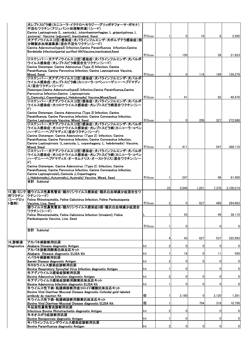|                 | 犬レプトスピラ病(カニコーラ・イクテロへモラジー・グリッポチフォーサ・ポモナ)                                                                                                           |                     |                |          |                |       |              |
|-----------------|---------------------------------------------------------------------------------------------------------------------------------------------------|---------------------|----------------|----------|----------------|-------|--------------|
|                 | 不活化ワクチン(アジュバント加溶解用液)(シード)<br>Canine Leptospirosis (L.canicola,L.icterohaemorrhagiae, L.grippotyphosa, L.                                          |                     |                |          |                |       |              |
|                 | pomona) Vaccine (adjuvant), Inactivated, Seed.                                                                                                    | <b>千Dose</b>        |                | 0        | 10             | 6     | 2,592        |
|                 | 犬アデノウイルス(2型)感染症・犬パラインフルエンザ・犬ボルデテラ感染症(部                                                                                                            |                     |                |          |                |       |              |
|                 | 分精製赤血球凝集素)混合不活化ワクチン(シード)                                                                                                                          |                     |                |          |                |       |              |
|                 | Canine Adenovirus(type2) Infection, Canine Parainfluenza Infection, Canine<br>Bordetella Infection(partial purified HA)Vaccine, inactivated, Seed |                     |                |          |                |       |              |
|                 |                                                                                                                                                   | $\mp$ Dose          |                | 150      |                | 58    | 21,823       |
|                 | ジステンパー・犬アデノウイルス(2型)感染症・犬パラインフルエンザ・犬パルボ                                                                                                            |                     |                |          |                |       |              |
|                 | ウイルス感染症・犬レプトスピラ病混合生ワクチン(シード)<br>Canine Distemper, Canine Adenovirus (Type 2) Infection, Canine                                                    |                     |                |          |                |       |              |
|                 | Parainfluenza, Canine Parvovirus Infection, Canine Leptospirosis Vaccine,                                                                         |                     |                |          |                |       |              |
|                 | Mixed, Seed                                                                                                                                       | 千Dose               | $\overline{2}$ | $\Omega$ | 116            | 189   | 126,279      |
|                 | ジステンパー・犬アデノウイルス(2型)感染症・犬パラインフルエンザ・犬パルボ<br>ウイルス感染症・犬レプトスピラ病(カニコーラ・コペンハーゲニー・ヘブドマディ                                                                  |                     |                |          |                |       |              |
|                 | ス)混合ワクチン(シード)                                                                                                                                     |                     |                |          |                |       |              |
|                 | Distemper, Canine Adenovirus(type2) Infection, Canine Parainfluenza, Canine                                                                       |                     |                |          |                |       |              |
|                 | Parvovirus Infection, Canine Leptospirosis<br>(L.Canicola,L.Copenhageny,L.Hebdomadis) Vaccine,Mixed,Seed                                          | $\mp$ Dose          |                | 41       |                | 82    | 49,470       |
|                 | ジステンパー・犬アデノウイルス(2型)感染症・犬パラインフルエンザ・犬パルボ                                                                                                            |                     |                |          |                |       |              |
|                 | ウイルス感染症・犬コロナウイルス感染症・犬レプトスピラ病混合ワクチン(シー                                                                                                             |                     |                |          |                |       |              |
|                 | $\boldsymbol{F}$                                                                                                                                  |                     |                |          |                |       |              |
|                 | Canine Distemper, Canine Adenovirus (Type 2) Infection, Canine<br>Parainfluenza, Canine Parvovirus Infection, Canine Coronavirus Infection.       |                     |                |          |                |       |              |
|                 | Canine Leptospirosis Vaccine, Mixed, Seed                                                                                                         | 千Dose               |                | 0        | 209            | 327   | 272.988      |
|                 | ジステンパー・犬アデノウイルス(2型)感染症・犬パラインフルエンザ・犬パルボ                                                                                                            |                     |                |          |                |       |              |
|                 | ウイルス感染症・犬コロナウイルス感染症・犬レプトスピラ病(カニコーラ・コペン<br>ハーゲニー・ヘブドマディス)混合ワクチン(シード)                                                                               |                     |                |          |                |       |              |
|                 | Canine Distemper, Canine Adenovirus (Type 2) Infection, Canine                                                                                    |                     |                |          |                |       |              |
|                 | Parainfluenza, Canine Parvovirus Infection, Canine Coronavirus Infection,                                                                         |                     |                |          |                |       |              |
|                 | Canine Leptospirosis (L.canicola, L. copenhageny, L. hebdomadis) Vaccine,<br>Mixed, Seed                                                          | <b><i>FDose</i></b> | 2              | 411      |                | 547   | 386,110      |
|                 | ジステンパー・犬アデノウイルス(2型)感染症・犬パラインフルエンザ・犬パルボ                                                                                                            |                     |                |          |                |       |              |
|                 | ウイルス感染症・犬コロナウイルス感染症・犬レプトスピラ病(カニコーラ・コペン                                                                                                            |                     |                |          |                |       |              |
|                 | ハーゲニー・ヘブドマディス・オータムナリス・オーストラリス)混合ワクチン(シー<br>F)                                                                                                     |                     |                |          |                |       |              |
|                 | Canine Distemper, Canine Adenovirus (Type 2) Infection, Canine                                                                                    |                     |                |          |                |       |              |
|                 | Parainfluenza, Canine Parvovirus Infection, Canine Coronavirus Infection,                                                                         |                     |                |          |                |       |              |
|                 | Canine Leptospirosis(L.Canicola ,L.Copenhageny<br>,L.Hebdomadis,L.Autumnalis,L.Australis) Vaccine, Mixed, Seed                                    | <b>千Dose</b>        |                | 247      |                | 96    | 81,450       |
|                 | 合計 Subtotal                                                                                                                                       |                     |                |          |                |       |              |
|                 |                                                                                                                                                   |                     | 22             | 5,949    | 1,201          | 7,376 | 3,100,214    |
|                 | 15_猫・ミンク 猫ウイルス性鼻気管炎・猫カリシウイルス感染症・猫汎白血球減少症混合生ワ                                                                                                      |                     |                |          |                |       |              |
| 用ワクチン<br>(シードロッ | クチン(シード)<br>Feline Rhinotracheitis. Feline Calicivirus Infection. Feline Panleukopenia                                                            |                     |                |          |                |       |              |
| ト製剤)            | Vaccine, Live, Seed                                                                                                                               | $\mp$ Dose          | 2              | 0        | 627            | 488   | 284.883      |
|                 | 猫ウイルス性鼻気管炎・猫カリシウイルス感染症3価・猫汎白血球減少症混合                                                                                                               |                     |                |          |                |       |              |
|                 | ワクチン(シード)<br>Feline Rhinotracheitis, Feline Calicivirus Infection (trivalent), Feline                                                             |                     | -1             | 43       |                | 49    | 38,110       |
|                 | Panleukopenia Vaccine, Live, Seed                                                                                                                 |                     |                |          |                |       |              |
|                 |                                                                                                                                                   |                     |                |          |                |       |              |
|                 | 合計 Subtotal                                                                                                                                       | <b>千Dose</b>        |                |          |                |       |              |
|                 |                                                                                                                                                   |                     |                | 0        |                | 0     | 0            |
|                 |                                                                                                                                                   |                     |                |          |                |       |              |
|                 |                                                                                                                                                   |                     |                | 43       | 627            | 537   | 322,993      |
| 16_診断液          | アカバネ病診断用抗原                                                                                                                                        |                     |                |          |                |       |              |
| Diagnostics     | Akabane Disease diagnostic Antigen                                                                                                                | kit                 | 2              | 0        | 0              | 0     | 0            |
|                 | アカバネ診断用酵素抗体反応キット<br>Akabane Disease diagnostic ELISA Kit                                                                                          | kit                 |                | 18       | 0              | 11    | 550          |
|                 | イバラキ病診断用抗原                                                                                                                                        |                     |                |          |                |       |              |
|                 | Ibaraki Disease diagnostic Antigen                                                                                                                | kit                 | 2              | 0        | 0              | 0     | 0            |
|                 | 牛RSウイルス感染症診断用抗原<br>Bovine Respiratory Syncytial Virus Infection diagnostic Antigen                                                                | kit                 |                | 0        |                | 0     | 0            |
|                 | 牛アデノウイルス感染症診断用抗原                                                                                                                                  |                     |                |          |                |       |              |
|                 | Bovine Adenovirus Infection diagnostic Antigen                                                                                                    | kit                 | 2              | 0        | 0              | 0     | 0            |
|                 | 牛アデノウイルス感染症診断用酵素抗体反応キット<br>Bovine Adenovirus Infection diagnostic ELISA Kit                                                                       | kit                 |                | 0        | 0              | 0     | 0            |
|                 | 牛ウイルス性下痢−粘膜病診断用金コロイド標識抗体反応キット                                                                                                                     |                     |                |          |                |       |              |
|                 | Bovine Viral Diarrhea-Mucosal Disease diagnostic Colloidal gold-labeled                                                                           |                     | 1              |          | $\mathbf 0$    |       |              |
|                 | antibody dy reaction Kit<br>牛ウイルス性下痢-粘膜病診断用酵素抗体反応キット                                                                                              | 個                   |                | 2,180    |                | 2,120 | 1,261        |
|                 | Bovine Viral Diarrhea-Mucosal Disease diagnostic ELISA Kit                                                                                        | 個                   |                |          | 794            | 318   | 10,799       |
|                 | 牛伝染性鼻気管炎診断用抗原                                                                                                                                     | kit                 | 2              | 0        |                | 0     | 0            |
|                 | Infectious Bovine Rhinotracheitis diagnostic Antigen<br>牛ネオスポラ症診断用抗原                                                                              |                     |                |          |                |       |              |
|                 | Bovine Neosporosis diagnostic Antigen                                                                                                             | kit                 |                | 0        |                | 0     | 0            |
|                 | 牛パラインフルエンザウイルス感染症診断用抗原<br>Bovine Parainfluenza diagnostic Antigen                                                                                 | kit                 | $\overline{2}$ | 0        | $\overline{0}$ | 0     | $\mathbf{0}$ |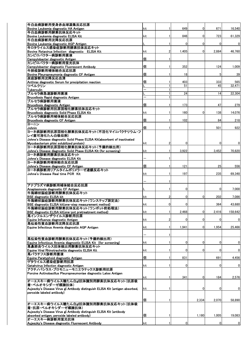| 牛白血病診断用受身赤血球凝集反応抗原                                                                               |     |                |                 |                |                |             |
|--------------------------------------------------------------------------------------------------|-----|----------------|-----------------|----------------|----------------|-------------|
| Bovine Leukemia diagnostic HA Antigen                                                            | kit | 1              | 649             | $\Omega$       | 671            | 16,540      |
| 牛白血病診断用酵素抗体反応キット                                                                                 |     |                |                 |                |                |             |
| Bovine Leukemia diagnostic ELISA Kit                                                             | kit | 1              | 846             | $\Omega$       | 723            | 61,329      |
| 牛白血病診断用沈降反応抗原<br>Bovine Leukemia diagnostic AGP Antigen                                          |     | 1              | 0               | $\overline{0}$ | $\overline{0}$ | 0           |
| 牛ロタウイルス感染症診断用酵素抗体反応キット                                                                           |     |                |                 |                |                |             |
| Bovine Rotavirus Infection diagnostic ELISA Kit                                                  | kit | $\overline{2}$ | 1,405           | $\Omega$       | 2,884          | 46,760      |
| カンピロバクタ―病診断用菌液<br>Campylobacter diagnostic Antigen                                               | 個   | 1              |                 |                |                |             |
| カンピロバクター病診断用蛍光抗体                                                                                 |     |                |                 |                |                |             |
| Campylobacter diagnostic Fluorescent Antibody                                                    | 個   | 1              | 352             |                | 124            | 1,009       |
| 牛肺疫診断用補体結合反応抗原                                                                                   |     |                |                 |                |                |             |
| Bovine Pleuropneumonia diagnostic CF Antigen<br>炭疽診断用沈降反応血清                                      | 個   | 1              | 18              |                | 5              | 39          |
| Anthrax diagnostic Serum for precipitation reaction                                              | 個   |                | 403             |                | 333            | 565         |
| ツベルクリン                                                                                           |     |                | 51              |                | 45             | 32.471      |
| Tuberculin<br>ブルセラ病急速診断用菌液                                                                       |     |                | $\overline{24}$ |                | 14             | 22,304      |
| Brucellosis Rapid diagnostic Antigen                                                             |     |                |                 |                |                |             |
| ブルセラ病診断用菌液                                                                                       |     |                |                 |                |                |             |
| Brucellosis diagnostic Antigen                                                                   | 個   | 1              | 173             |                | 47             | 279         |
| ブルセラ病診断用抗原固相化酵素抗体反応キット<br>Brucellosis diagnostic Solid Phase ELISA Kit                           | kit | 1              | 160             | $\mathbf 0$    | 138            | 14,076      |
| ブルセラ病診断用補体結合反応抗原                                                                                 |     |                |                 |                |                |             |
| Brucellosis diagnostic CF Antigen                                                                | 個   |                | 102             |                | 84             | 218         |
| ヨーニン<br>Johnin                                                                                   | 個   |                |                 |                | 501            | 922         |
| ヨーネ病診断用抗原固相化酵素抗体反応キット(不活化マイコバクテリウム・フ                                                             |     |                |                 |                |                |             |
| レイ菌可溶化たん白吸収剤)                                                                                    |     |                |                 |                |                |             |
| Johne's Disease diagnostic Solid Phase ELISA Kit(absorbent of inactivated                        |     |                |                 |                |                |             |
| Mycobacterium phlei solubilized protein)<br>ヨ―ネ病診断用抗原固相化酵素抗体反応キット(予備的検出用)                        | kit | 2              | 0               |                | $\overline{0}$ | 0           |
| Johne's Disease diagnostic Solid Phase ELISA Kit (for screening)                                 | kit | 1              | 3,922           |                | 3,452          | 70,820      |
| ヨーネ病診断用酵素抗体反応キット                                                                                 |     |                |                 |                |                |             |
| Johne's Disease diagnostic ELISA Kit<br> ヨ―ネ病診断用補体結合反応抗原                                         |     | 1              |                 |                |                |             |
| Johne's Disease diagnostic CF Antigen                                                            | 個   | 1              | 121             |                | 25             | 556         |
| ヨーネ病診断用リアルタイムポリメラーゼ連鎖反応キット                                                                       |     |                |                 |                |                |             |
| Johne's Disease Real time PCR Kit                                                                | kit | 1              | 197             |                | 235            | 69,348      |
|                                                                                                  |     | 1              |                 |                |                |             |
| アナプラズマ病診断用補体結合反応抗原                                                                               |     |                |                 |                |                |             |
| Anaplasmosis diagnostic CF Antigen<br>牛海綿状脳症診断用酵素抗体反応キット                                         |     | 1              | 0               |                | $\overline{0}$ | 7,000       |
| <b>BSE diagnostic ELISA kit</b>                                                                  | kit | $\overline{2}$ | 0               | $\Omega$       | 202            | 7,086       |
| 牛海綿状脳症診断用酵素抗体反応キット(ワンステップ測定法)                                                                    |     |                |                 |                |                |             |
| BSE diagnostic ELISA kit(one-step measurement method)<br>牛海綿状脳症診断用酵素抗体反応キット(ワンポット前処理法)           | kit | $\mathbf{0}$   | 0               |                | 364            | 43,680      |
| BSE diagnostic ELISA kit(one-pot pretreatment method)                                            | kit | 11             | 2,468           | $\overline{0}$ | 2,416          | 158,642     |
| 馬インフルエンザウイルス診断用抗原                                                                                |     |                |                 |                |                |             |
| Equine Influenza diagnostic Antigen                                                              | kit | $\overline{2}$ | 0               | $\Omega$       | $\overline{0}$ | 0           |
| 馬伝染性貧血診断用沈降反応抗原<br>Equine Infectious Anemia diagnostic AGP Antigen                               | kit | 1              | 1,941           | $\Omega$       | 1,954          | 25,466      |
|                                                                                                  |     |                |                 |                |                |             |
|                                                                                                  |     | 1              |                 |                |                |             |
| 馬伝染性貧血診断用酵素抗体反応キット(予備的検出用)<br>Equine Infectious Anemia diagnostic ELISA Kit (for screening)      | kit | 1              | 0               | $\mathbf{0}$   | $\overline{0}$ | 0           |
| 馬鼻肺炎ウイルス抗体検出用酵素抗体反応キット                                                                           |     |                |                 |                |                |             |
| Equine Viral Rhinotracheitis diagnostic ELISA Kit                                                | kit | 1              | 0               | 0              | $\overline{0}$ | 0           |
| 馬パラチフス診断用菌液<br>Equine Paratyphoid diagnostic Antigen                                             | 個   | 1              | 831             |                | 691            | 4,456       |
| ゲタウイルス感染症診断用抗原                                                                                   |     |                |                 |                |                |             |
| Getahvirus Infection diagnostic Antigen                                                          | kit | 1              | 0               |                | $\overline{0}$ | $\mathbf 0$ |
| アクチノバシラス・プロモニューモニエラテックス診断用抗原<br>Porcine Actinobacillus Pleuropneumoniae diagnostic Latex Antigen |     |                |                 |                |                |             |
|                                                                                                  | kit | 1              | 341             | $\mathbf{0}$   | 184            | 2,576       |
| オーエスキー病ウイルス糖たん白gI抗体識別用酵素抗体反応キット(抗原吸                                                              |     |                |                 |                |                |             |
| 着・ペルオキシダーゼ標識抗体)<br>Aujeszky's Disease Virus gI Antibody distinguish ELISA Kit (antigen absorbed, | kit | 1              |                 | 0              | $\overline{0}$ | $\mathbf 0$ |
| peroxide labeled antibody)                                                                       |     |                |                 |                |                |             |
|                                                                                                  |     |                |                 |                |                |             |
| オーエスキー病ウイルス糖たん白gl抗体識別用酵素抗体反応キット(抗体吸                                                              | 個   | 1              |                 | 2,334          | 2,070          | 58,890      |
| 着・抗原−ペルオキシダーゼ標識抗体)                                                                               |     |                |                 |                |                |             |
| Aujeszky's Disease Virus gI Antibody distinguish ELISA Kit (antibody                             |     |                |                 |                |                |             |
| absorbed antigen, peroxide labeled antibody)                                                     | 個   | 1              |                 | 1,180          | 1,005          | 19,083      |
| オーエスキー病診断用蛍光抗体<br>Aujeszky's Disease diagnostic Fluorescent Antibody                             | kit | 1              | 0               |                | $\overline{0}$ | $\mathbf 0$ |
|                                                                                                  |     |                |                 |                |                |             |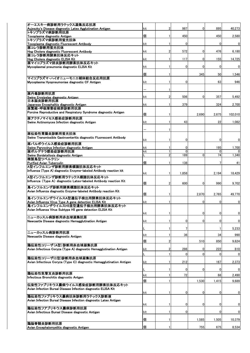| オーエスキー病診断用ラテックス凝集反応抗原<br>Aujeszky's Disease diagnostic Latex Agglutination Antigen              | kit | $\overline{2}$ | 987             | $\Omega$     | 895            | 40,273           |
|-------------------------------------------------------------------------------------------------|-----|----------------|-----------------|--------------|----------------|------------------|
| トキソプラズマ病診断用抗原<br>Toxoplasma diagnostic Antigen                                                  | 個   |                | 450             |              | 450            | 2,580            |
| トキソプラズマ病診断用蛍光抗体                                                                                 |     |                |                 |              |                |                  |
| Toxoplasma diagnostic Fluorescent Antibody<br>豚コレラ診断用蛍光抗体                                       | kit |                | $\Omega$        |              | $\mathbf{0}$   | $\mathbf 0$      |
| Hog Cholera diagnostic Fluorescent Antibody<br>豚コレラ診断用酵素抗体反応キット                                 | kit | 2              | 572             | 0            | 476            | 6,180            |
| Hog Cholera diagnostic ELISA Kit                                                                | kit |                | 117             | 0            | 155            | 14,725           |
| 豚マイコプラズマ肺炎診断用酵素抗体反応キット<br>Mycoplasmal pneumonia diagnostic ELISA Kit                            | kit |                | 0               | 0            | $\mathbf{0}$   | $\mathbf 0$      |
|                                                                                                 | 個   |                |                 | 345          | 50             | 1,546            |
| マイコプラズマ・ハイオニューモニエ補体結合反応用抗原                                                                      |     |                |                 |              |                |                  |
| Mycoplasma Hyopneumoniae diagnostic CF Antigen                                                  | kit |                | $\Omega$        |              | 63             | 946              |
| 豚丹毒診断用抗原                                                                                        |     |                |                 |              |                |                  |
| Swine Ervsipelas diagnostic Antigen                                                             | kit | 2              | 506             | $\mathbf{0}$ | 357            | 5,492            |
| 日本脳炎診断用抗原<br>Japanese Encephalitis diagnostic Antigen                                           | kit |                | 379             |              | 324            | 2,700            |
| 豚繁殖 呼吸障害症候群診断用抗原<br>Porcine Reproductive and Respiratory Syndrome diagnostic Antigen            |     |                |                 |              |                |                  |
| 豚アクチノマイセス感染症診断用抗原                                                                               | 個   |                |                 | 2,690        | 2,675          | 102,010          |
| Swine Actinomyces Infection diagnostic Antigen                                                  | kit |                | 43              |              | 22             | 1,082            |
|                                                                                                 |     |                |                 |              |                |                  |
| 豚伝染性胃腸炎診断用蛍光抗体<br>Swine Transmissible Gastroenteritis diagnostic Fluorescent Antibody           |     |                |                 |              |                |                  |
| 豚パルボウイルス感染症診断用抗原                                                                                | kit |                | 0               |              | $\mathbf{0}$   | 0                |
| Swine Parvovirus Infection diagnostic Antigen                                                   | kit |                | 0               |              | 195            | 1,700            |
| 豚ボルデテラ感染症診断用抗原<br>Swine Bordetellosis diagnostic Antigen                                        | kit |                | $\Omega$<br>189 | 0            | $\Omega$<br>74 | 1,340            |
| 精製鳥型ツベルクリン<br><b>Purified Avian Tuberculin</b>                                                  | 個   |                | 138             |              |                | 41               |
| A型インフルエンザ診断用酵素標識抗体反応キット                                                                         |     |                |                 |              |                |                  |
| Influenza (Type A) diagnostic Enzyme-labeled Antibody reaction kit                              | kit |                | 1,858           |              | 2,194          | 18,429           |
| A型インフルエンザ診断用ラテックス標識抗体反応キット<br>Influenza (Type A) diagnostic Latex-labeled Antibody reaction Kit |     |                |                 |              |                |                  |
| 鳥インフルエンザ診断用酵素標識抗体反応キット                                                                          | 個   | 2              | 600             | 0            | 990            | 9,702            |
| Avian Influenza diagnostic Enzyme-labeled Antibody reaction Kit                                 | 個   |                |                 | 2,870        | 2,765          | 49,770           |
| 鳥インフルエンザウイルスA型遺伝子検出用酵素抗体反応キット<br>Avian Influenza Virus Type A gene detection ELISA Kit          | kit |                |                 | 0            | $\Omega$       | $\mathbf{0}$     |
| 鳥インフルエンザウイルスH5亜型遺伝子検出用酵素抗体反応キット                                                                 |     |                |                 |              |                |                  |
| Avian Influenza Virus Subtype H5 gene detection ELISA Kit                                       | kit |                |                 | 0            | 0              | $\overline{0}$   |
| ニューカッスル病診断用赤血球凝集抗原<br>Newcastle Disease diagnostic Hemagglutination Antigen                     | kit |                | 0               | 0            | 0              | $\mathbf 0$      |
|                                                                                                 |     |                |                 |              |                |                  |
| ニューカッスル病診断用抗原                                                                                   |     |                |                 |              | 1              | 5,233            |
| Newcastle Disease diagnostic Antigen                                                            | kit |                | 36              |              | 34             | 990              |
| 鶏伝染性コリーザ(A型)診断用赤血球凝集抗原                                                                          | 個   | 2              |                 | 510          | 850            | 9,624            |
| Avian Infectious Coryza (Type A) diagnostic Hemagglutination Antigen                            | kit |                | 286             | 0            | 222            | 810              |
| 鶏伝染性コリーザ(C型)診断用赤血球凝集抗原                                                                          |     |                | $\Omega$        | 0            | $\mathbf{0}$   | 0                |
| Avian Infectious Coryza (Type C) diagnostic Hemagglutination Antigen                            | kit |                | 212             |              | 167            | 2,373            |
|                                                                                                 |     |                | 0               | 0            | 0              | $\mathbf{0}$     |
| 鶏伝染性気管支炎診断用抗原<br>Infectious Bronchitis diagnostic Antgen                                        | kit |                | 72              |              | 68             | 2,490            |
| 伝染性ファブリキウス嚢病ウイルス感染症診断用酵素抗体反応キット                                                                 | 個   |                |                 | 1,530        | 1,415          | 9,689            |
| Avian Infection Bursal Disease Infection diagnostic ELISA Kit                                   |     |                |                 |              |                |                  |
| 鶏伝染性ファブリキウス嚢病抗体診断用ラテックス診断液                                                                      | kit |                | 0               | 0            | 0              | $\mathbf 0$      |
| Avian Infection Bursal Disease Infection diagnostic Latex Antigen                               |     |                | 0               | 0            | 0              |                  |
| 鶏伝染性フアブリキウス嚢病診断用抗原                                                                              | kit |                |                 |              |                | 0                |
| Avian Infectious Bursal Disease diagnostic Antigen                                              | kit |                | 0               |              | 0              | $\boldsymbol{0}$ |
| 鶏脳脊髄炎診断用抗原                                                                                      | 個   |                |                 | 1,585        | 1,505          | 10,379           |
| Avian Encephalomyelitis diagnostic Antigen                                                      | 個   |                |                 | 755          | 675            | 8,534            |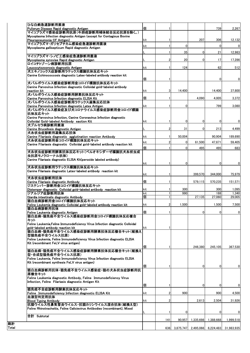| ひな白痢急速診断用菌液                                                                                                               |     |                |        |                |             |                                          |
|---------------------------------------------------------------------------------------------------------------------------|-----|----------------|--------|----------------|-------------|------------------------------------------|
| Pullorum Disease Rapid diagnostic Antigen<br>マイコプラズマ感染症診断用抗原(牛肺疫診断用補体結合反応抗原を除く。)                                          | 個   |                |        |                | 739         | 2,267                                    |
| Mycoplasma Infection diagnostic Antigen (except for Contagious Bovine                                                     |     |                |        |                |             |                                          |
| Pleuropneumonia CF Antigen)<br>マイコプラズマ・ガリセプチカム感染症急速診断用菌液                                                                  | kit |                |        | 207            | 306         | 12,132                                   |
| Mycoplasma gallisepticum Rapid diagnostic Antigen                                                                         | kit |                | 0      |                | $\mathbf 0$ | $\mathbf{0}$                             |
|                                                                                                                           |     |                | 35     | $\Omega$       | 21          | 12,983                                   |
| マイコプラズマ・シノビエ感染症急速診断用菌液                                                                                                    |     |                |        |                |             |                                          |
| Mycoplasma synoviae Rapid diagnostic Antigen<br>ロイコチトゾーン病診断用抗原                                                            |     | 2              | 20     | $\mathbf{0}$   | 17          | 17,286                                   |
| Leucocytozoonosis diagnostic Antigen                                                                                      | kit |                | 124    |                | 62          | 512                                      |
| 犬エキノコックス症診断用ラテックス標識抗体反応キット<br>Canine Echinococcosis diagnostic Latex-labeled antibody reaction kit                        |     |                |        |                |             |                                          |
|                                                                                                                           | 個   |                |        |                | 0           | 0                                        |
| 犬パルボウイルス感染症診断用金コロイド標識抗体反応キット                                                                                              |     |                |        |                |             |                                          |
| Canine Parvovirus Infection diagnostic Colloidal gold-labeled antibody<br>reaction kit                                    | kit | 3              | 14,400 |                | 14,400      | 37,800                                   |
| 犬パルボウイルス感染症診断用酵素抗体反応キット                                                                                                   |     |                |        |                |             |                                          |
| Canine Parvovirus Infection diagnostic ELISA Kit<br>犬パルボウイルス感染症診断用ラテックス凝集反応抗体                                             | 個   |                |        | 4,090          | 4,005       | 3,372                                    |
| Canine Parvovirus Infection diagnostic Latex Antigen                                                                      | kit |                | 0      |                | 799         | 3,080                                    |
| 犬パルボウイルス感染症及び犬コロナウイルス感染症診断用金コロイド標識<br>抗体反応キット                                                                             |     |                |        |                |             |                                          |
| Canine Parvovirus Infection, Canine Coronavirus Infection diagnostic                                                      |     |                |        |                |             |                                          |
| Colloidal Gold-labeled Antibody eaction Kit                                                                               | kit | -1             | 0      | $\mathbf 0$    | 0           | 0                                        |
| 犬ブルセラ病診断用菌液<br>Canine Brucellosis diagnostic Antigen                                                                      |     | $\mathfrak{p}$ | 31     | $\Omega$       | 213         | 4,499                                    |
| 犬糸状虫症診断用凝集反応抗体                                                                                                            |     |                |        |                |             |                                          |
| Canine Filariasis diagnostic agglutination reaction Antibody<br>犬糸状虫症診断用金コロイド標識抗体反応キット                                    | kit |                | 50,004 |                | 90,904      | 189,690                                  |
| Canine Filariasis diagnostic Colloidal gold-labeled antibody reaction kit                                                 | kit | $\overline{2}$ | 0      | 61,500         | 47,671      | 59,405                                   |
| 犬糸状虫症診断用酵素抗体反応キット(ペルオキシダーゼ標識抗犬糸状虫成                                                                                        | 個   |                | 0      | 495            | 495         | 683                                      |
| 虫抗原モノクローナル抗体)                                                                                                             |     |                |        |                |             |                                          |
| Canine Filariasis diagnostic ELISA Kit(peroxide labeled antibody)                                                         |     |                |        |                |             |                                          |
| 犬糸状虫症診断用ラテックス標識抗体反応キット                                                                                                    | kit |                | 0      |                | 0           | 0                                        |
| Canine Filariasis diagnostic Latex-labeled antibody reaction kit                                                          |     |                |        |                |             |                                          |
| 犬糸状虫症診断用抗体                                                                                                                | kit |                |        | 399,570        | 344.000     | 75,979                                   |
| Canine Filariasis diagnostic Antibody                                                                                     | 個   |                |        | 579,115        | 570,235     | 151,571                                  |
| ジステンパー診断用金コロイド標識抗体反応キット<br>Distemper diagnostic Colloidal gold-labeled antibody reaction kit                              | kit |                | 300    |                | 300         | 1,095                                    |
| ジアルジア症診断用抗体                                                                                                               | kit |                | 990    |                | 188         | 1,340                                    |
| Giardia intestinalis diagnostic Antibody<br>猫白血病診断用金コロイド標識抗体反応キット                                                         | 個   |                |        | 27,135         | 27,060      | 29,005                                   |
| Feline Leukemia diagnostic Colloidal gold-labeled antibody reaction kit                                                   | kit | $\overline{2}$ | 1,500  |                | 1.500       | 7,500                                    |
| 猫白血病診断用抗体                                                                                                                 |     |                |        |                |             |                                          |
| Feline Leukemia diagnostic Antigen<br>猫白血病・猫免疫不全ウイルス感染症診断用金コロイド標識抗体反応複合                                                   | 個   |                |        | $\overline{0}$ | $\mathbf 0$ | 0                                        |
| キット                                                                                                                       |     |                |        |                |             |                                          |
| Feline Leukemia, Feline Immunodeficiency Virus Infection diagnostic Colloidal<br>gold-labeled antibody reaction kit       | kit |                |        |                |             |                                          |
| 猫白血病・猫免疫不全ウイルス感染症診断用酵素抗体反応複合キット(組換え                                                                                       |     |                |        |                |             |                                          |
| 型猫免疫不全ウイルス抗原)<br>Feline Leukemia, Feline Immunodeficiency Virus Infection diagnostic ELISA                                |     |                |        |                |             |                                          |
| Kit (recombinant FeLV virus antigen)                                                                                      |     |                |        |                |             |                                          |
|                                                                                                                           | 個   | -1             |        | 246.380        | 245,105     | 367,530                                  |
| 猫白血病・猫免疫不全ウイルス感染症診断用酵素抗体反応複合キット(組換え<br>型・合成型猫免疫不全ウイルス抗原)                                                                  |     |                |        |                |             |                                          |
| Feline Leukemia. Feline Immunodeficiency Virus Infection diagnostic ELISA                                                 |     |                |        |                |             |                                          |
| Kit (recombinant synthesis FeLV virus antigen)                                                                            |     |                |        |                |             |                                          |
| 猫白血病診断用抗体・猫免疫不全ウイルス感染症・猫の犬糸状虫症診断用抗                                                                                        | 個   |                |        | 0              | 0           | 0                                        |
| 原複合キット                                                                                                                    |     |                |        |                |             |                                          |
| Feline Leukemia diagnostic Antibody, Feline Immunodeficiency Virus<br>Infection, Feline Filariasis diagnostic Antigen Kit |     |                |        |                |             |                                          |
|                                                                                                                           | 個   |                |        | 0              | 0           | 0                                        |
| 猫免疫不全症診断用酵素抗体反応キット<br>Feline Immunodeficiency Infection diagnostic ELISA Kit                                              | kit | 2              | 900    |                | 900         | 4,500                                    |
| 血液型判定用抗体                                                                                                                  |     |                |        |                |             |                                          |
| <b>Blood Typing Antibody</b>                                                                                              | kit | 2              |        | 2,613          | 2,504       | 31,926                                   |
| 抗猫ウイルス性鼻気管炎ウイルス・抗猫カリシウイルス混合抗体(組換え型)<br>Feline Rhinotracheitis, Feline Calicievirus Antibodies (recombinant), Mixed        |     |                |        |                |             |                                          |
|                                                                                                                           |     | -1             | 0      |                | 0           | 0                                        |
| 合計 Subtotal                                                                                                               |     | 141            | 90,957 | 1,335,698      | 1,388,668   | 1,999,518                                |
|                                                                                                                           |     |                |        |                |             |                                          |
|                                                                                                                           |     | 6361           |        |                |             | 3,875,747 2,495,066 6,224,483 31,983,935 |

**総計<br>Total**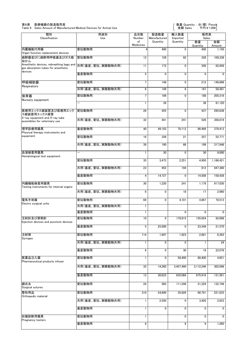#### 第6表 医療機器の製造販売高

Table 6 Sales Amount of Manufactured Medical Devices for Animal Use

| 類別<br>Classification                                                                                  | 用途別<br>品目数<br>Use<br>Number |                 | 製造数量<br>Manufactured | 輸入数量<br>Imported | 販売高<br>Sales   |              |  |
|-------------------------------------------------------------------------------------------------------|-----------------------------|-----------------|----------------------|------------------|----------------|--------------|--|
|                                                                                                       |                             | of<br>Medicines | Quantity             | Quantity         | 数量<br>Quantity | 金額<br>Amount |  |
| 内蔵機能代用器<br>Organ function replacement devices                                                         | 愛玩動物用                       |                 | 400                  | $\mathbf 0$      | 400            | 1,150        |  |
| 麻酔器並びに麻酔用呼吸囊及びガス吸<br>収かん                                                                              | 愛玩動物用                       | 12              | 128                  | 82               | 328            | 109,338      |  |
| Anesthetic devices, rebreathing bags and  <br>其用(畜産、愛玩、実験動物共用)<br>gas absorption tubes for anesthetic |                             | 11              | 172                  | 0                | 356            | 62,958       |  |
| devices                                                                                               | 畜産動物用                       | 5               | $\mathbf{0}$         | $\mathbf 0$      | $\mathbf{0}$   | $\mathbf 0$  |  |
| 呼吸補助器<br>Respirators                                                                                  | 愛玩動物用                       | $\overline{7}$  | 148                  | 0                | 212            | 149,968      |  |
|                                                                                                       | 共用(畜産、愛玩、実験動物共用)            | $6\phantom{1}$  | 149                  | 6                | 167            | 58.481       |  |
| 保育器<br>Nursery equipment                                                                              | 愛玩動物用                       | $\overline{7}$  | 189                  | 0                | 188            | 205,318      |  |
|                                                                                                       | -                           | 1               | 39                   |                  | 39             | 81,120       |  |
| 医療用エックス線装置及び医療用エック<br>ス線装置用エックス線管                                                                     | 愛玩動物用                       | 26              | 455                  | $\mathbf 0$      | 437            | 295,638      |  |
| X-ray equipment and X-ray tube<br>assemblies for veterinary use                                       | 共用(畜産、愛玩、実験動物共用)            | 32              | 441                  | 241              | 526            | 356,674      |  |
| 理学診療用器具<br>Physical therapy instruments and                                                           | 畜産動物用                       | 40              | 49,103               | 70,112           | 98,489         | 379.413      |  |
| equipment                                                                                             | 愛玩動物用                       | 16              | 336                  | 21               | 357            | 52,771       |  |
|                                                                                                       | 共用(畜産、愛玩、実験動物共用)            | 39              | 190                  | 66               | 199            | 317,948      |  |
| 血液検査用器具<br>Hematological test equipment                                                               | -                           | 1               | 30                   | 0                | 30             | 9,000        |  |
|                                                                                                       | 愛玩動物用                       | 35              | 3,473                | 2,251            | 4,950          | 1,166,421    |  |
|                                                                                                       | 共用(畜産、愛玩、実験動物共用)            | 23              | 952                  | 194              | 812            | 647,360      |  |
|                                                                                                       | 畜産動物用                       | 4               | 14,727               | 0                | 14,508         | 158,438      |  |
| 内臓機能検査用器具<br>Testing instruments for internal organs                                                  | 愛玩動物用                       | 30              | 1,220                | 241              | 1,178          | 917,030      |  |
|                                                                                                       | 共用(畜産、愛玩、実験動物共用)            | $6\phantom{1}6$ | $\mathbf 0$          | 18               | 17             | 2,960        |  |
| 雷気手術器<br>Electro surgical units                                                                       | 愛玩動物用                       | 69              | 0                    | 4,101            | 4,867          | 70,512       |  |
|                                                                                                       | 共用(畜産、愛玩、実験動物共用)            | 1               |                      |                  |                |              |  |
|                                                                                                       | 畜産動物用                       | 1               |                      | 0                | 0              | 0            |  |
| 注射針及び穿刺針<br>Injection devices and puncture devices                                                    | 愛玩動物用                       | 10              | 0                    | 178,815          | 155,654        | 92,098       |  |
|                                                                                                       | 畜産動物用                       | 5               | 25,000               | 0                | 23,248         | 21,570       |  |
| 注射筒<br><b>Syringes</b>                                                                                | 愛玩動物用                       | 114             | 1,907                | 1,923            | 2,681          | 6,393        |  |
|                                                                                                       | 共用(畜産、愛玩、実験動物共用)            | 1               | $\mathbf{0}$         | 0                | 1              | 24           |  |
|                                                                                                       | 畜産動物用                       | $6\phantom{1}$  | 0                    | 30               | 16             | 22,076       |  |
| 医薬品注入器<br>Pharmaceutical products infuser                                                             | 愛玩動物用                       | 1               | 0                    | 58,400           | 60,400         | 4,651        |  |
|                                                                                                       | 共用(畜産、愛玩、実験動物共用)            | 32              | 14,260               | 3,457,490        | 3,112,246      | 302,096      |  |
|                                                                                                       | 畜産動物用                       | 13              | 30,623               | 635,066          | 675,916        | 131,561      |  |
| 縫合糸<br>Surgical sutures                                                                               | 愛玩動物用                       | 24              | 565                  | 111,248          | 21,229         | 132,748      |  |
| 整形用品<br>Orthopedic material                                                                           | 愛玩動物用                       | 310             | 24,800               | 35,826           | 68,791         | 221,033      |  |
|                                                                                                       | 共用(畜産、愛玩、実験動物共用)            | 1               | 2,550                | 0                | 3,420          | 2,833        |  |
|                                                                                                       | 畜産動物用                       | 1               | $\mathbf{0}$         | 0                | 0              | $\mathbf{0}$ |  |
| 妊娠診断用器具<br>Pregnancy testers                                                                          | 愛玩動物用                       | 1               |                      | 0                | 0              | 0            |  |
|                                                                                                       | 畜産動物用                       | 8               |                      | 8                | 9              | 1,260        |  |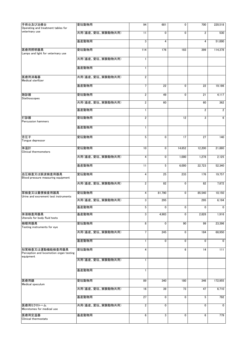| 手術台及び治療台                                                                | 愛玩動物用            | 94                      | 681             | 0      | 700                     | 220,518        |
|-------------------------------------------------------------------------|------------------|-------------------------|-----------------|--------|-------------------------|----------------|
| Operating and treatment tables for<br>veterinary use                    | 共用(畜産、愛玩、実験動物共用) | 11                      | $\mathbf 0$     | 0      | $\overline{\mathbf{c}}$ | 530            |
|                                                                         | 畜産動物用            | 3                       | 4               |        | 4                       | 51,000         |
|                                                                         |                  |                         |                 |        |                         |                |
| 医療用照明器具<br>Lamps and light for veterinary use                           | 愛玩動物用            | 114                     | 176             | 183    | 399                     | 114,378        |
|                                                                         | 共用(畜産、愛玩、実験動物共用) | $\mathbf{1}$            |                 |        |                         |                |
|                                                                         | 畜産動物用            | $\mathbf{1}$            |                 |        |                         |                |
| 医療用消毒器<br>Medical sterllizer                                            | 共用(畜産、愛玩、実験動物共用) | $\overline{\mathbf{c}}$ |                 |        |                         |                |
|                                                                         | 畜産動物用            | $\overline{7}$          | $\overline{22}$ | 0      | 22                      | 19,186         |
| 聴診器<br>Stethoscopes                                                     | 愛玩動物用            | $\overline{\mathbf{2}}$ | 49              | 0      | 21                      | 4,117          |
|                                                                         | 共用(畜産、愛玩、実験動物共用) | 2                       | 60              |        | 60                      | 362            |
|                                                                         | 畜産動物用            | 1                       |                 |        | $\overline{\mathbf{c}}$ | $\overline{2}$ |
| 打診器<br><b>Percussion hammers</b>                                        | 愛玩動物用            | $\overline{\mathbf{c}}$ |                 | 12     | 3                       | 6              |
|                                                                         | 畜産動物用            | $\mathbf{1}$            |                 |        |                         |                |
| 舌圧子                                                                     | 愛玩動物用            | 5                       | 0               | 17     | 27                      | 140            |
| Tongue depressor                                                        |                  |                         |                 |        |                         |                |
| 体温計<br>Clinical thermometers                                            | 愛玩動物用            | 10                      | 0               | 14,652 | 12,200                  | 21,880         |
|                                                                         | 共用(畜産、愛玩、実験動物共用) | 4                       | $\mathbf 0$     | 1,000  | 1,278                   | 2,125          |
|                                                                         | 畜産動物用            | 11                      | 5               | 6,000  | 22,723                  | 52,340         |
| 血圧検査又は脈波検査用器具<br>Blood pressure measuring equipment                     | 愛玩動物用            | $\overline{\mathbf{4}}$ | 25              | 233    | 176                     | 19,757         |
|                                                                         | 共用(畜産、愛玩、実験動物共用) | 2                       | 82              | 0      | 82                      | 7,872          |
| 尿検査又は糞便検査用器具<br>Urine and excrement test instruments                    | 愛玩動物用            | 4                       | 81,790          | 0      | 85,540                  | 10,150         |
|                                                                         | 共用(畜産、愛玩、実験動物共用) | 3                       | 295             |        | 295                     | 6,194          |
|                                                                         | 畜産動物用            | 5                       | $\mathbf 0$     | 0      | 0                       | 0              |
| 体液検査用器具<br>Utensils for body fluid tests                                | 畜産動物用            | 3                       | 4,983           | 0      | 2,828                   | 1,916          |
| 検眼用器具<br>Testing instruments for eye                                    | 愛玩動物用            | 8                       | $\mathbf 0$     | 90     | 99                      | 23,396         |
|                                                                         | 共用(畜産、愛玩、実験動物共用) | $\overline{7}$          | 245             | 0      | 184                     | 68,950         |
|                                                                         | 畜産動物用            | 1                       | 0               | 0      | 0                       | $\mathbf 0$    |
| 知覚検査又は運動機能検査用器具<br>Perception and locomotion organ testing<br>equipment | 愛玩動物用            | 4                       |                 | 6      | 14                      | 111            |
|                                                                         | 共用(畜産、愛玩、実験動物共用) | $\mathbf{1}$            |                 |        |                         |                |
|                                                                         | 畜産動物用            | $\mathbf{1}$            |                 |        |                         |                |
| 医療用鏡<br>Medical speculum                                                | 愛玩動物用            | 89                      | 340             | 180    | 346                     | 172,955        |
|                                                                         | 共用(畜産、愛玩、実験動物共用) | 16                      | 39              | 73     | 47                      | 6,710          |
|                                                                         | 畜産動物用            | 27                      | $\overline{0}$  | 0      | $\overline{5}$          | 792            |
| 医療用ミクロトーム<br>Microtomes for medical use                                 | 共用(畜産、愛玩、実験動物共用) | $\overline{2}$          | $\mathbf 0$     |        | 0                       | $\mathbf 0$    |
| 医療用定温器<br>Clinical thermostats                                          | 畜産動物用            | 6                       | 3               | 0      | 6                       | 779            |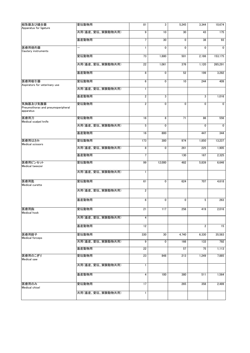| 結紮器及び縫合器                                                   | 愛玩動物用            | 81             | 3            | 5,245       | 3,344                   | 10,674       |
|------------------------------------------------------------|------------------|----------------|--------------|-------------|-------------------------|--------------|
| Apparatus for ligature                                     | 共用(畜産、愛玩、実験動物共用) | 9              | 10           | 30          | 43                      | 175          |
|                                                            | 畜産動物用            | 7              | 30           | 0           | 38                      | 93           |
| 医療用焼灼器<br>Cautery instruments                              | -                |                | 0            | 0           | $\mathbf{0}$            | $\mathbf{0}$ |
|                                                            | 愛玩動物用            | 73             | 1,880        | 501         | 2,186                   | 153,175      |
|                                                            | 共用(畜産、愛玩、実験動物共用) | 22             | 1,061        | 376         | 1,120                   | 265,291      |
|                                                            | 畜産動物用            | 8              | $\mathbf 0$  | 52          | 199                     | 3,282        |
| 医療用吸引器<br>Aspirators for veterinary use                    | 愛玩動物用            | 6              | $\mathbf{0}$ | 10          | 244                     | 409          |
|                                                            | 共用(畜産、愛玩、実験動物共用) | 1              |              |             |                         |              |
|                                                            | 畜産動物用            | $\overline{2}$ | 3            |             | 3                       | 1,016        |
| 気胸器及び気腹器<br>Pneumothorax and pneumoperipheral<br>apparatus | 愛玩動物用            | 2              | 0            | 0           | 0                       | 0            |
| 医療用刀<br>Medical scalpel knife                              | 愛玩動物用            | 16             | 8            | 71          | 86                      | 556          |
|                                                            | 共用(畜産、愛玩、実験動物共用) | 5              | 0            |             | 0                       | $\mathbf 0$  |
|                                                            | 畜産動物用            | 16             | 800          |             | 447                     | 344          |
| 医療用はさみ<br><b>Medical scissors</b>                          | 愛玩動物用            | 173            | 300          | 974         | 1,850                   | 13,237       |
|                                                            | 共用(畜産、愛玩、実験動物共用) | 8              | 0            | 261         | 225                     | 1,905        |
|                                                            | 畜産動物用            | 7              |              | 130         | 167                     | 2,325        |
| 医療用ピンセット<br>Medical tweezer                                | 愛玩動物用            | 99             | 12,000       | 482         | 5,839                   | 6,646        |
|                                                            | 共用(畜産、愛玩、実験動物共用) | 1              |              |             |                         |              |
| 医療用匙<br>Medical curette                                    | 愛玩動物用            | 61             | $\mathbf{0}$ | 624         | 707                     | 4,618        |
|                                                            | 共用(畜産、愛玩、実験動物共用) | $\overline{2}$ |              |             |                         |              |
|                                                            | 畜産動物用            | 6              | 0            | $\mathbf 0$ | 5                       | 263          |
| 医療用鈎<br>Medical hook                                       | 愛玩動物用            | 21             | 117          | 256         | 419                     | 2,016        |
|                                                            | 共用(畜産、愛玩、実験動物共用) | 4              |              |             |                         |              |
|                                                            | 畜産動物用            | 12             |              |             | $\overline{\mathbf{c}}$ | 15           |
| 医療用鉗子<br>Medical forceps                                   | 愛玩動物用            | 330            | 30           | 4,740       | 6,330                   | 35,583       |
|                                                            | 共用(畜産、愛玩、実験動物共用) | 9              | $\mathbf 0$  | 166         | 133                     | 792          |
|                                                            | 畜産動物用            | 22             |              | 57          | 75                      | 1,113        |
| 医療用のこぎり<br>Medical saw                                     | 愛玩動物用            | 23             | 848          | 213         | 1,249                   | 7,885        |
|                                                            | 共用(畜産、愛玩、実験動物共用) | 1              |              |             |                         |              |
|                                                            | 畜産動物用            | 4              | 100          | 380         | 511                     | 1,564        |
| 医療用のみ<br>Medical chisel                                    | 愛玩動物用            | 17             |              | 265         | 358                     | 2,489        |
|                                                            | 共用(畜産、愛玩、実験動物共用) | 1              |              |             |                         |              |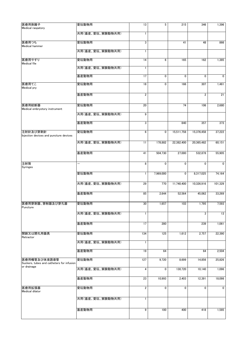| 医療用剥離子                                                    | 愛玩動物用            | 13                      | 5           | 215        | 346                     | 1,396        |
|-----------------------------------------------------------|------------------|-------------------------|-------------|------------|-------------------------|--------------|
| Medical raspatory                                         |                  |                         |             |            |                         |              |
|                                                           | 共用(畜産、愛玩、実験動物共用) | $\mathbf{1}$            |             |            |                         |              |
|                                                           |                  |                         |             |            |                         |              |
| 医療用つち<br>Medical hammer                                   | 愛玩動物用            | 3                       |             | 41         | 48                      | 866          |
|                                                           | 共用(畜産、愛玩、実験動物共用) | $\mathbf{1}$            |             |            |                         |              |
| 医療用やすり<br><b>Medical file</b>                             | 愛玩動物用            | 14                      | 6           | 165        | 162                     | 1,385        |
|                                                           | 共用(畜産、愛玩、実験動物共用) | 1                       |             |            |                         |              |
|                                                           | 畜産動物用            | 17                      | 0           | 0          | 0                       | $\mathbf{0}$ |
| 医療用てこ<br>Medical pry                                      | 愛玩動物用            | 18                      | $\mathbf 0$ | 166        | 307                     | 1,461        |
|                                                           | 畜産動物用            | $\overline{\mathbf{c}}$ |             |            | $\overline{\mathbf{c}}$ | 21           |
| 医療用絞断器<br>Medical embryotory instrument                   | 愛玩動物用            | 20                      |             | 74         | 106                     | 2,680        |
|                                                           | 共用(畜産、愛玩、実験動物共用) | 9                       |             |            |                         |              |
|                                                           | 畜産動物用            | 3                       |             | 840        | 357                     | 373          |
| 注射針及び穿刺針<br>Injection devices and puncture devices        | 愛玩動物用            | 6                       | 0           | 15,511,758 | 15,376,458              | 37,222       |
|                                                           | 共用(畜産、愛玩、実験動物共用) | 11                      | 178,882     | 22,382,400 | 20,365,482              | 60,151       |
|                                                           | 畜産動物用            | 41                      | 504,730     | 27,000     | 532,878                 | 55,905       |
| 注射筒<br>Syringes                                           | ÷.               | 8                       | 0           | 0          | 0                       | $\mathbf{0}$ |
|                                                           | 愛玩動物用            | 1                       | 7,969,000   | 0          | 8,317,025               | 74,164       |
|                                                           | 共用(畜産、愛玩、実験動物共用) | 29                      | 770         | 11,740,400 | 10,326,916              | 101,329      |
|                                                           | 畜産動物用            | 85                      | 2,644       | 52,564     | 45,062                  | 33,269       |
| 医療用穿刺器、穿削器及び穿孔器<br>Puncture                               | 愛玩動物用            | 30                      | 1,657       | 103        | 1,795                   | 7,593        |
|                                                           | 共用(畜産、愛玩、実験動物共用) | 1                       |             |            | 3                       | 13           |
|                                                           | 畜産動物用            | 17                      | 280         |            | 239                     | 1,061        |
| 開創又は開孔用器具<br>Retractor                                    | 愛玩動物用            | 134                     | 125         | 1,612      | 2,757                   | 22,390       |
|                                                           | 共用(畜産、愛玩、実験動物共用) | $\mathbf{1}$            |             |            |                         |              |
|                                                           | 畜産動物用            | 19                      | 64          |            | 64                      | 2,504        |
| 医療用嘴管及び体液誘導管<br>Suckers, tubes and catheters for infusion | 愛玩動物用            | 127                     | 9,720       | 8,699      | 14,856                  | 25,826       |
| or drainage                                               | 共用(畜産、愛玩、実験動物共用) | 4                       | 0           | 130,720    | 10,140                  | 1,096        |
|                                                           | 畜産動物用            | 23                      | 10,993      | 2,403      | 12,391                  | 18,098       |
| 医療用拡張器<br>Medical dilator                                 | 愛玩動物用            | $\overline{\mathbf{c}}$ | $\mathbf 0$ | 0          | $\overline{0}$          | 0            |
|                                                           | 共用(畜産、愛玩、実験動物共用) | $\mathbf{1}$            |             |            |                         |              |
|                                                           | 畜産動物用            | 9                       | 100         | 400        | 418                     | 1,585        |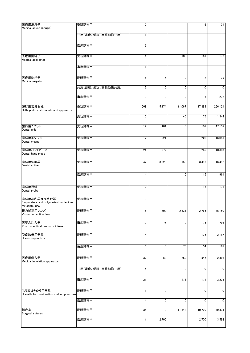| 医療用消息子                                                   | 愛玩動物用            | $\overline{2}$ |             |        | 6                       | 31          |
|----------------------------------------------------------|------------------|----------------|-------------|--------|-------------------------|-------------|
| Medical sound (bougie)                                   |                  |                |             |        |                         |             |
|                                                          | 共用(畜産、愛玩、実験動物共用) | 1              |             |        |                         |             |
|                                                          |                  |                |             |        |                         |             |
|                                                          | 畜産動物用            | 3              |             |        |                         |             |
| 医療用捲綿子                                                   | 愛玩動物用            | 1              |             | 100    | 161                     | 173         |
| Medical applicator                                       |                  |                |             |        |                         |             |
|                                                          | 畜産動物用            | 1              |             |        |                         |             |
|                                                          |                  |                |             |        |                         |             |
| 医療用洗浄器                                                   | 愛玩動物用            | 16             | 6           | 0      | $\overline{\mathbf{c}}$ | 39          |
| Medical irrigator                                        |                  |                |             |        |                         |             |
|                                                          | 共用(畜産、愛玩、実験動物共用) | 3              | $\mathbf 0$ | 0      | 0                       | $\mathbf 0$ |
|                                                          | 畜産動物用            | 9              | 10          | 0      | 6                       | 272         |
|                                                          |                  |                |             |        |                         |             |
| 整形用器具器械<br>Orthopedic instruments and apparatus          | 愛玩動物用            | 508            | 5,174       | 11.067 | 17,894                  | 266,121     |
|                                                          | 愛玩動物用            | 5              |             | 40     | 75                      | 1,344       |
|                                                          |                  |                |             |        |                         |             |
| 歯科用ユニット                                                  | 愛玩動物用            | 12             | 101         | 0      | 101                     | 47,157      |
| Dental unit                                              |                  |                |             |        |                         |             |
| 歯科用エンジン                                                  | 愛玩動物用            | 12             | 221         | 0      | 220                     | 16,051      |
| Dental engine                                            |                  |                |             |        |                         |             |
| 歯科用ハンドピース                                                | 愛玩動物用            | 24             | 272         | 0      | 265                     | 10,337      |
| Dental hand piece                                        |                  |                |             |        |                         |             |
| 歯科用切削器                                                   | 愛玩動物用            | 42             | 3,320       | 153    | 3,493                   | 16,492      |
| Dental cutter                                            |                  |                |             |        |                         |             |
|                                                          | 畜産動物用            | 4              |             | 15     | 15                      | 961         |
|                                                          |                  |                |             |        |                         |             |
| 歯科用探針                                                    | 愛玩動物用            | 7              |             | 6      | 17                      | 171         |
| Dental probe                                             |                  |                |             |        |                         |             |
| 歯科用蒸和器及び重合器                                              | 愛玩動物用            | 3              |             |        |                         |             |
| Evaporators and polymerization devices<br>for dental use |                  |                |             |        |                         |             |
| 視力補正用レンズ                                                 | 愛玩動物用            | 6              | 500         | 2,331  | 2,765                   | 36,150      |
| Vision correction lens                                   |                  |                |             |        |                         |             |
| 医薬品注入器                                                   | 畜産動物用            | 10             | 76          | 0      | 75                      | 793         |
| Pharmaceutical products infuser                          |                  |                |             |        |                         |             |
| 脱疾治療用器具                                                  | 愛玩動物用            | 4              |             |        | 1,126                   | 2,187       |
| Hernia supporters                                        |                  |                |             |        |                         |             |
|                                                          | 畜産動物用            | 6              | 0           | 76     | 54                      | 161         |
|                                                          |                  |                |             |        |                         |             |
| 医療用吸入器                                                   | 愛玩動物用            | 37             | 59          | 260    | 547                     | 2,398       |
| Medical inholation apparatus                             |                  |                |             |        |                         |             |
|                                                          | 共用(畜産、愛玩、実験動物共用) | 4              |             | 0      | 0                       | 0           |
|                                                          |                  |                |             |        |                         |             |
|                                                          | 畜産動物用            | 21             |             | 171    | 171                     | 3,235       |
| はり又はきゆう用器具                                               |                  |                | 0           |        | 0                       | 0           |
| Utensils for moxibustion and acupuncture                 | 愛玩動物用            | 1              |             |        |                         |             |
|                                                          | 畜産動物用            | 4              | 0           | 0      | 0                       | $\mathbf 0$ |
|                                                          |                  |                |             |        |                         |             |
| 縫合糸<br>Surgical sutures                                  | 愛玩動物用            | 35             | 0           | 11,342 | 10,720                  | 49,334      |
|                                                          | 畜産動物用            | 1              | 2,700       |        | 2,700                   | 3,592       |
|                                                          |                  |                |             |        |                         |             |
|                                                          |                  |                |             |        |                         |             |